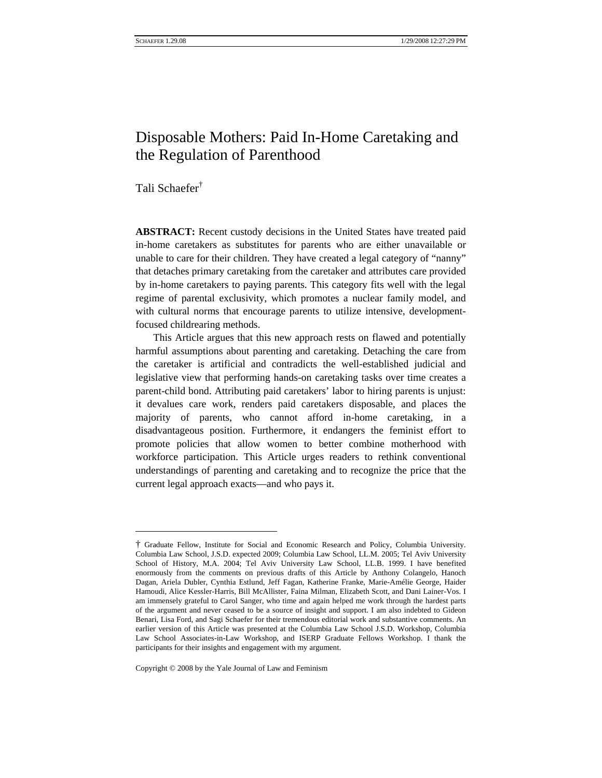SCHAEFER 1.29.08 1/29/2008 12:27:29 PM

# Disposable Mothers: Paid In-Home Caretaking and the Regulation of Parenthood

Tali Schaefe[r†](#page-0-0)

 $\overline{a}$ 

**ABSTRACT:** Recent custody decisions in the United States have treated paid in-home caretakers as substitutes for parents who are either unavailable or unable to care for their children. They have created a legal category of "nanny" that detaches primary caretaking from the caretaker and attributes care provided by in-home caretakers to paying parents. This category fits well with the legal regime of parental exclusivity, which promotes a nuclear family model, and with cultural norms that encourage parents to utilize intensive, developmentfocused childrearing methods.

This Article argues that this new approach rests on flawed and potentially harmful assumptions about parenting and caretaking. Detaching the care from the caretaker is artificial and contradicts the well-established judicial and legislative view that performing hands-on caretaking tasks over time creates a parent-child bond. Attributing paid caretakers' labor to hiring parents is unjust: it devalues care work, renders paid caretakers disposable, and places the majority of parents, who cannot afford in-home caretaking, in a disadvantageous position. Furthermore, it endangers the feminist effort to promote policies that allow women to better combine motherhood with workforce participation. This Article urges readers to rethink conventional understandings of parenting and caretaking and to recognize the price that the current legal approach exacts—and who pays it.

Copyright © 2008 by the Yale Journal of Law and Feminism

<span id="page-0-0"></span><sup>†</sup> Graduate Fellow, Institute for Social and Economic Research and Policy, Columbia University. Columbia Law School, J.S.D. expected 2009; Columbia Law School, LL.M. 2005; Tel Aviv University School of History, M.A. 2004; Tel Aviv University Law School, LL.B. 1999. I have benefited enormously from the comments on previous drafts of this Article by Anthony Colangelo, Hanoch Dagan, Ariela Dubler, Cynthia Estlund, Jeff Fagan, Katherine Franke, Marie-Amélie George, Haider Hamoudi, Alice Kessler-Harris, Bill McAllister, Faina Milman, Elizabeth Scott, and Dani Lainer-Vos. I am immensely grateful to Carol Sanger, who time and again helped me work through the hardest parts of the argument and never ceased to be a source of insight and support. I am also indebted to Gideon Benari, Lisa Ford, and Sagi Schaefer for their tremendous editorial work and substantive comments. An earlier version of this Article was presented at the Columbia Law School J.S.D. Workshop, Columbia Law School Associates-in-Law Workshop, and ISERP Graduate Fellows Workshop. I thank the participants for their insights and engagement with my argument.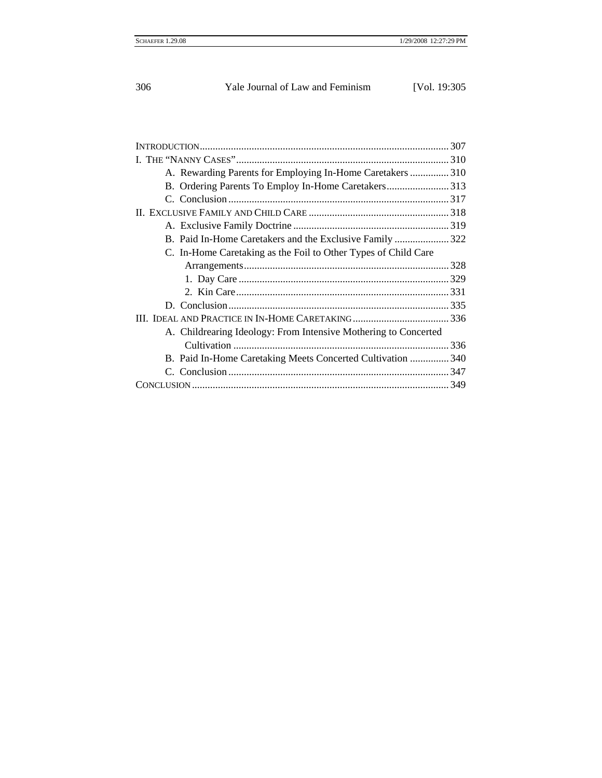| 306<br>Yale Journal of Law and Feminism | [Vol. 19:305] |
|-----------------------------------------|---------------|
|-----------------------------------------|---------------|

| A. Rewarding Parents for Employing In-Home Caretakers  310      |  |
|-----------------------------------------------------------------|--|
| B. Ordering Parents To Employ In-Home Caretakers313             |  |
|                                                                 |  |
|                                                                 |  |
|                                                                 |  |
| B. Paid In-Home Caretakers and the Exclusive Family  322        |  |
| C. In-Home Caretaking as the Foil to Other Types of Child Care  |  |
|                                                                 |  |
|                                                                 |  |
|                                                                 |  |
|                                                                 |  |
|                                                                 |  |
| A. Childrearing Ideology: From Intensive Mothering to Concerted |  |
|                                                                 |  |
| B. Paid In-Home Caretaking Meets Concerted Cultivation  340     |  |
|                                                                 |  |
|                                                                 |  |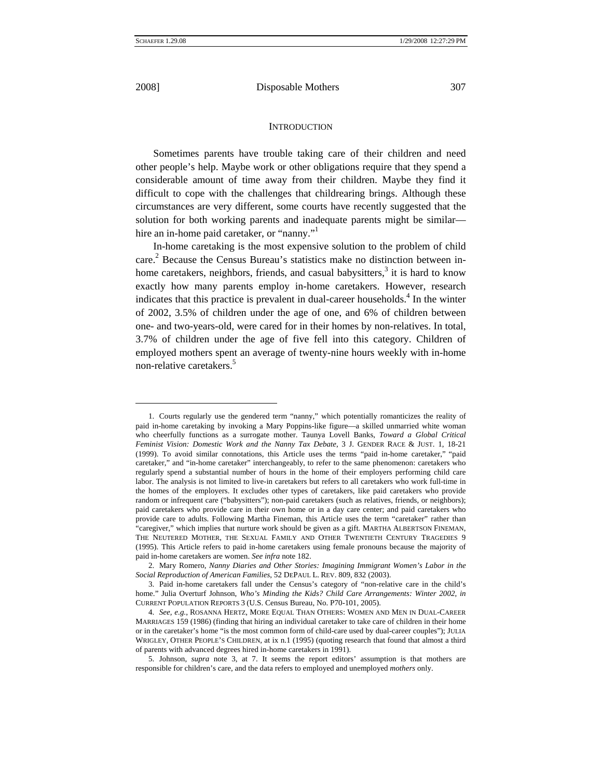$\overline{a}$ 

2008] Disposable Mothers 307

#### **INTRODUCTION**

Sometimes parents have trouble taking care of their children and need other people's help. Maybe work or other obligations require that they spend a considerable amount of time away from their children. Maybe they find it difficult to cope with the challenges that childrearing brings. Although these circumstances are very different, some courts have recently suggested that the solution for both working parents and inadequate parents might be similar hire an in-home paid caretaker, or "nanny."<sup>1</sup>

In-home caretaking is the most expensive solution to the problem of child care. [2](#page-2-1) Because the Census Bureau's statistics make no distinction between inhome caretakers, neighbors, friends, and casual babysitters,<sup>3</sup> it is hard to know exactly how many parents employ in-home caretakers. However, research indicates that this practice is prevalent in dual-career households.<sup>4</sup> In the winter of 2002, 3.5% of children under the age of one, and 6% of children between one- and two-years-old, were cared for in their homes by non-relatives. In total, 3.7% of children under the age of five fell into this category. Children of employed mothers spent an average of twenty-nine hours weekly with in-home non-relative caretakers.<sup>5</sup>

<span id="page-2-0"></span><sup>1.</sup> Courts regularly use the gendered term "nanny," which potentially romanticizes the reality of paid in-home caretaking by invoking a Mary Poppins-like figure—a skilled unmarried white woman who cheerfully functions as a surrogate mother. Taunya Lovell Banks, *Toward a Global Critical Feminist Vision: Domestic Work and the Nanny Tax Debate*, 3 J. GENDER RACE & JUST. 1, 18-21 (1999). To avoid similar connotations, this Article uses the terms "paid in-home caretaker," "paid caretaker," and "in-home caretaker" interchangeably, to refer to the same phenomenon: caretakers who regularly spend a substantial number of hours in the home of their employers performing child care labor. The analysis is not limited to live-in caretakers but refers to all caretakers who work full-time in the homes of the employers. It excludes other types of caretakers, like paid caretakers who provide random or infrequent care ("babysitters"); non-paid caretakers (such as relatives, friends, or neighbors); paid caretakers who provide care in their own home or in a day care center; and paid caretakers who provide care to adults. Following Martha Fineman, this Article uses the term "caretaker" rather than "caregiver," which implies that nurture work should be given as a gift. MARTHA ALBERTSON FINEMAN, THE NEUTERED MOTHER, THE SEXUAL FAMILY AND OTHER TWENTIETH CENTURY TRAGEDIES 9 (1995). This Article refers to paid in-home caretakers using female pronouns because the majority of paid in-home caretakers are women. *See infra* note 182.

<span id="page-2-1"></span><sup>2.</sup> Mary Romero, *Nanny Diaries and Other Stories: Imagining Immigrant Women's Labor in the Social Reproduction of American Families*, 52 DEPAUL L. REV. 809, 832 (2003).

<span id="page-2-2"></span><sup>3.</sup> Paid in-home caretakers fall under the Census's category of "non-relative care in the child's home." Julia Overturf Johnson, *Who's Minding the Kids? Child Care Arrangements: Winter 2002*, *in* CURRENT POPULATION REPORTS 3 (U.S. Census Bureau, No. P70-101, 2005).

<span id="page-2-3"></span><sup>4.</sup> *See, e.g.*, ROSANNA HERTZ, MORE EQUAL THAN OTHERS: WOMEN AND MEN IN DUAL-CAREER MARRIAGES 159 (1986) (finding that hiring an individual caretaker to take care of children in their home or in the caretaker's home "is the most common form of child-care used by dual-career couples"); JULIA WRIGLEY, OTHER PEOPLE'S CHILDREN, at ix n.1 (1995) (quoting research that found that almost a third of parents with advanced degrees hired in-home caretakers in 1991).

<span id="page-2-4"></span><sup>5.</sup> Johnson, *supra* note 3, at 7. It seems the report editors' assumption is that mothers are responsible for children's care, and the data refers to employed and unemployed *mothers* only.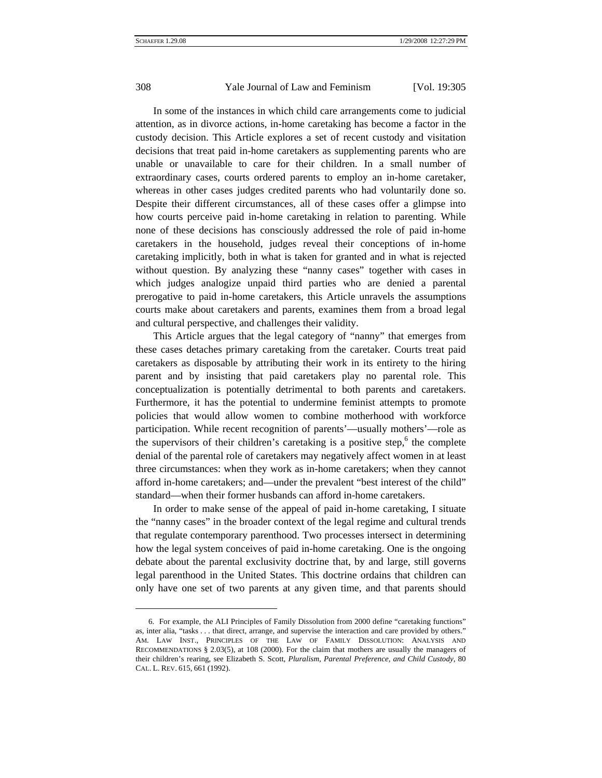l

308 Yale Journal of Law and Feminism [Vol. 19:305]

In some of the instances in which child care arrangements come to judicial attention, as in divorce actions, in-home caretaking has become a factor in the custody decision. This Article explores a set of recent custody and visitation decisions that treat paid in-home caretakers as supplementing parents who are unable or unavailable to care for their children. In a small number of extraordinary cases, courts ordered parents to employ an in-home caretaker, whereas in other cases judges credited parents who had voluntarily done so. Despite their different circumstances, all of these cases offer a glimpse into how courts perceive paid in-home caretaking in relation to parenting. While none of these decisions has consciously addressed the role of paid in-home caretakers in the household, judges reveal their conceptions of in-home caretaking implicitly, both in what is taken for granted and in what is rejected without question. By analyzing these "nanny cases" together with cases in which judges analogize unpaid third parties who are denied a parental prerogative to paid in-home caretakers, this Article unravels the assumptions courts make about caretakers and parents, examines them from a broad legal and cultural perspective, and challenges their validity.

This Article argues that the legal category of "nanny" that emerges from these cases detaches primary caretaking from the caretaker. Courts treat paid caretakers as disposable by attributing their work in its entirety to the hiring parent and by insisting that paid caretakers play no parental role. This conceptualization is potentially detrimental to both parents and caretakers. Furthermore, it has the potential to undermine feminist attempts to promote policies that would allow women to combine motherhood with workforce participation. While recent recognition of parents'—usually mothers'—role as the supervisors of their children's caretaking is a positive step,  $6$  the complete denial of the parental role of caretakers may negatively affect women in at least three circumstances: when they work as in-home caretakers; when they cannot afford in-home caretakers; and—under the prevalent "best interest of the child" standard—when their former husbands can afford in-home caretakers.

In order to make sense of the appeal of paid in-home caretaking, I situate the "nanny cases" in the broader context of the legal regime and cultural trends that regulate contemporary parenthood. Two processes intersect in determining how the legal system conceives of paid in-home caretaking. One is the ongoing debate about the parental exclusivity doctrine that, by and large, still governs legal parenthood in the United States. This doctrine ordains that children can only have one set of two parents at any given time, and that parents should

<span id="page-3-0"></span><sup>6.</sup> For example, the ALI Principles of Family Dissolution from 2000 define "caretaking functions" as, inter alia, "tasks . . . that direct, arrange, and supervise the interaction and care provided by others." AM. LAW INST., PRINCIPLES OF THE LAW OF FAMILY DISSOLUTION: ANALYSIS AND RECOMMENDATIONS § 2.03(5), at 108 (2000). For the claim that mothers are usually the managers of their children's rearing, see Elizabeth S. Scott, *Pluralism, Parental Preference, and Child Custody*, 80 CAL. L. REV. 615, 661 (1992).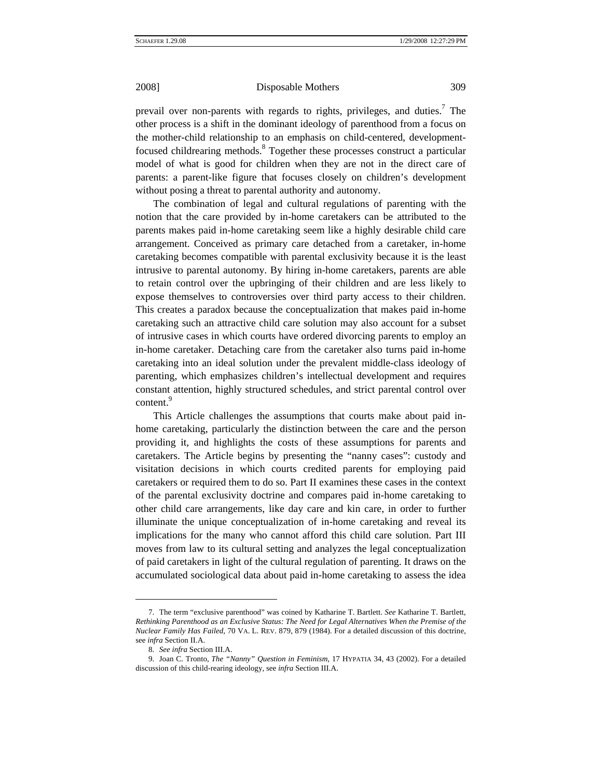prevail over non-parents with regards to rights, privileges, and duties.<sup>7</sup> The other process is a shift in the dominant ideology of parenthood from a focus on the mother-child relationship to an emphasis on child-centered, developmentfocused childrearing methods.<sup>8</sup> Together these processes construct a particular model of what is good for children when they are not in the direct care of parents: a parent-like figure that focuses closely on children's development without posing a threat to parental authority and autonomy.

The combination of legal and cultural regulations of parenting with the notion that the care provided by in-home caretakers can be attributed to the parents makes paid in-home caretaking seem like a highly desirable child care arrangement. Conceived as primary care detached from a caretaker, in-home caretaking becomes compatible with parental exclusivity because it is the least intrusive to parental autonomy. By hiring in-home caretakers, parents are able to retain control over the upbringing of their children and are less likely to expose themselves to controversies over third party access to their children. This creates a paradox because the conceptualization that makes paid in-home caretaking such an attractive child care solution may also account for a subset of intrusive cases in which courts have ordered divorcing parents to employ an in-home caretaker. Detaching care from the caretaker also turns paid in-home caretaking into an ideal solution under the prevalent middle-class ideology of parenting, which emphasizes children's intellectual development and requires constant attention, highly structured schedules, and strict parental control over content.<sup>[9](#page-4-2)</sup>

This Article challenges the assumptions that courts make about paid inhome caretaking, particularly the distinction between the care and the person providing it, and highlights the costs of these assumptions for parents and caretakers. The Article begins by presenting the "nanny cases": custody and visitation decisions in which courts credited parents for employing paid caretakers or required them to do so. Part II examines these cases in the context of the parental exclusivity doctrine and compares paid in-home caretaking to other child care arrangements, like day care and kin care, in order to further illuminate the unique conceptualization of in-home caretaking and reveal its implications for the many who cannot afford this child care solution. Part III moves from law to its cultural setting and analyzes the legal conceptualization of paid caretakers in light of the cultural regulation of parenting. It draws on the accumulated sociological data about paid in-home caretaking to assess the idea

<span id="page-4-0"></span><sup>7.</sup> The term "exclusive parenthood" was coined by Katharine T. Bartlett. *See* Katharine T. Bartlett, *Rethinking Parenthood as an Exclusive Status: The Need for Legal Alternatives When the Premise of the Nuclear Family Has Failed*, 70 VA. L. REV. 879, 879 (1984). For a detailed discussion of this doctrine, see *infra* Section II.A.

<sup>8.</sup> *See infra* Section III.A.

<span id="page-4-2"></span><span id="page-4-1"></span><sup>9.</sup> Joan C. Tronto, *The "Nanny" Question in Feminism*, 17 HYPATIA 34, 43 (2002). For a detailed discussion of this child-rearing ideology, see *infra* Section III.A.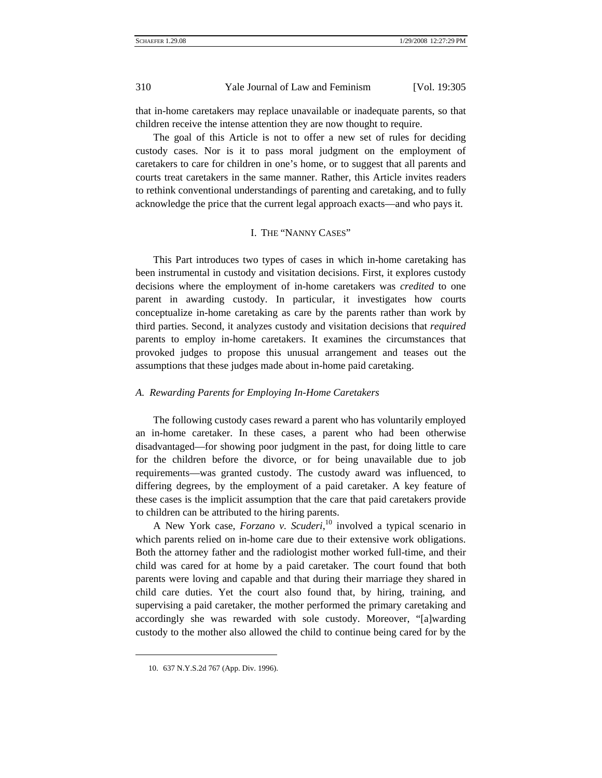that in-home caretakers may replace unavailable or inadequate parents, so that children receive the intense attention they are now thought to require.

The goal of this Article is not to offer a new set of rules for deciding custody cases. Nor is it to pass moral judgment on the employment of caretakers to care for children in one's home, or to suggest that all parents and courts treat caretakers in the same manner. Rather, this Article invites readers to rethink conventional understandings of parenting and caretaking, and to fully acknowledge the price that the current legal approach exacts—and who pays it.

## I. THE "NANNY CASES"

This Part introduces two types of cases in which in-home caretaking has been instrumental in custody and visitation decisions. First, it explores custody decisions where the employment of in-home caretakers was *credited* to one parent in awarding custody. In particular, it investigates how courts conceptualize in-home caretaking as care by the parents rather than work by third parties. Second, it analyzes custody and visitation decisions that *required* parents to employ in-home caretakers. It examines the circumstances that provoked judges to propose this unusual arrangement and teases out the assumptions that these judges made about in-home paid caretaking.

## *A. Rewarding Parents for Employing In-Home Caretakers*

The following custody cases reward a parent who has voluntarily employed an in-home caretaker. In these cases, a parent who had been otherwise disadvantaged—for showing poor judgment in the past, for doing little to care for the children before the divorce, or for being unavailable due to job requirements—was granted custody. The custody award was influenced, to differing degrees, by the employment of a paid caretaker. A key feature of these cases is the implicit assumption that the care that paid caretakers provide to children can be attributed to the hiring parents.

A New York case, *Forzano v. Scuderi*, [10](#page-5-0) involved a typical scenario in which parents relied on in-home care due to their extensive work obligations. Both the attorney father and the radiologist mother worked full-time, and their child was cared for at home by a paid caretaker. The court found that both parents were loving and capable and that during their marriage they shared in child care duties. Yet the court also found that, by hiring, training, and supervising a paid caretaker, the mother performed the primary caretaking and accordingly she was rewarded with sole custody. Moreover, "[a]warding custody to the mother also allowed the child to continue being cared for by the

<span id="page-5-0"></span><sup>10. 637</sup> N.Y.S.2d 767 (App. Div. 1996).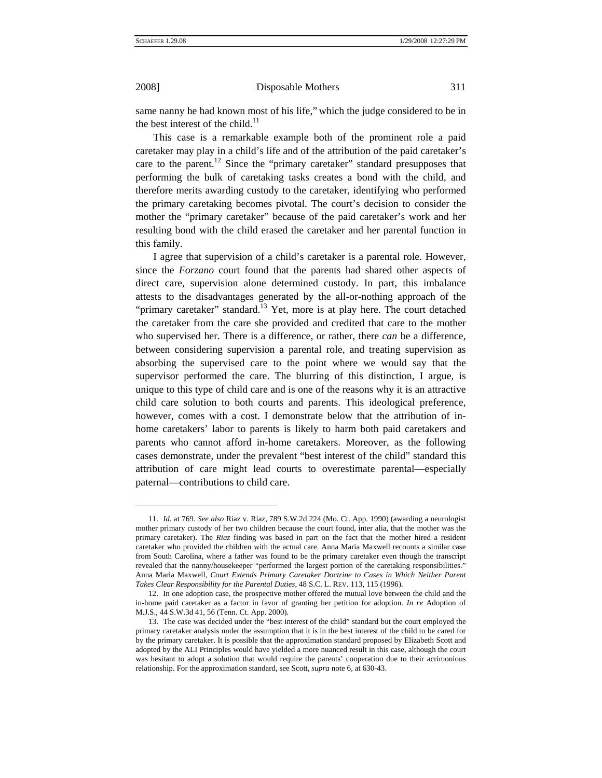$\overline{a}$ 

2008] Disposable Mothers 311

same nanny he had known most of his life," which the judge considered to be in the best interest of the child. $^{11}$ 

This case is a remarkable example both of the prominent role a paid caretaker may play in a child's life and of the attribution of the paid caretaker's care to the parent.<sup>12</sup> Since the "primary caretaker" standard presupposes that performing the bulk of caretaking tasks creates a bond with the child, and therefore merits awarding custody to the caretaker, identifying who performed the primary caretaking becomes pivotal. The court's decision to consider the mother the "primary caretaker" because of the paid caretaker's work and her resulting bond with the child erased the caretaker and her parental function in this family.

I agree that supervision of a child's caretaker is a parental role. However, since the *Forzano* court found that the parents had shared other aspects of direct care, supervision alone determined custody. In part, this imbalance attests to the disadvantages generated by the all-or-nothing approach of the "primary caretaker" standard.<sup>13</sup> Yet, more is at play here. The court detached the caretaker from the care she provided and credited that care to the mother who supervised her. There is a difference, or rather, there *can* be a difference, between considering supervision a parental role, and treating supervision as absorbing the supervised care to the point where we would say that the supervisor performed the care. The blurring of this distinction, I argue, is unique to this type of child care and is one of the reasons why it is an attractive child care solution to both courts and parents. This ideological preference, however, comes with a cost. I demonstrate below that the attribution of inhome caretakers' labor to parents is likely to harm both paid caretakers and parents who cannot afford in-home caretakers. Moreover, as the following cases demonstrate, under the prevalent "best interest of the child" standard this attribution of care might lead courts to overestimate parental—especially paternal—contributions to child care.

<span id="page-6-0"></span><sup>11.</sup> *Id.* at 769. *See also* Riaz v. Riaz, 789 S.W.2d 224 (Mo. Ct. App. 1990) (awarding a neurologist mother primary custody of her two children because the court found, inter alia, that the mother was the primary caretaker). The *Riaz* finding was based in part on the fact that the mother hired a resident caretaker who provided the children with the actual care. Anna Maria Maxwell recounts a similar case from South Carolina, where a father was found to be the primary caretaker even though the transcript revealed that the nanny/housekeeper "performed the largest portion of the caretaking responsibilities." Anna Maria Maxwell, *Court Extends Primary Caretaker Doctrine to Cases in Which Neither Parent Takes Clear Responsibility for the Parental Duties*, 48 S.C. L. REV. 113, 115 (1996).

<span id="page-6-1"></span><sup>12.</sup> In one adoption case, the prospective mother offered the mutual love between the child and the in-home paid caretaker as a factor in favor of granting her petition for adoption. *In re* Adoption of M.J.S., 44 S.W.3d 41, 56 (Tenn. Ct. App. 2000).

<span id="page-6-2"></span><sup>13.</sup> The case was decided under the "best interest of the child" standard but the court employed the primary caretaker analysis under the assumption that it is in the best interest of the child to be cared for by the primary caretaker. It is possible that the approximation standard proposed by Elizabeth Scott and adopted by the ALI Principles would have yielded a more nuanced result in this case, although the court was hesitant to adopt a solution that would require the parents' cooperation due to their acrimonious relationship. For the approximation standard, see Scott, *supra* note 6, at 630-43.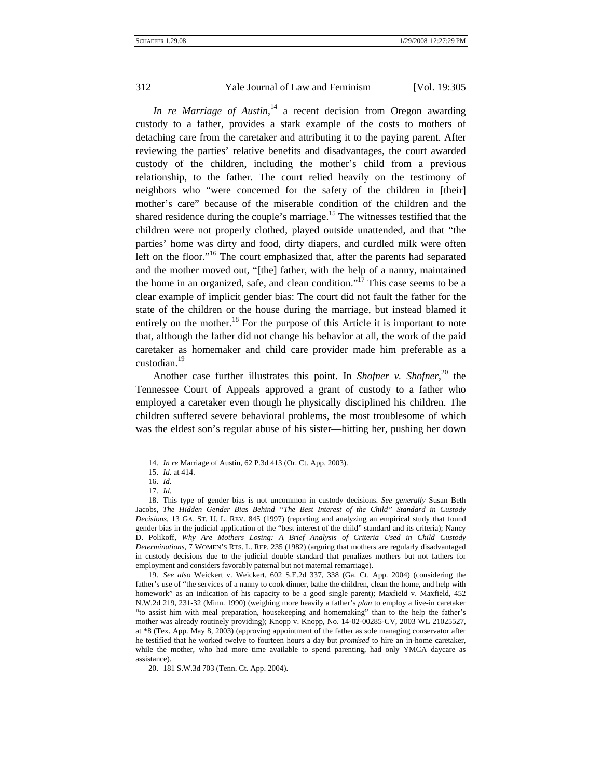*In re Marriage of Austin*, [14](#page-7-0) a recent decision from Oregon awarding custody to a father, provides a stark example of the costs to mothers of detaching care from the caretaker and attributing it to the paying parent. After reviewing the parties' relative benefits and disadvantages, the court awarded custody of the children, including the mother's child from a previous relationship, to the father. The court relied heavily on the testimony of neighbors who "were concerned for the safety of the children in [their] mother's care" because of the miserable condition of the children and the shared residence during the couple's marriage.<sup>15</sup> The witnesses testified that the children were not properly clothed, played outside unattended, and that "the parties' home was dirty and food, dirty diapers, and curdled milk were often left on the floor."<sup>16</sup> The court emphasized that, after the parents had separated and the mother moved out, "[the] father, with the help of a nanny, maintained the home in an organized, safe, and clean condition."<sup>17</sup> This case seems to be a clear example of implicit gender bias: The court did not fault the father for the state of the children or the house during the marriage, but instead blamed it entirely on the mother.<sup>18</sup> For the purpose of this Article it is important to note that, although the father did not change his behavior at all, the work of the paid caretaker as homemaker and child care provider made him preferable as a custodian.<sup>[19](#page-7-5)</sup>

Another case further illustrates this point. In *Shofner v. Shofner*, [20](#page-7-6) the Tennessee Court of Appeals approved a grant of custody to a father who employed a caretaker even though he physically disciplined his children. The children suffered severe behavioral problems, the most troublesome of which was the eldest son's regular abuse of his sister—hitting her, pushing her down

<span id="page-7-0"></span><sup>14.</sup> *In re* Marriage of Austin, 62 P.3d 413 (Or. Ct. App. 2003).

<span id="page-7-2"></span><span id="page-7-1"></span><sup>15.</sup> *Id.* at 414.

<sup>16.</sup> *Id.*

<sup>17.</sup> *Id.*

<span id="page-7-4"></span><span id="page-7-3"></span><sup>18.</sup> This type of gender bias is not uncommon in custody decisions. *See generally* Susan Beth Jacobs, *The Hidden Gender Bias Behind "The Best Interest of the Child" Standard in Custody Decisions*, 13 GA. ST. U. L. REV. 845 (1997) (reporting and analyzing an empirical study that found gender bias in the judicial application of the "best interest of the child" standard and its criteria); Nancy D. Polikoff, *Why Are Mothers Losing: A Brief Analysis of Criteria Used in Child Custody Determinations*, 7 WOMEN'S RTS. L. REP. 235 (1982) (arguing that mothers are regularly disadvantaged in custody decisions due to the judicial double standard that penalizes mothers but not fathers for employment and considers favorably paternal but not maternal remarriage).

<span id="page-7-5"></span><sup>19.</sup> *See also* Weickert v. Weickert, 602 S.E.2d 337, 338 (Ga. Ct. App. 2004) (considering the father's use of "the services of a nanny to cook dinner, bathe the children, clean the home, and help with homework" as an indication of his capacity to be a good single parent); Maxfield v. Maxfield, 452 N.W.2d 219, 231-32 (Minn. 1990) (weighing more heavily a father's *plan* to employ a live-in caretaker "to assist him with meal preparation, housekeeping and homemaking" than to the help the father's mother was already routinely providing); Knopp v. Knopp, No. 14-02-00285-CV, 2003 WL 21025527, at \*8 (Tex. App. May 8, 2003) (approving appointment of the father as sole managing conservator after he testified that he worked twelve to fourteen hours a day but *promised* to hire an in-home caretaker, while the mother, who had more time available to spend parenting, had only YMCA daycare as assistance).

<span id="page-7-6"></span><sup>20. 181</sup> S.W.3d 703 (Tenn. Ct. App. 2004).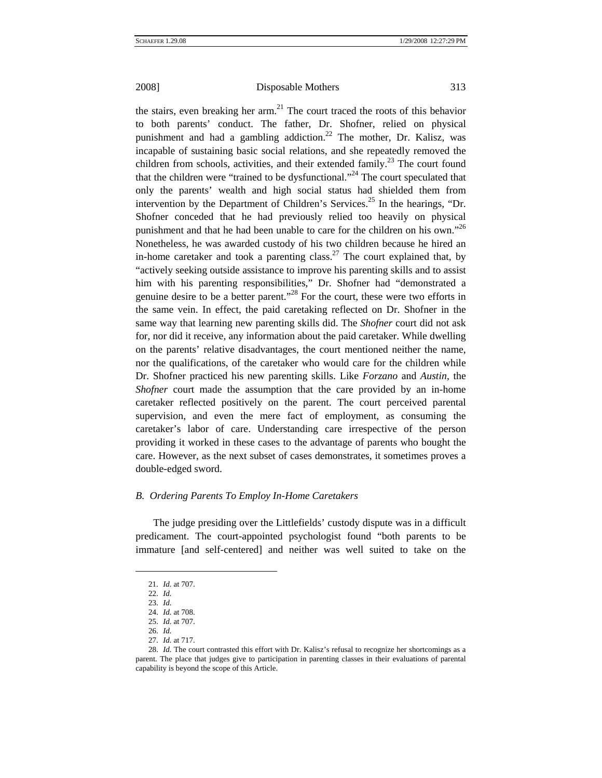the stairs, even breaking her arm. $^{21}$  The court traced the roots of this behavior to both parents' conduct. The father, Dr. Shofner, relied on physical punishment and had a gambling addiction.<sup>22</sup> The mother, Dr. Kalisz, was incapable of sustaining basic social relations, and she repeatedly removed the children from schools, activities, and their extended family.<sup>23</sup> The court found that the children were "trained to be dysfunctional."<sup>24</sup> The court speculated that only the parents' wealth and high social status had shielded them from intervention by the Department of Children's Services.<sup>25</sup> In the hearings, "Dr. Shofner conceded that he had previously relied too heavily on physical punishment and that he had been unable to care for the children on his own."<sup>26</sup> Nonetheless, he was awarded custody of his two children because he hired an in-home caretaker and took a parenting class.<sup>27</sup> The court explained that, by "actively seeking outside assistance to improve his parenting skills and to assist him with his parenting responsibilities," Dr. Shofner had "demonstrated a genuine desire to be a better parent."<sup>28</sup> For the court, these were two efforts in the same vein. In effect, the paid caretaking reflected on Dr. Shofner in the same way that learning new parenting skills did. The *Shofner* court did not ask for, nor did it receive, any information about the paid caretaker. While dwelling on the parents' relative disadvantages, the court mentioned neither the name, nor the qualifications, of the caretaker who would care for the children while Dr. Shofner practiced his new parenting skills. Like *Forzano* and *Austin*, the *Shofner* court made the assumption that the care provided by an in-home caretaker reflected positively on the parent. The court perceived parental supervision, and even the mere fact of employment, as consuming the caretaker's labor of care. Understanding care irrespective of the person providing it worked in these cases to the advantage of parents who bought the care. However, as the next subset of cases demonstrates, it sometimes proves a double-edged sword.

## *B. Ordering Parents To Employ In-Home Caretakers*

The judge presiding over the Littlefields' custody dispute was in a difficult predicament. The court-appointed psychologist found "both parents to be immature [and self-centered] and neither was well suited to take on the

<span id="page-8-0"></span><sup>21.</sup> *Id.* at 707.

<span id="page-8-1"></span><sup>22.</sup> *Id.*

<span id="page-8-2"></span><sup>23.</sup> *Id.*

<span id="page-8-3"></span><sup>24.</sup> *Id.* at 708.

<span id="page-8-4"></span><sup>25.</sup> *Id.* at 707. 26. *Id.*

<span id="page-8-5"></span><sup>27.</sup> *Id.* at 717.

<span id="page-8-7"></span><span id="page-8-6"></span><sup>28.</sup> *Id.* The court contrasted this effort with Dr. Kalisz's refusal to recognize her shortcomings as a parent. The place that judges give to participation in parenting classes in their evaluations of parental capability is beyond the scope of this Article.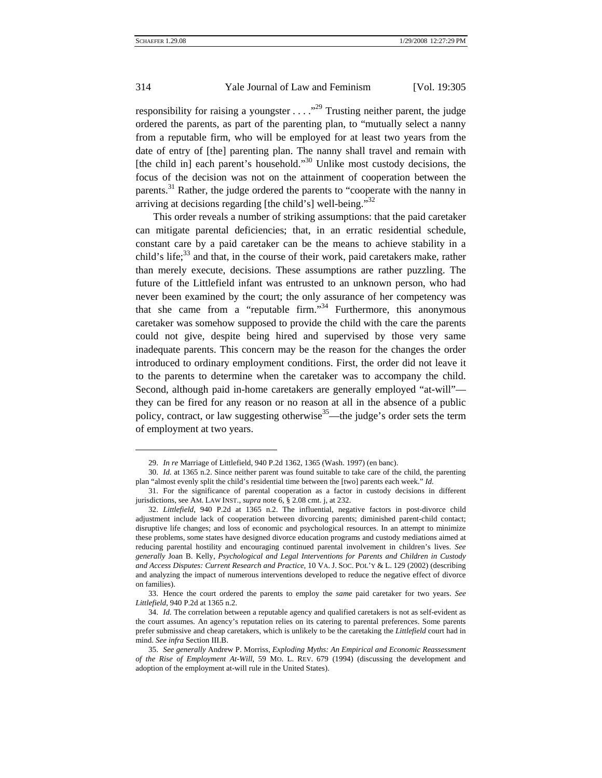$\overline{a}$ 

## 314 Yale Journal of Law and Feminism [Vol. 19:305]

responsibility for raising a youngster . . . ."[29](#page-9-0) Trusting neither parent, the judge ordered the parents, as part of the parenting plan, to "mutually select a nanny from a reputable firm, who will be employed for at least two years from the date of entry of [the] parenting plan. The nanny shall travel and remain with [the child in] each parent's household." $30$  Unlike most custody decisions, the focus of the decision was not on the attainment of cooperation between the parents.<sup>31</sup> Rather, the judge ordered the parents to "cooperate with the nanny in arriving at decisions regarding [the child's] well-being." $32$ 

This order reveals a number of striking assumptions: that the paid caretaker can mitigate parental deficiencies; that, in an erratic residential schedule, constant care by a paid caretaker can be the means to achieve stability in a child's life; $33$  and that, in the course of their work, paid caretakers make, rather than merely execute, decisions. These assumptions are rather puzzling. The future of the Littlefield infant was entrusted to an unknown person, who had never been examined by the court; the only assurance of her competency was that she came from a "reputable firm."<sup>34</sup> Furthermore, this anonymous caretaker was somehow supposed to provide the child with the care the parents could not give, despite being hired and supervised by those very same inadequate parents. This concern may be the reason for the changes the order introduced to ordinary employment conditions. First, the order did not leave it to the parents to determine when the caretaker was to accompany the child. Second, although paid in-home caretakers are generally employed "at-will" they can be fired for any reason or no reason at all in the absence of a public policy, contract, or law suggesting otherwise<sup>35</sup>—the judge's order sets the term of employment at two years.

<sup>29.</sup> *In re* Marriage of Littlefield, 940 P.2d 1362, 1365 (Wash. 1997) (en banc).

<span id="page-9-1"></span><span id="page-9-0"></span><sup>30.</sup> *Id.* at 1365 n.2. Since neither parent was found suitable to take care of the child, the parenting plan "almost evenly split the child's residential time between the [two] parents each week." *Id.*

<span id="page-9-2"></span><sup>31.</sup> For the significance of parental cooperation as a factor in custody decisions in different jurisdictions, see AM. LAW INST., *supra* note 6, § 2.08 cmt. j, at 232.

<span id="page-9-3"></span><sup>32.</sup> *Littlefield*, 940 P.2d at 1365 n.2. The influential, negative factors in post-divorce child adjustment include lack of cooperation between divorcing parents; diminished parent-child contact; disruptive life changes; and loss of economic and psychological resources. In an attempt to minimize these problems, some states have designed divorce education programs and custody mediations aimed at reducing parental hostility and encouraging continued parental involvement in children's lives. *See generally* Joan B. Kelly, *Psychological and Legal Interventions for Parents and Children in Custody and Access Disputes: Current Research and Practice*, 10 VA. J. SOC. POL'Y & L. 129 (2002) (describing and analyzing the impact of numerous interventions developed to reduce the negative effect of divorce on families).

<span id="page-9-4"></span><sup>33.</sup> Hence the court ordered the parents to employ the *same* paid caretaker for two years. *See Littlefield*, 940 P.2d at 1365 n.2.

<span id="page-9-5"></span><sup>34.</sup> *Id.* The correlation between a reputable agency and qualified caretakers is not as self-evident as the court assumes. An agency's reputation relies on its catering to parental preferences. Some parents prefer submissive and cheap caretakers, which is unlikely to be the caretaking the *Littlefield* court had in mind. *See infra* Section III.B.

<span id="page-9-6"></span><sup>35.</sup> *See generally* Andrew P. Morriss, *Exploding Myths: An Empirical and Economic Reassessment of the Rise of Employment At-Will*, 59 MO. L. REV. 679 (1994) (discussing the development and adoption of the employment at-will rule in the United States).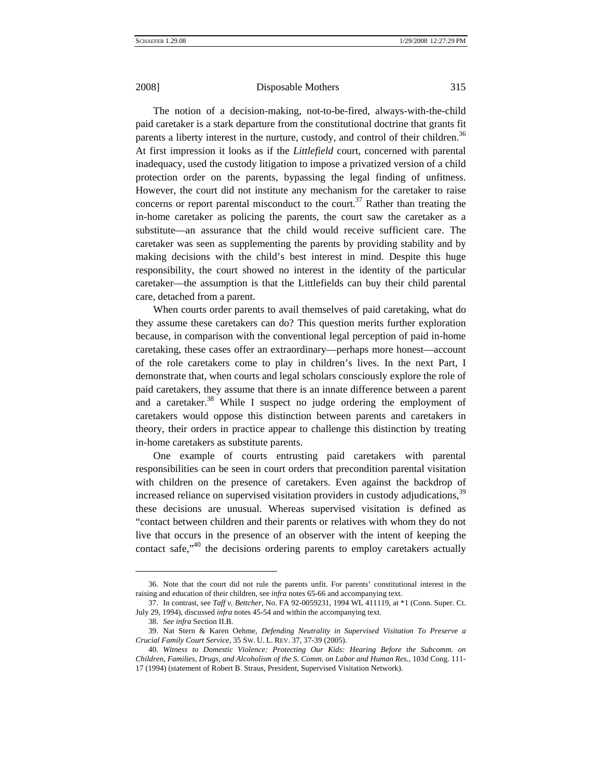The notion of a decision-making, not-to-be-fired, always-with-the-child paid caretaker is a stark departure from the constitutional doctrine that grants fit parents a liberty interest in the nurture, custody, and control of their children.<sup>36</sup> At first impression it looks as if the *Littlefield* court, concerned with parental inadequacy, used the custody litigation to impose a privatized version of a child protection order on the parents, bypassing the legal finding of unfitness. However, the court did not institute any mechanism for the caretaker to raise concerns or report parental misconduct to the court.<sup>37</sup> Rather than treating the in-home caretaker as policing the parents, the court saw the caretaker as a substitute—an assurance that the child would receive sufficient care. The caretaker was seen as supplementing the parents by providing stability and by making decisions with the child's best interest in mind. Despite this huge responsibility, the court showed no interest in the identity of the particular caretaker—the assumption is that the Littlefields can buy their child parental care, detached from a parent.

When courts order parents to avail themselves of paid caretaking, what do they assume these caretakers can do? This question merits further exploration because, in comparison with the conventional legal perception of paid in-home caretaking, these cases offer an extraordinary—perhaps more honest—account of the role caretakers come to play in children's lives. In the next Part, I demonstrate that, when courts and legal scholars consciously explore the role of paid caretakers, they assume that there is an innate difference between a parent and a caretaker.<sup>38</sup> While I suspect no judge ordering the employment of caretakers would oppose this distinction between parents and caretakers in theory, their orders in practice appear to challenge this distinction by treating in-home caretakers as substitute parents.

One example of courts entrusting paid caretakers with parental responsibilities can be seen in court orders that precondition parental visitation with children on the presence of caretakers. Even against the backdrop of increased reliance on supervised visitation providers in custody adjudications,<sup>39</sup> these decisions are unusual. Whereas supervised visitation is defined as "contact between children and their parents or relatives with whom they do not live that occurs in the presence of an observer with the intent of keeping the contact safe,<sup>"40</sup> the decisions ordering parents to employ caretakers actually

<span id="page-10-0"></span><sup>36.</sup> Note that the court did not rule the parents unfit. For parents' constitutional interest in the raising and education of their children, see *infra* notes 65-66 and accompanying text.

<span id="page-10-1"></span><sup>37.</sup> In contrast, see *Taff v. Bettcher*, No. FA 92-0059231, 1994 WL 411119, at \*1 (Conn. Super. Ct. July 29, 1994), discussed *infra* notes 45-54 and within the accompanying text.

<span id="page-10-2"></span><sup>38.</sup> *See infra* Section II.B.

<span id="page-10-3"></span><sup>39.</sup> Nat Stern & Karen Oehme, *Defending Neutrality in Supervised Visitation To Preserve a Crucial Family Court Service*, 35 SW. U. L. REV. 37, 37-39 (2005).

<span id="page-10-4"></span><sup>40</sup>*. Witness to Domestic Violence: Protecting Our Kids: Hearing Before the Subcomm. on Children, Families, Drugs, and Alcoholism of the S. Comm. on Labor and Human Res.*, 103d Cong. 111- 17 (1994) (statement of Robert B. Straus, President, Supervised Visitation Network).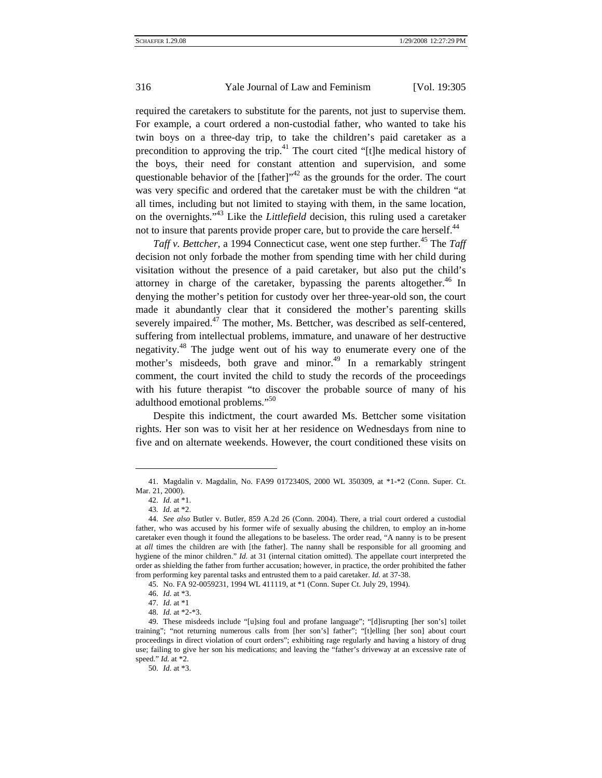required the caretakers to substitute for the parents, not just to supervise them. For example, a court ordered a non-custodial father, who wanted to take his twin boys on a three-day trip, to take the children's paid caretaker as a precondition to approving the trip.<sup>41</sup> The court cited "[t]he medical history of the boys, their need for constant attention and supervision, and some questionable behavior of the  $[father]^{3/2}$  as the grounds for the order. The court was very specific and ordered that the caretaker must be with the children "at all times, including but not limited to staying with them, in the same location, on the overnights.["43](#page-11-2) Like the *Littlefield* decision, this ruling used a caretaker not to insure that parents provide proper care, but to provide the care herself.<sup>44</sup>

*Taff v. Bettcher*, a 1994 Connecticut case, went one step further.<sup>45</sup> The *Taff* decision not only forbade the mother from spending time with her child during visitation without the presence of a paid caretaker, but also put the child's attorney in charge of the caretaker, bypassing the parents altogether.<sup>46</sup> In denying the mother's petition for custody over her three-year-old son, the court made it abundantly clear that it considered the mother's parenting skills severely impaired.<sup>47</sup> The mother, Ms. Bettcher, was described as self-centered, suffering from intellectual problems, immature, and unaware of her destructive negativity.<sup>48</sup> The judge went out of his way to enumerate every one of the mother's misdeeds, both grave and minor.<sup>49</sup> In a remarkably stringent comment, the court invited the child to study the records of the proceedings with his future therapist "to discover the probable source of many of his adulthood emotional problems."[50](#page-11-9)

Despite this indictment, the court awarded Ms. Bettcher some visitation rights. Her son was to visit her at her residence on Wednesdays from nine to five and on alternate weekends. However, the court conditioned these visits on

l

<span id="page-11-0"></span><sup>41.</sup> Magdalin v. Magdalin, No. FA99 0172340S, 2000 WL 350309, at \*1-\*2 (Conn. Super. Ct. Mar. 21, 2000).

<span id="page-11-1"></span><sup>42.</sup> *Id.* at \*1.

<sup>43</sup>*. Id.* at \*2.

<span id="page-11-3"></span><span id="page-11-2"></span><sup>44.</sup> *See also* Butler v. Butler, 859 A.2d 26 (Conn. 2004). There, a trial court ordered a custodial father, who was accused by his former wife of sexually abusing the children, to employ an in-home caretaker even though it found the allegations to be baseless. The order read, "A nanny is to be present at *all* times the children are with [the father]. The nanny shall be responsible for all grooming and hygiene of the minor children." *Id.* at 31 (internal citation omitted). The appellate court interpreted the order as shielding the father from further accusation; however, in practice, the order prohibited the father from performing key parental tasks and entrusted them to a paid caretaker. *Id.* at 37-38.

<span id="page-11-5"></span><span id="page-11-4"></span><sup>45.</sup> No. FA 92-0059231, 1994 WL 411119, at \*1 (Conn. Super Ct. July 29, 1994).

<sup>46.</sup> *Id.* at \*3.

<span id="page-11-6"></span><sup>47.</sup> *Id.* at \*1

<sup>48.</sup> *Id.* at \*2-\*3.

<span id="page-11-8"></span><span id="page-11-7"></span><sup>49.</sup> These misdeeds include "[u]sing foul and profane language"; "[d]isrupting [her son's] toilet training"; "not returning numerous calls from [her son's] father"; "[t]elling [her son] about court proceedings in direct violation of court orders"; exhibiting rage regularly and having a history of drug use; failing to give her son his medications; and leaving the "father's driveway at an excessive rate of speed." *Id.* at \*2.

<span id="page-11-9"></span><sup>50.</sup> *Id.* at \*3.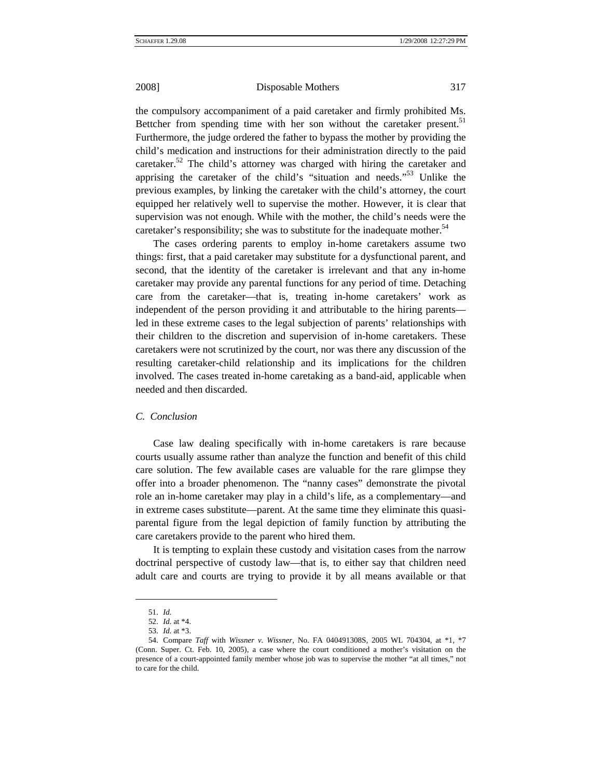the compulsory accompaniment of a paid caretaker and firmly prohibited Ms. Bettcher from spending time with her son without the caretaker present.<sup>51</sup> Furthermore, the judge ordered the father to bypass the mother by providing the child's medication and instructions for their administration directly to the paid caretaker.<sup>52</sup> The child's attorney was charged with hiring the caretaker and apprising the caretaker of the child's "situation and needs.["53](#page-12-2) Unlike the previous examples, by linking the caretaker with the child's attorney, the court equipped her relatively well to supervise the mother. However, it is clear that supervision was not enough. While with the mother, the child's needs were the caretaker's responsibility; she was to substitute for the inadequate mother.<sup>54</sup>

The cases ordering parents to employ in-home caretakers assume two things: first, that a paid caretaker may substitute for a dysfunctional parent, and second, that the identity of the caretaker is irrelevant and that any in-home caretaker may provide any parental functions for any period of time. Detaching care from the caretaker—that is, treating in-home caretakers' work as independent of the person providing it and attributable to the hiring parents led in these extreme cases to the legal subjection of parents' relationships with their children to the discretion and supervision of in-home caretakers. These caretakers were not scrutinized by the court, nor was there any discussion of the resulting caretaker-child relationship and its implications for the children involved. The cases treated in-home caretaking as a band-aid, applicable when needed and then discarded.

#### *C. Conclusion*

Case law dealing specifically with in-home caretakers is rare because courts usually assume rather than analyze the function and benefit of this child care solution. The few available cases are valuable for the rare glimpse they offer into a broader phenomenon. The "nanny cases" demonstrate the pivotal role an in-home caretaker may play in a child's life, as a complementary—and in extreme cases substitute—parent. At the same time they eliminate this quasiparental figure from the legal depiction of family function by attributing the care caretakers provide to the parent who hired them.

It is tempting to explain these custody and visitation cases from the narrow doctrinal perspective of custody law—that is, to either say that children need adult care and courts are trying to provide it by all means available or that

<span id="page-12-0"></span><sup>51.</sup> *Id.*

<span id="page-12-1"></span><sup>52.</sup> *Id.* at \*4.

<span id="page-12-2"></span><sup>53.</sup> *Id.* at \*3.

<span id="page-12-3"></span><sup>54.</sup> Compare *Taff* with *Wissner v. Wissner*, No. FA 040491308S, 2005 WL 704304, at \*1, \*7 (Conn. Super. Ct. Feb. 10, 2005), a case where the court conditioned a mother's visitation on the presence of a court-appointed family member whose job was to supervise the mother "at all times," not to care for the child.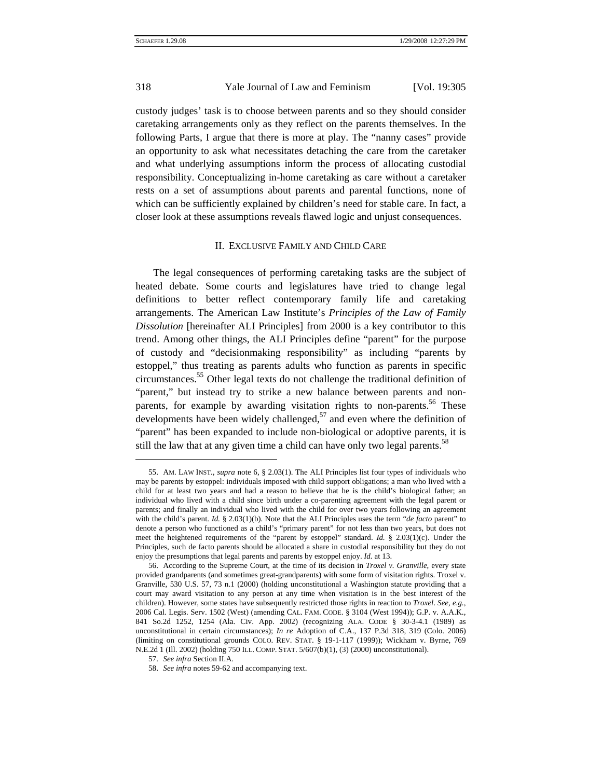custody judges' task is to choose between parents and so they should consider caretaking arrangements only as they reflect on the parents themselves. In the following Parts, I argue that there is more at play. The "nanny cases" provide an opportunity to ask what necessitates detaching the care from the caretaker and what underlying assumptions inform the process of allocating custodial responsibility. Conceptualizing in-home caretaking as care without a caretaker rests on a set of assumptions about parents and parental functions, none of which can be sufficiently explained by children's need for stable care. In fact, a closer look at these assumptions reveals flawed logic and unjust consequences.

### II. EXCLUSIVE FAMILY AND CHILD CARE

The legal consequences of performing caretaking tasks are the subject of heated debate. Some courts and legislatures have tried to change legal definitions to better reflect contemporary family life and caretaking arrangements. The American Law Institute's *Principles of the Law of Family Dissolution* [hereinafter ALI Principles] from 2000 is a key contributor to this trend. Among other things, the ALI Principles define "parent" for the purpose of custody and "decisionmaking responsibility" as including "parents by estoppel," thus treating as parents adults who function as parents in specific circumstances[.55](#page-13-0) Other legal texts do not challenge the traditional definition of "parent," but instead try to strike a new balance between parents and nonparents, for example by awarding visitation rights to non-parents.<sup>56</sup> These developments have been widely challenged,<sup>57</sup> and even where the definition of "parent" has been expanded to include non-biological or adoptive parents, it is still the law that at any given time a child can have only two legal parents.<sup>58</sup>

<span id="page-13-0"></span><sup>55.</sup> AM. LAW INST., *supra* note 6, § 2.03(1). The ALI Principles list four types of individuals who may be parents by estoppel: individuals imposed with child support obligations; a man who lived with a child for at least two years and had a reason to believe that he is the child's biological father; an individual who lived with a child since birth under a co-parenting agreement with the legal parent or parents; and finally an individual who lived with the child for over two years following an agreement with the child's parent. *Id.* § 2.03(1)(b). Note that the ALI Principles uses the term "*de facto* parent" to denote a person who functioned as a child's "primary parent" for not less than two years, but does not meet the heightened requirements of the "parent by estoppel" standard. *Id.* § 2.03(1)(c). Under the Principles, such de facto parents should be allocated a share in custodial responsibility but they do not enjoy the presumptions that legal parents and parents by estoppel enjoy. *Id.* at 13.

<span id="page-13-1"></span><sup>56.</sup> According to the Supreme Court, at the time of its decision in *Troxel v. Granville*, every state provided grandparents (and sometimes great-grandparents) with some form of visitation rights. Troxel v. Granville, 530 U.S. 57, 73 n.1 (2000) (holding unconstitutional a Washington statute providing that a court may award visitation to any person at any time when visitation is in the best interest of the children). However, some states have subsequently restricted those rights in reaction to *Troxel*. *See, e.g.*, 2006 Cal. Legis. Serv. 1502 (West) (amending CAL. FAM. CODE. § 3104 (West 1994)); G.P. v. A.A.K., 841 So.2d 1252, 1254 (Ala. Civ. App. 2002) (recognizing ALA. CODE § 30-3-4.1 (1989) as unconstitutional in certain circumstances); *In re* Adoption of C.A., 137 P.3d 318, 319 (Colo. 2006) (limiting on constitutional grounds COLO. REV. STAT. § 19-1-117 (1999)); Wickham v. Byrne, 769 N.E.2d 1 (Ill. 2002) (holding 750 ILL. COMP. STAT. 5/607(b)(1), (3) (2000) unconstitutional).

<span id="page-13-2"></span><sup>57.</sup> *See infra* Section II.A.

<span id="page-13-3"></span><sup>58.</sup> *See infra* notes 59-62 and accompanying text.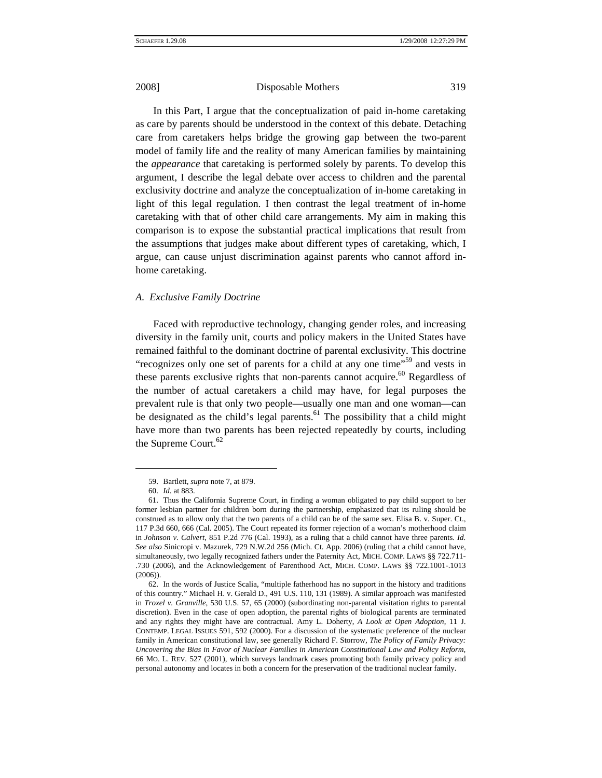In this Part, I argue that the conceptualization of paid in-home caretaking as care by parents should be understood in the context of this debate. Detaching care from caretakers helps bridge the growing gap between the two-parent model of family life and the reality of many American families by maintaining the *appearance* that caretaking is performed solely by parents. To develop this argument, I describe the legal debate over access to children and the parental exclusivity doctrine and analyze the conceptualization of in-home caretaking in light of this legal regulation. I then contrast the legal treatment of in-home caretaking with that of other child care arrangements. My aim in making this comparison is to expose the substantial practical implications that result from the assumptions that judges make about different types of caretaking, which, I argue, can cause unjust discrimination against parents who cannot afford inhome caretaking.

## *A. Exclusive Family Doctrine*

Faced with reproductive technology, changing gender roles, and increasing diversity in the family unit, courts and policy makers in the United States have remained faithful to the dominant doctrine of parental exclusivity. This doctrine "recognizes only one set of parents for a child at any one time"<sup>59</sup> and vests in these parents exclusive rights that non-parents cannot acquire.<sup>60</sup> Regardless of the number of actual caretakers a child may have, for legal purposes the prevalent rule is that only two people—usually one man and one woman—can be designated as the child's legal parents. $61$  The possibility that a child might have more than two parents has been rejected repeatedly by courts, including the Supreme Court.<sup>[62](#page-14-3)</sup>

<span id="page-14-0"></span>l

<sup>59.</sup> Bartlett, *supra* note 7, at 879.

<sup>60.</sup> *Id.* at 883.

<span id="page-14-2"></span><span id="page-14-1"></span><sup>61.</sup> Thus the California Supreme Court, in finding a woman obligated to pay child support to her former lesbian partner for children born during the partnership, emphasized that its ruling should be construed as to allow only that the two parents of a child can be of the same sex. Elisa B. v. Super. Ct., 117 P.3d 660, 666 (Cal. 2005). The Court repeated its former rejection of a woman's motherhood claim in *Johnson v. Calvert*, 851 P.2d 776 (Cal. 1993), as a ruling that a child cannot have three parents. *Id. See also* Sinicropi v. Mazurek, 729 N.W.2d 256 (Mich. Ct. App. 2006) (ruling that a child cannot have, simultaneously, two legally recognized fathers under the Paternity Act, MICH. COMP. LAWS §§ 722.711- .730 (2006), and the Acknowledgement of Parenthood Act, MICH. COMP. LAWS §§ 722.1001-.1013 (2006)).

<span id="page-14-3"></span><sup>62.</sup> In the words of Justice Scalia, "multiple fatherhood has no support in the history and traditions of this country." Michael H. v. Gerald D., 491 U.S. 110, 131 (1989). A similar approach was manifested in *Troxel v. Granville*, 530 U.S. 57, 65 (2000) (subordinating non-parental visitation rights to parental discretion). Even in the case of open adoption, the parental rights of biological parents are terminated and any rights they might have are contractual. Amy L. Doherty, *A Look at Open Adoption*, 11 J. CONTEMP. LEGAL ISSUES 591, 592 (2000). For a discussion of the systematic preference of the nuclear family in American constitutional law, see generally Richard F. Storrow, *The Policy of Family Privacy: Uncovering the Bias in Favor of Nuclear Families in American Constitutional Law and Policy Reform*, 66 MO. L. REV. 527 (2001), which surveys landmark cases promoting both family privacy policy and personal autonomy and locates in both a concern for the preservation of the traditional nuclear family.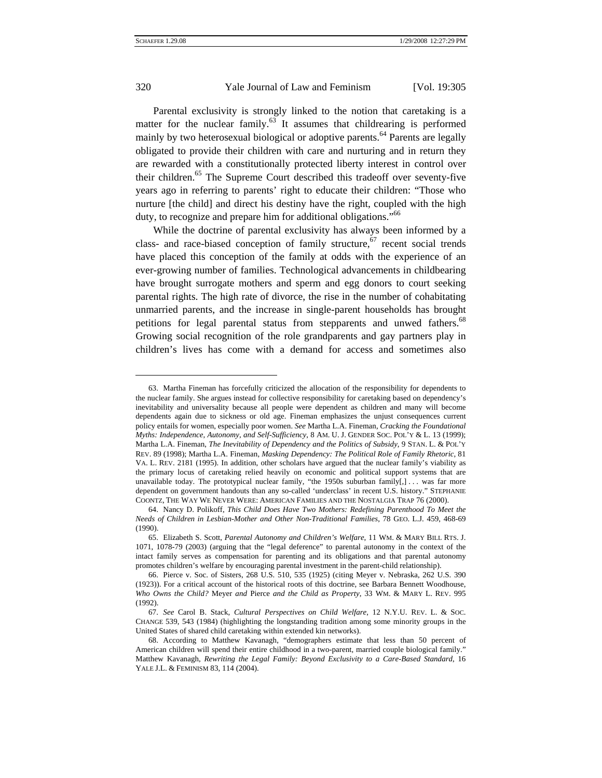$\overline{a}$ 

## 320 Yale Journal of Law and Feminism [Vol. 19:305]

Parental exclusivity is strongly linked to the notion that caretaking is a matter for the nuclear family.<sup>63</sup> It assumes that childrearing is performed mainly by two heterosexual biological or adoptive parents.<sup>64</sup> Parents are legally obligated to provide their children with care and nurturing and in return they are rewarded with a constitutionally protected liberty interest in control over their children.<sup>65</sup> The Supreme Court described this tradeoff over seventy-five years ago in referring to parents' right to educate their children: "Those who nurture [the child] and direct his destiny have the right, coupled with the high duty, to recognize and prepare him for additional obligations."<sup>66</sup>

While the doctrine of parental exclusivity has always been informed by a class- and race-biased conception of family structure,<sup>67</sup> recent social trends have placed this conception of the family at odds with the experience of an ever-growing number of families. Technological advancements in childbearing have brought surrogate mothers and sperm and egg donors to court seeking parental rights. The high rate of divorce, the rise in the number of cohabitating unmarried parents, and the increase in single-parent households has brought petitions for legal parental status from stepparents and unwed fathers.<sup>68</sup> Growing social recognition of the role grandparents and gay partners play in children's lives has come with a demand for access and sometimes also

<span id="page-15-0"></span><sup>63.</sup> Martha Fineman has forcefully criticized the allocation of the responsibility for dependents to the nuclear family. She argues instead for collective responsibility for caretaking based on dependency's inevitability and universality because all people were dependent as children and many will become dependents again due to sickness or old age. Fineman emphasizes the unjust consequences current policy entails for women, especially poor women. *See* Martha L.A. Fineman, *Cracking the Foundational Myths: Independence, Autonomy, and Self-Sufficiency*, 8 AM. U. J. GENDER SOC. POL'Y & L. 13 (1999); Martha L.A. Fineman, *The Inevitability of Dependency and the Politics of Subsidy*, 9 STAN. L. & POL'Y REV. 89 (1998); Martha L.A. Fineman, *Masking Dependency: The Political Role of Family Rhetoric*, 81 VA. L. REV. 2181 (1995). In addition, other scholars have argued that the nuclear family's viability as the primary locus of caretaking relied heavily on economic and political support systems that are unavailable today. The prototypical nuclear family, "the 1950s suburban family[,] ... was far more dependent on government handouts than any so-called 'underclass' in recent U.S. history." STEPHANIE COONTZ, THE WAY WE NEVER WERE: AMERICAN FAMILIES AND THE NOSTALGIA TRAP 76 (2000).

<span id="page-15-1"></span><sup>64.</sup> Nancy D. Polikoff, *This Child Does Have Two Mothers: Redefining Parenthood To Meet the Needs of Children in Lesbian-Mother and Other Non-Traditional Families*, 78 GEO. L.J. 459, 468-69 (1990).

<span id="page-15-2"></span><sup>65.</sup> Elizabeth S. Scott, *Parental Autonomy and Children's Welfare*, 11 WM. & MARY BILL RTS. J. 1071, 1078-79 (2003) (arguing that the "legal deference" to parental autonomy in the context of the intact family serves as compensation for parenting and its obligations and that parental autonomy promotes children's welfare by encouraging parental investment in the parent-child relationship).

<span id="page-15-3"></span><sup>66.</sup> Pierce v. Soc. of Sisters, 268 U.S. 510, 535 (1925) (citing Meyer v. Nebraska, 262 U.S. 390 (1923)). For a critical account of the historical roots of this doctrine, see Barbara Bennett Woodhouse, *Who Owns the Child?* Meyer *and* Pierce *and the Child as Property*, 33 WM. & MARY L. REV. 995 (1992).

<span id="page-15-4"></span><sup>67.</sup> *See* Carol B. Stack, *Cultural Perspectives on Child Welfare*, 12 N.Y.U. REV. L. & SOC. CHANGE 539, 543 (1984) (highlighting the longstanding tradition among some minority groups in the United States of shared child caretaking within extended kin networks).

<span id="page-15-5"></span><sup>68.</sup> According to Matthew Kavanagh, "demographers estimate that less than 50 percent of American children will spend their entire childhood in a two-parent, married couple biological family." Matthew Kavanagh, *Rewriting the Legal Family: Beyond Exclusivity to a Care-Based Standard*, 16 YALE J.L. & FEMINISM 83, 114 (2004).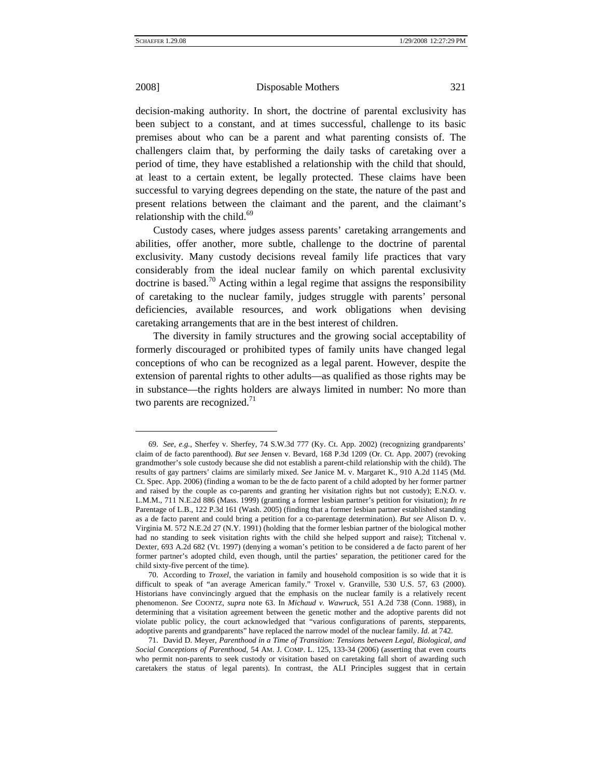$\overline{a}$ 

2008] Disposable Mothers 321

decision-making authority. In short, the doctrine of parental exclusivity has been subject to a constant, and at times successful, challenge to its basic premises about who can be a parent and what parenting consists of. The challengers claim that, by performing the daily tasks of caretaking over a period of time, they have established a relationship with the child that should, at least to a certain extent, be legally protected. These claims have been successful to varying degrees depending on the state, the nature of the past and present relations between the claimant and the parent, and the claimant's relationship with the child. $69$ 

Custody cases, where judges assess parents' caretaking arrangements and abilities, offer another, more subtle, challenge to the doctrine of parental exclusivity. Many custody decisions reveal family life practices that vary considerably from the ideal nuclear family on which parental exclusivity doctrine is based.<sup>70</sup> Acting within a legal regime that assigns the responsibility of caretaking to the nuclear family, judges struggle with parents' personal deficiencies, available resources, and work obligations when devising caretaking arrangements that are in the best interest of children.

The diversity in family structures and the growing social acceptability of formerly discouraged or prohibited types of family units have changed legal conceptions of who can be recognized as a legal parent. However, despite the extension of parental rights to other adults—as qualified as those rights may be in substance—the rights holders are always limited in number: No more than two parents are recognized. $71$ 

<span id="page-16-0"></span><sup>69.</sup> *See, e.g.*, Sherfey v. Sherfey, 74 S.W.3d 777 (Ky. Ct. App. 2002) (recognizing grandparents' claim of de facto parenthood). *But see* Jensen v. Bevard, 168 P.3d 1209 (Or. Ct. App. 2007) (revoking grandmother's sole custody because she did not establish a parent-child relationship with the child). The results of gay partners' claims are similarly mixed. *See* Janice M. v. Margaret K., 910 A.2d 1145 (Md. Ct. Spec. App. 2006) (finding a woman to be the de facto parent of a child adopted by her former partner and raised by the couple as co-parents and granting her visitation rights but not custody); E.N.O. v. L.M.M., 711 N.E.2d 886 (Mass. 1999) (granting a former lesbian partner's petition for visitation); *In re* Parentage of L.B., 122 P.3d 161 (Wash. 2005) (finding that a former lesbian partner established standing as a de facto parent and could bring a petition for a co-parentage determination). *But see* Alison D. v. Virginia M. 572 N.E.2d 27 (N.Y. 1991) (holding that the former lesbian partner of the biological mother had no standing to seek visitation rights with the child she helped support and raise); Titchenal v. Dexter, 693 A.2d 682 (Vt. 1997) (denying a woman's petition to be considered a de facto parent of her former partner's adopted child, even though, until the parties' separation, the petitioner cared for the child sixty-five percent of the time).

<span id="page-16-1"></span><sup>70.</sup> According to *Troxel*, the variation in family and household composition is so wide that it is difficult to speak of "an average American family." Troxel v. Granville, 530 U.S. 57, 63 (2000). Historians have convincingly argued that the emphasis on the nuclear family is a relatively recent phenomenon. *See* COONTZ, *supra* note 63. In *Michaud v. Wawruck*, 551 A.2d 738 (Conn. 1988), in determining that a visitation agreement between the genetic mother and the adoptive parents did not violate public policy, the court acknowledged that "various configurations of parents, stepparents, adoptive parents and grandparents" have replaced the narrow model of the nuclear family. *Id.* at 742.

<span id="page-16-2"></span><sup>71.</sup> David D. Meyer, *Parenthood in a Time of Transition: Tensions between Legal, Biological, and Social Conceptions of Parenthood*, 54 AM. J. COMP. L. 125, 133-34 (2006) (asserting that even courts who permit non-parents to seek custody or visitation based on caretaking fall short of awarding such caretakers the status of legal parents). In contrast, the ALI Principles suggest that in certain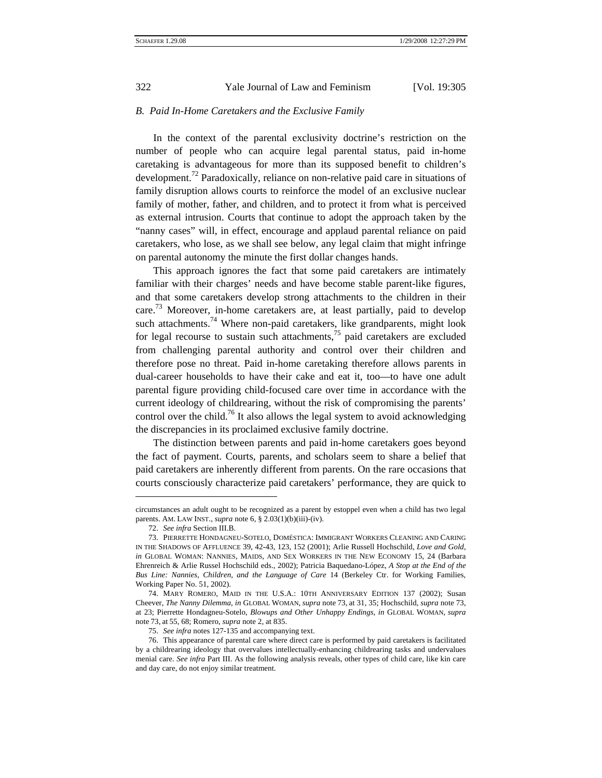### *B. Paid In-Home Caretakers and the Exclusive Family*

In the context of the parental exclusivity doctrine's restriction on the number of people who can acquire legal parental status, paid in-home caretaking is advantageous for more than its supposed benefit to children's development.<sup>72</sup> Paradoxically, reliance on non-relative paid care in situations of family disruption allows courts to reinforce the model of an exclusive nuclear family of mother, father, and children, and to protect it from what is perceived as external intrusion. Courts that continue to adopt the approach taken by the "nanny cases" will, in effect, encourage and applaud parental reliance on paid caretakers, who lose, as we shall see below, any legal claim that might infringe on parental autonomy the minute the first dollar changes hands.

This approach ignores the fact that some paid caretakers are intimately familiar with their charges' needs and have become stable parent-like figures, and that some caretakers develop strong attachments to the children in their care.<sup>73</sup> Moreover, in-home caretakers are, at least partially, paid to develop such attachments.<sup>74</sup> Where non-paid caretakers, like grandparents, might look for legal recourse to sustain such attachments, $\frac{75}{12}$  paid caretakers are excluded from challenging parental authority and control over their children and therefore pose no threat. Paid in-home caretaking therefore allows parents in dual-career households to have their cake and eat it, too—to have one adult parental figure providing child-focused care over time in accordance with the current ideology of childrearing, without the risk of compromising the parents' control over the child.<sup>76</sup> It also allows the legal system to avoid acknowledging the discrepancies in its proclaimed exclusive family doctrine.

The distinction between parents and paid in-home caretakers goes beyond the fact of payment. Courts, parents, and scholars seem to share a belief that paid caretakers are inherently different from parents. On the rare occasions that courts consciously characterize paid caretakers' performance, they are quick to

l

circumstances an adult ought to be recognized as a parent by estoppel even when a child has two legal parents. AM. LAW INST., *supra* note 6, § 2.03(1)(b)(iii)-(iv).

<sup>72.</sup> *See infra* Section III.B.

<span id="page-17-1"></span><span id="page-17-0"></span><sup>73.</sup> PIERRETTE HONDAGNEU-SOTELO, DOMÉSTICA: IMMIGRANT WORKERS CLEANING AND CARING IN THE SHADOWS OF AFFLUENCE 39, 42-43, 123, 152 (2001); Arlie Russell Hochschild, *Love and Gold*, *in* GLOBAL WOMAN: NANNIES, MAIDS, AND SEX WORKERS IN THE NEW ECONOMY 15, 24 (Barbara Ehrenreich & Arlie Russel Hochschild eds., 2002); Patricia Baquedano-López, *A Stop at the End of the Bus Line: Nannies, Children, and the Language of Care* 14 (Berkeley Ctr. for Working Families, Working Paper No. 51, 2002).

<span id="page-17-2"></span><sup>74.</sup> MARY ROMERO, MAID IN THE U.S.A.: 10TH ANNIVERSARY EDITION 137 (2002); Susan Cheever, *The Nanny Dilemma*, *in* GLOBAL WOMAN, *supra* note 73, at 31, 35; Hochschild, *supra* note 73, at 23; Pierrette Hondagneu-Sotelo, *Blowups and Other Unhappy Endings*, *in* GLOBAL WOMAN, *supra* note 73, at 55, 68; Romero, *supra* note 2, at 835.

<sup>75.</sup> *See infra* notes 127-135 and accompanying text.

<span id="page-17-4"></span><span id="page-17-3"></span><sup>76.</sup> This appearance of parental care where direct care is performed by paid caretakers is facilitated by a childrearing ideology that overvalues intellectually-enhancing childrearing tasks and undervalues menial care. *See infra* Part III. As the following analysis reveals, other types of child care, like kin care and day care, do not enjoy similar treatment.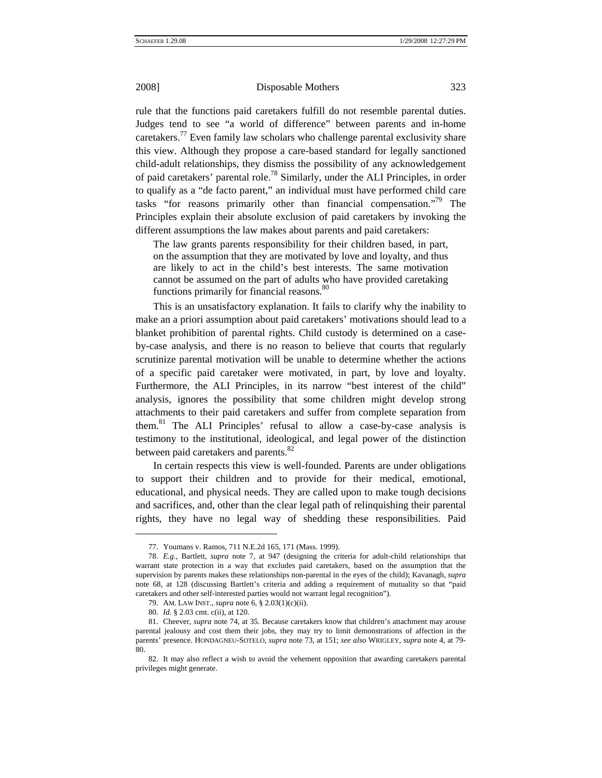rule that the functions paid caretakers fulfill do not resemble parental duties. Judges tend to see "a world of difference" between parents and in-home caretakers.<sup>77</sup> Even family law scholars who challenge parental exclusivity share this view. Although they propose a care-based standard for legally sanctioned child-adult relationships, they dismiss the possibility of any acknowledgement of paid caretakers' parental role[.78](#page-18-1) Similarly, under the ALI Principles, in order to qualify as a "de facto parent," an individual must have performed child care tasks "for reasons primarily other than financial compensation."<sup>79</sup> The Principles explain their absolute exclusion of paid caretakers by invoking the different assumptions the law makes about parents and paid caretakers:

The law grants parents responsibility for their children based, in part, on the assumption that they are motivated by love and loyalty, and thus are likely to act in the child's best interests. The same motivation cannot be assumed on the part of adults who have provided caretaking functions primarily for financial reasons.<sup>[80](#page-18-3)</sup>

This is an unsatisfactory explanation. It fails to clarify why the inability to make an a priori assumption about paid caretakers' motivations should lead to a blanket prohibition of parental rights. Child custody is determined on a caseby-case analysis, and there is no reason to believe that courts that regularly scrutinize parental motivation will be unable to determine whether the actions of a specific paid caretaker were motivated, in part, by love and loyalty. Furthermore, the ALI Principles, in its narrow "best interest of the child" analysis, ignores the possibility that some children might develop strong attachments to their paid caretakers and suffer from complete separation from them.[81](#page-18-4) The ALI Principles' refusal to allow a case-by-case analysis is testimony to the institutional, ideological, and legal power of the distinction between paid caretakers and parents. $82$ 

In certain respects this view is well-founded. Parents are under obligations to support their children and to provide for their medical, emotional, educational, and physical needs. They are called upon to make tough decisions and sacrifices, and, other than the clear legal path of relinquishing their parental rights, they have no legal way of shedding these responsibilities. Paid

<sup>77.</sup> Youmans v. Ramos, 711 N.E.2d 165, 171 (Mass. 1999).

<span id="page-18-1"></span><span id="page-18-0"></span><sup>78.</sup> *E.g.*, Bartlett, *supra* note 7, at 947 (designing the criteria for adult-child relationships that warrant state protection in a way that excludes paid caretakers, based on the assumption that the supervision by parents makes these relationships non-parental in the eyes of the child); Kavanagh, *supra*  note 68, at 128 (discussing Bartlett's criteria and adding a requirement of mutuality so that "paid caretakers and other self-interested parties would not warrant legal recognition").

<span id="page-18-2"></span><sup>79.</sup> AM. LAW INST., *supra* note 6, § 2.03(1)(c)(ii).

<sup>80.</sup> *Id.* § 2.03 cmt. c(ii), at 120.

<span id="page-18-4"></span><span id="page-18-3"></span><sup>81.</sup> Cheever, *supra* note 74, at 35. Because caretakers know that children's attachment may arouse parental jealousy and cost them their jobs, they may try to limit demonstrations of affection in the parents' presence. HONDAGNEU-SOTELO, *supra* note 73, at 151; *see also* WRIGLEY, *supra* note 4, at 79- 80.

<span id="page-18-5"></span><sup>82.</sup> It may also reflect a wish to avoid the vehement opposition that awarding caretakers parental privileges might generate.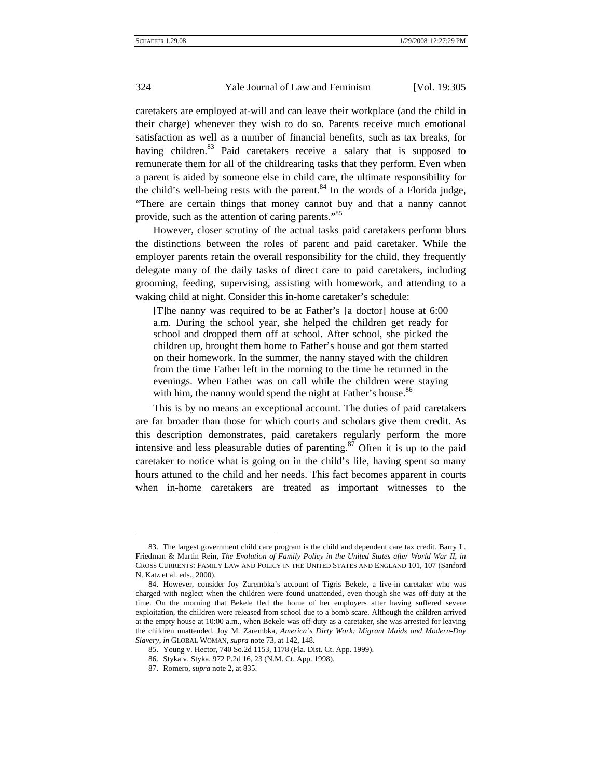caretakers are employed at-will and can leave their workplace (and the child in their charge) whenever they wish to do so. Parents receive much emotional satisfaction as well as a number of financial benefits, such as tax breaks, for having children.<sup>83</sup> Paid caretakers receive a salary that is supposed to remunerate them for all of the childrearing tasks that they perform. Even when a parent is aided by someone else in child care, the ultimate responsibility for the child's well-being rests with the parent.<sup>84</sup> In the words of a Florida judge, "There are certain things that money cannot buy and that a nanny cannot provide, such as the attention of caring parents.["85](#page-19-2)

However, closer scrutiny of the actual tasks paid caretakers perform blurs the distinctions between the roles of parent and paid caretaker. While the employer parents retain the overall responsibility for the child, they frequently delegate many of the daily tasks of direct care to paid caretakers, including grooming, feeding, supervising, assisting with homework, and attending to a waking child at night. Consider this in-home caretaker's schedule:

[T]he nanny was required to be at Father's [a doctor] house at 6:00 a.m. During the school year, she helped the children get ready for school and dropped them off at school. After school, she picked the children up, brought them home to Father's house and got them started on their homework. In the summer, the nanny stayed with the children from the time Father left in the morning to the time he returned in the evenings. When Father was on call while the children were staying with him, the nanny would spend the night at Father's house.<sup>[86](#page-19-3)</sup>

This is by no means an exceptional account. The duties of paid caretakers are far broader than those for which courts and scholars give them credit. As this description demonstrates, paid caretakers regularly perform the more intensive and less pleasurable duties of parenting. $87$  Often it is up to the paid caretaker to notice what is going on in the child's life, having spent so many hours attuned to the child and her needs. This fact becomes apparent in courts when in-home caretakers are treated as important witnesses to the

<span id="page-19-0"></span><sup>83.</sup> The largest government child care program is the child and dependent care tax credit. Barry L. Friedman & Martin Rein, *The Evolution of Family Policy in the United States after World War II*, *in* CROSS CURRENTS: FAMILY LAW AND POLICY IN THE UNITED STATES AND ENGLAND 101, 107 (Sanford N. Katz et al. eds., 2000).

<span id="page-19-1"></span><sup>84.</sup> However, consider Joy Zarembka's account of Tigris Bekele, a live-in caretaker who was charged with neglect when the children were found unattended, even though she was off-duty at the time. On the morning that Bekele fled the home of her employers after having suffered severe exploitation, the children were released from school due to a bomb scare. Although the children arrived at the empty house at 10:00 a.m., when Bekele was off-duty as a caretaker, she was arrested for leaving the children unattended. Joy M. Zarembka, *America's Dirty Work: Migrant Maids and Modern-Day Slavery*, *in* GLOBAL WOMAN, *supra* note 73, at 142, 148.

<span id="page-19-2"></span><sup>85.</sup> Young v. Hector, 740 So.2d 1153, 1178 (Fla. Dist. Ct. App. 1999).

<span id="page-19-3"></span><sup>86.</sup> Styka v. Styka, 972 P.2d 16, 23 (N.M. Ct. App. 1998).

<span id="page-19-4"></span><sup>87.</sup> Romero, *supra* note 2, at 835.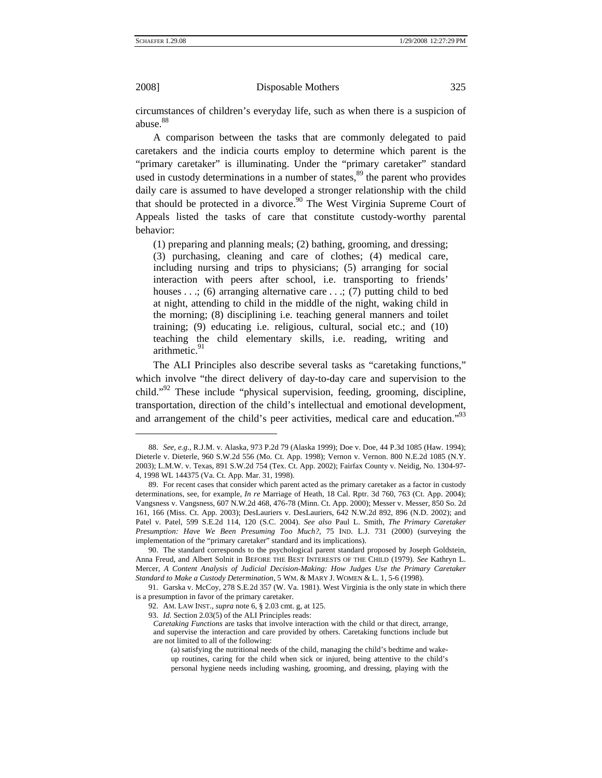$\overline{a}$ 

2008] Disposable Mothers 325

circumstances of children's everyday life, such as when there is a suspicion of abuse.<sup>88</sup>

A comparison between the tasks that are commonly delegated to paid caretakers and the indicia courts employ to determine which parent is the "primary caretaker" is illuminating. Under the "primary caretaker" standard used in custody determinations in a number of states, $89$  the parent who provides daily care is assumed to have developed a stronger relationship with the child that should be protected in a divorce.<sup>90</sup> The West Virginia Supreme Court of Appeals listed the tasks of care that constitute custody-worthy parental behavior:

(1) preparing and planning meals; (2) bathing, grooming, and dressing; (3) purchasing, cleaning and care of clothes; (4) medical care, including nursing and trips to physicians; (5) arranging for social interaction with peers after school, i.e. transporting to friends' houses  $\dots$ ; (6) arranging alternative care  $\dots$ ; (7) putting child to bed at night, attending to child in the middle of the night, waking child in the morning; (8) disciplining i.e. teaching general manners and toilet training; (9) educating i.e. religious, cultural, social etc.; and (10) teaching the child elementary skills, i.e. reading, writing and arithmetic.<sup>91</sup>

The ALI Principles also describe several tasks as "caretaking functions," which involve "the direct delivery of day-to-day care and supervision to the child.["92](#page-20-4) These include "physical supervision, feeding, grooming, discipline, transportation, direction of the child's intellectual and emotional development, and arrangement of the child's peer activities, medical care and education."<sup>93</sup>

<span id="page-20-0"></span><sup>88.</sup> *See, e.g.*, R.J.M. v. Alaska, 973 P.2d 79 (Alaska 1999); Doe v. Doe, 44 P.3d 1085 (Haw. 1994); Dieterle v. Dieterle, 960 S.W.2d 556 (Mo. Ct. App. 1998); Vernon v. Vernon. 800 N.E.2d 1085 (N.Y. 2003); L.M.W. v. Texas, 891 S.W.2d 754 (Tex. Ct. App. 2002); Fairfax County v. Neidig, No. 1304-97- 4, 1998 WL 144375 (Va. Ct. App. Mar. 31, 1998).

<span id="page-20-1"></span><sup>89.</sup> For recent cases that consider which parent acted as the primary caretaker as a factor in custody determinations, see, for example, *In re* Marriage of Heath, 18 Cal. Rptr. 3d 760, 763 (Ct. App. 2004); Vangsness v. Vangsness, 607 N.W.2d 468, 476-78 (Minn. Ct. App. 2000); Messer v. Messer, 850 So. 2d 161, 166 (Miss. Ct. App. 2003); DesLauriers v. DesLauriers, 642 N.W.2d 892, 896 (N.D. 2002); and Patel v. Patel, 599 S.E.2d 114, 120 (S.C. 2004). *See also* Paul L. Smith, *The Primary Caretaker Presumption: Have We Been Presuming Too Much?*, 75 IND. L.J. 731 (2000) (surveying the implementation of the "primary caretaker" standard and its implications).

<span id="page-20-2"></span><sup>90.</sup> The standard corresponds to the psychological parent standard proposed by Joseph Goldstein, Anna Freud, and Albert Solnit in BEFORE THE BEST INTERESTS OF THE CHILD (1979). *See* Kathryn L. Mercer, *A Content Analysis of Judicial Decision-Making: How Judges Use the Primary Caretaker Standard to Make a Custody Determination*, 5 WM. & MARY J. WOMEN & L. 1, 5-6 (1998).

<span id="page-20-3"></span><sup>91.</sup> Garska v. McCoy, 278 S.E.2d 357 (W. Va. 1981). West Virginia is the only state in which there is a presumption in favor of the primary caretaker.

<span id="page-20-4"></span><sup>92.</sup> AM. LAW INST., *supra* note 6, § 2.03 cmt. g, at 125.

<span id="page-20-5"></span><sup>93.</sup> *Id.* Section 2.03(5) of the ALI Principles reads:

*Caretaking Functions* are tasks that involve interaction with the child or that direct, arrange, and supervise the interaction and care provided by others. Caretaking functions include but are not limited to all of the following:

<sup>(</sup>a) satisfying the nutritional needs of the child, managing the child's bedtime and wakeup routines, caring for the child when sick or injured, being attentive to the child's personal hygiene needs including washing, grooming, and dressing, playing with the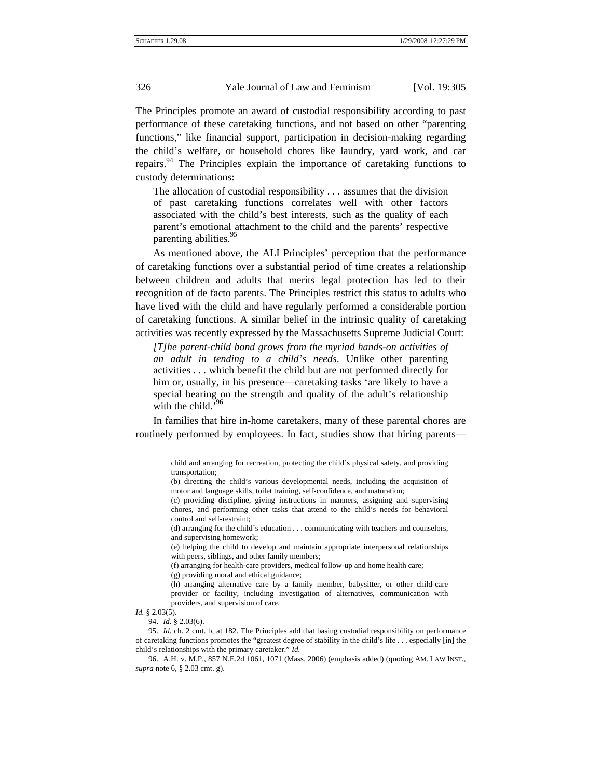The Principles promote an award of custodial responsibility according to past performance of these caretaking functions, and not based on other "parenting functions," like financial support, participation in decision-making regarding the child's welfare, or household chores like laundry, yard work, and car repairs[.94](#page-21-0) The Principles explain the importance of caretaking functions to custody determinations:

The allocation of custodial responsibility . . . assumes that the division of past caretaking functions correlates well with other factors associated with the child's best interests, such as the quality of each parent's emotional attachment to the child and the parents' respective parenting abilities.<sup>95</sup>

As mentioned above, the ALI Principles' perception that the performance of caretaking functions over a substantial period of time creates a relationship between children and adults that merits legal protection has led to their recognition of de facto parents. The Principles restrict this status to adults who have lived with the child and have regularly performed a considerable portion of caretaking functions. A similar belief in the intrinsic quality of caretaking activities was recently expressed by the Massachusetts Supreme Judicial Court:

*[T]he parent-child bond grows from the myriad hands-on activities of an adult in tending to a child's needs*. Unlike other parenting activities . . . which benefit the child but are not performed directly for him or, usually, in his presence—caretaking tasks 'are likely to have a special bearing on the strength and quality of the adult's relationship with the child.'

In families that hire in-home caretakers, many of these parental chores are routinely performed by employees. In fact, studies show that hiring parents—

<span id="page-21-0"></span>*Id.* § 2.03(5).

child and arranging for recreation, protecting the child's physical safety, and providing transportation;

<sup>(</sup>b) directing the child's various developmental needs, including the acquisition of motor and language skills, toilet training, self-confidence, and maturation;

<sup>(</sup>c) providing discipline, giving instructions in manners, assigning and supervising chores, and performing other tasks that attend to the child's needs for behavioral control and self-restraint;

<sup>(</sup>d) arranging for the child's education . . . communicating with teachers and counselors, and supervising homework;

<sup>(</sup>e) helping the child to develop and maintain appropriate interpersonal relationships with peers, siblings, and other family members;

<sup>(</sup>f) arranging for health-care providers, medical follow-up and home health care;

<sup>(</sup>g) providing moral and ethical guidance;

<sup>(</sup>h) arranging alternative care by a family member, babysitter, or other child-care provider or facility, including investigation of alternatives, communication with providers, and supervision of care.

<sup>94.</sup> *Id.* § 2.03(6).

<span id="page-21-1"></span><sup>95.</sup> *Id.* ch. 2 cmt. b, at 182. The Principles add that basing custodial responsibility on performance of caretaking functions promotes the "greatest degree of stability in the child's life . . . especially [in] the child's relationships with the primary caretaker." *Id.*

<span id="page-21-2"></span><sup>96.</sup> A.H. v. M.P., 857 N.E.2d 1061, 1071 (Mass. 2006) (emphasis added) (quoting AM. LAW INST., *supra* note 6, § 2.03 cmt. g).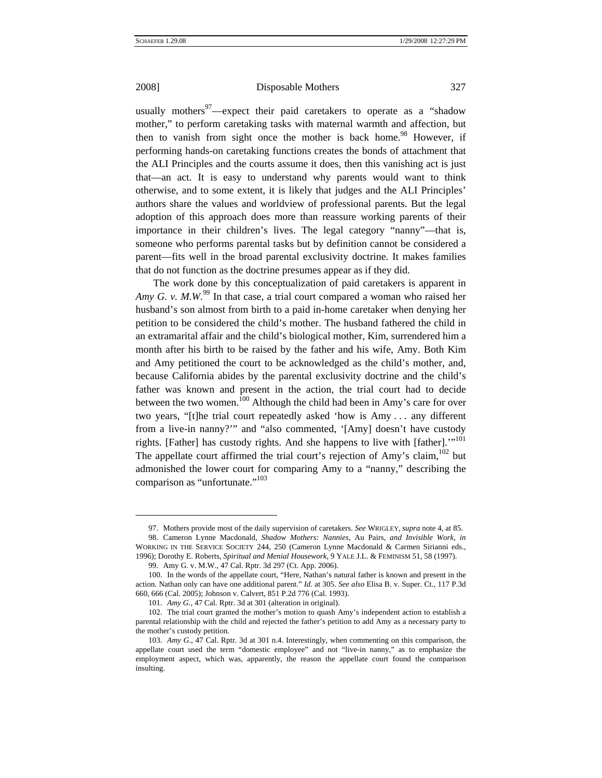$\overline{a}$ 

2008] Disposable Mothers 327

usually mothers<sup>97</sup>—expect their paid caretakers to operate as a "shadow mother," to perform caretaking tasks with maternal warmth and affection, but then to vanish from sight once the mother is back home.<sup>98</sup> However, if performing hands-on caretaking functions creates the bonds of attachment that the ALI Principles and the courts assume it does, then this vanishing act is just that—an act. It is easy to understand why parents would want to think otherwise, and to some extent, it is likely that judges and the ALI Principles' authors share the values and worldview of professional parents. But the legal adoption of this approach does more than reassure working parents of their importance in their children's lives. The legal category "nanny"—that is, someone who performs parental tasks but by definition cannot be considered a parent—fits well in the broad parental exclusivity doctrine. It makes families that do not function as the doctrine presumes appear as if they did.

The work done by this conceptualization of paid caretakers is apparent in *Amy G. v. M.W.*<sup>99</sup> In that case, a trial court compared a woman who raised her husband's son almost from birth to a paid in-home caretaker when denying her petition to be considered the child's mother. The husband fathered the child in an extramarital affair and the child's biological mother, Kim, surrendered him a month after his birth to be raised by the father and his wife, Amy. Both Kim and Amy petitioned the court to be acknowledged as the child's mother, and, because California abides by the parental exclusivity doctrine and the child's father was known and present in the action, the trial court had to decide between the two women.<sup>100</sup> Although the child had been in Amy's care for over two years, "[t]he trial court repeatedly asked 'how is Amy . . . any different from a live-in nanny?'" and "also commented, '[Amy] doesn't have custody rights. [Father] has custody rights. And she happens to live with [father]."<sup>101</sup> The appellate court affirmed the trial court's rejection of Amy's claim,  $102$  but admonished the lower court for comparing Amy to a "nanny," describing the comparison as "unfortunate."<sup>103</sup>

<span id="page-22-1"></span><span id="page-22-0"></span><sup>97.</sup> Mothers provide most of the daily supervision of caretakers. *See* WRIGLEY, *supra* note 4, at 85. 98. Cameron Lynne Macdonald, *Shadow Mothers: Nannies,* Au Pairs*, and Invisible Work*, *in* WORKING IN THE SERVICE SOCIETY 244, 250 (Cameron Lynne Macdonald & Carmen Sirianni eds., 1996); Dorothy E. Roberts, *Spiritual and Menial Housework*, 9 YALE J.L. & FEMINISM 51, 58 (1997).

<sup>99.</sup> Amy G. v. M.W., 47 Cal. Rptr. 3d 297 (Ct. App. 2006).

<span id="page-22-3"></span><span id="page-22-2"></span><sup>100.</sup> In the words of the appellate court, "Here, Nathan's natural father is known and present in the action. Nathan only can have one additional parent." *Id.* at 305. *See also* Elisa B. v. Super. Ct., 117 P.3d 660, 666 (Cal. 2005); Johnson v. Calvert, 851 P.2d 776 (Cal. 1993).

<sup>101.</sup> *Amy G.*, 47 Cal. Rptr. 3d at 301 (alteration in original).

<span id="page-22-5"></span><span id="page-22-4"></span><sup>102.</sup> The trial court granted the mother's motion to quash Amy's independent action to establish a parental relationship with the child and rejected the father's petition to add Amy as a necessary party to the mother's custody petition.

<span id="page-22-6"></span><sup>103.</sup> *Amy G*., 47 Cal. Rptr. 3d at 301 n.4. Interestingly, when commenting on this comparison, the appellate court used the term "domestic employee" and not "live-in nanny," as to emphasize the employment aspect, which was, apparently, the reason the appellate court found the comparison insulting.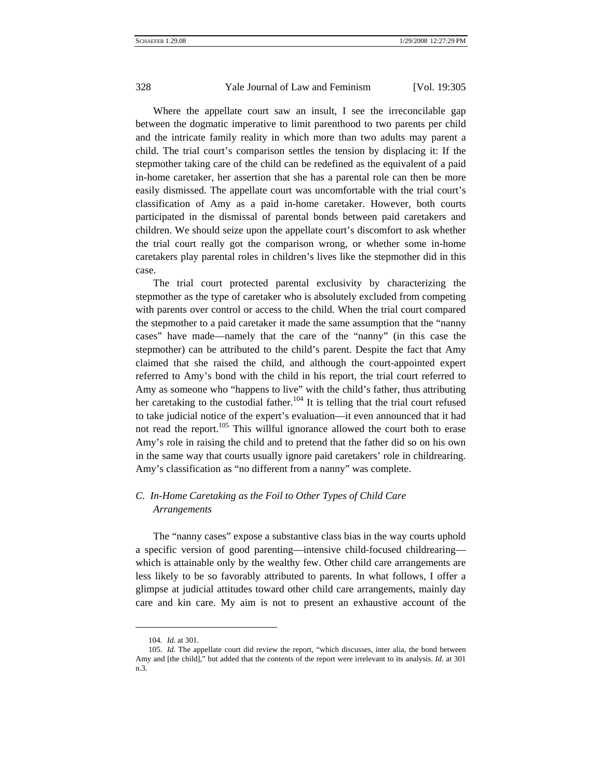Where the appellate court saw an insult, I see the irreconcilable gap between the dogmatic imperative to limit parenthood to two parents per child and the intricate family reality in which more than two adults may parent a child. The trial court's comparison settles the tension by displacing it: If the stepmother taking care of the child can be redefined as the equivalent of a paid in-home caretaker, her assertion that she has a parental role can then be more easily dismissed. The appellate court was uncomfortable with the trial court's classification of Amy as a paid in-home caretaker. However, both courts participated in the dismissal of parental bonds between paid caretakers and children. We should seize upon the appellate court's discomfort to ask whether the trial court really got the comparison wrong, or whether some in-home caretakers play parental roles in children's lives like the stepmother did in this case.

The trial court protected parental exclusivity by characterizing the stepmother as the type of caretaker who is absolutely excluded from competing with parents over control or access to the child. When the trial court compared the stepmother to a paid caretaker it made the same assumption that the "nanny cases" have made—namely that the care of the "nanny" (in this case the stepmother) can be attributed to the child's parent. Despite the fact that Amy claimed that she raised the child, and although the court-appointed expert referred to Amy's bond with the child in his report, the trial court referred to Amy as someone who "happens to live" with the child's father, thus attributing her caretaking to the custodial father.<sup>104</sup> It is telling that the trial court refused to take judicial notice of the expert's evaluation—it even announced that it had not read the report.<sup>105</sup> This willful ignorance allowed the court both to erase Amy's role in raising the child and to pretend that the father did so on his own in the same way that courts usually ignore paid caretakers' role in childrearing. Amy's classification as "no different from a nanny" was complete.

## *C. In-Home Caretaking as the Foil to Other Types of Child Care Arrangements*

The "nanny cases" expose a substantive class bias in the way courts uphold a specific version of good parenting—intensive child-focused childrearing which is attainable only by the wealthy few. Other child care arrangements are less likely to be so favorably attributed to parents. In what follows, I offer a glimpse at judicial attitudes toward other child care arrangements, mainly day care and kin care. My aim is not to present an exhaustive account of the

<sup>104.</sup> *Id.* at 301.

<span id="page-23-1"></span><span id="page-23-0"></span><sup>105.</sup> *Id.* The appellate court did review the report, "which discusses, inter alia, the bond between Amy and [the child]," but added that the contents of the report were irrelevant to its analysis. *Id.* at 301 n.3.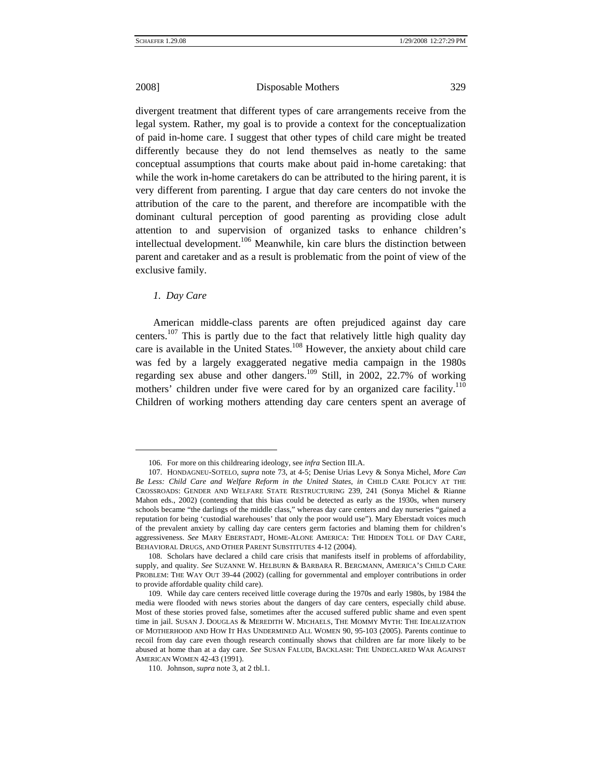divergent treatment that different types of care arrangements receive from the legal system. Rather, my goal is to provide a context for the conceptualization of paid in-home care. I suggest that other types of child care might be treated differently because they do not lend themselves as neatly to the same conceptual assumptions that courts make about paid in-home caretaking: that while the work in-home caretakers do can be attributed to the hiring parent, it is very different from parenting. I argue that day care centers do not invoke the attribution of the care to the parent, and therefore are incompatible with the dominant cultural perception of good parenting as providing close adult attention to and supervision of organized tasks to enhance children's intellectual development.<sup>106</sup> Meanwhile, kin care blurs the distinction between parent and caretaker and as a result is problematic from the point of view of the exclusive family.

### *1. Day Care*

 $\overline{a}$ 

American middle-class parents are often prejudiced against day care centers.<sup>107</sup> This is partly due to the fact that relatively little high quality day care is available in the United States.<sup>108</sup> However, the anxiety about child care was fed by a largely exaggerated negative media campaign in the 1980s regarding sex abuse and other dangers.<sup>109</sup> Still, in 2002, 22.7% of working mothers' children under five were cared for by an organized care facility.<sup>110</sup> Children of working mothers attending day care centers spent an average of

<sup>106.</sup> For more on this childrearing ideology, see *infra* Section III.A.

<span id="page-24-1"></span><span id="page-24-0"></span><sup>107.</sup> HONDAGNEU-SOTELO, *supra* note 73, at 4-5; Denise Urias Levy & Sonya Michel, *More Can Be Less: Child Care and Welfare Reform in the United States*, *in* CHILD CARE POLICY AT THE CROSSROADS: GENDER AND WELFARE STATE RESTRUCTURING 239, 241 (Sonya Michel & Rianne Mahon eds., 2002) (contending that this bias could be detected as early as the 1930s, when nursery schools became "the darlings of the middle class," whereas day care centers and day nurseries "gained a reputation for being 'custodial warehouses' that only the poor would use"). Mary Eberstadt voices much of the prevalent anxiety by calling day care centers germ factories and blaming them for children's aggressiveness. *See* MARY EBERSTADT, HOME-ALONE AMERICA: THE HIDDEN TOLL OF DAY CARE, BEHAVIORAL DRUGS, AND OTHER PARENT SUBSTITUTES 4-12 (2004).

<span id="page-24-2"></span><sup>108.</sup> Scholars have declared a child care crisis that manifests itself in problems of affordability, supply, and quality. *See* SUZANNE W. HELBURN & BARBARA R. BERGMANN, AMERICA'S CHILD CARE PROBLEM: THE WAY OUT 39-44 (2002) (calling for governmental and employer contributions in order to provide affordable quality child care).

<span id="page-24-3"></span><sup>109.</sup> While day care centers received little coverage during the 1970s and early 1980s, by 1984 the media were flooded with news stories about the dangers of day care centers, especially child abuse. Most of these stories proved false, sometimes after the accused suffered public shame and even spent time in jail. SUSAN J. DOUGLAS & MEREDITH W. MICHAELS, THE MOMMY MYTH: THE IDEALIZATION OF MOTHERHOOD AND HOW IT HAS UNDERMINED ALL WOMEN 90, 95-103 (2005). Parents continue to recoil from day care even though research continually shows that children are far more likely to be abused at home than at a day care. *See* SUSAN FALUDI, BACKLASH: THE UNDECLARED WAR AGAINST AMERICAN WOMEN 42-43 (1991).

<span id="page-24-4"></span><sup>110.</sup> Johnson, *supra* note 3, at 2 tbl.1.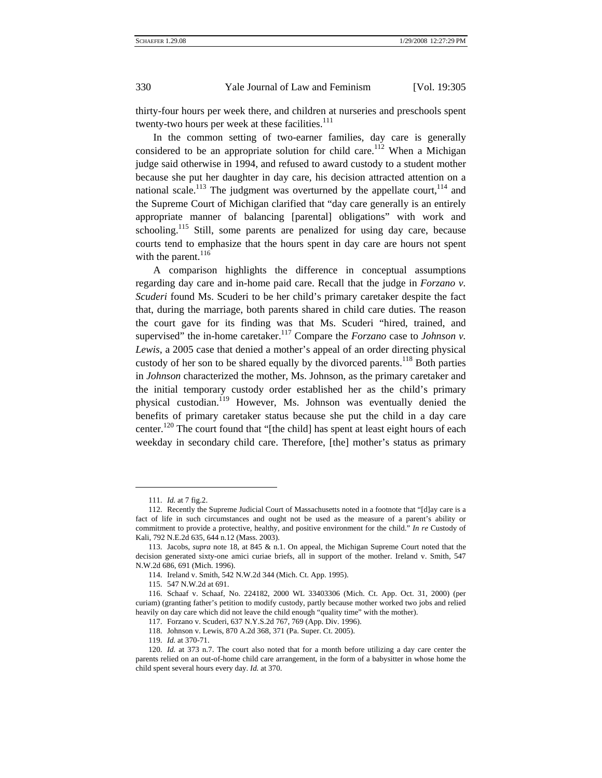thirty-four hours per week there, and children at nurseries and preschools spent twenty-two hours per week at these facilities. $111$ 

In the common setting of two-earner families, day care is generally considered to be an appropriate solution for child care.<sup>112</sup> When a Michigan judge said otherwise in 1994, and refused to award custody to a student mother because she put her daughter in day care, his decision attracted attention on a national scale.<sup>113</sup> The judgment was overturned by the appellate court,  $114$  and the Supreme Court of Michigan clarified that "day care generally is an entirely appropriate manner of balancing [parental] obligations" with work and schooling.<sup>115</sup> Still, some parents are penalized for using day care, because courts tend to emphasize that the hours spent in day care are hours not spent with the parent. $116$ 

A comparison highlights the difference in conceptual assumptions regarding day care and in-home paid care. Recall that the judge in *Forzano v. Scuderi* found Ms. Scuderi to be her child's primary caretaker despite the fact that, during the marriage, both parents shared in child care duties. The reason the court gave for its finding was that Ms. Scuderi "hired, trained, and supervised" the in-home caretaker.<sup>117</sup> Compare the *Forzano* case to *Johnson v*. *Lewis*, a 2005 case that denied a mother's appeal of an order directing physical custody of her son to be shared equally by the divorced parents.<sup>118</sup> Both parties in *Johnson* characterized the mother, Ms. Johnson, as the primary caretaker and the initial temporary custody order established her as the child's primary physical custodian.[119](#page-25-8) However, Ms. Johnson was eventually denied the benefits of primary caretaker status because she put the child in a day care center.<sup>120</sup> The court found that "[the child] has spent at least eight hours of each weekday in secondary child care. Therefore, [the] mother's status as primary

<sup>111.</sup> *Id.* at 7 fig.2.

<span id="page-25-1"></span><span id="page-25-0"></span><sup>112.</sup> Recently the Supreme Judicial Court of Massachusetts noted in a footnote that "[d]ay care is a fact of life in such circumstances and ought not be used as the measure of a parent's ability or commitment to provide a protective, healthy, and positive environment for the child." *In re* Custody of Kali, 792 N.E.2d 635, 644 n.12 (Mass. 2003).

<span id="page-25-2"></span><sup>113.</sup> Jacobs, *supra* note 18, at 845 & n.1. On appeal, the Michigan Supreme Court noted that the decision generated sixty-one amici curiae briefs, all in support of the mother. Ireland v. Smith, 547 N.W.2d 686, 691 (Mich. 1996).

<span id="page-25-3"></span><sup>114.</sup> Ireland v. Smith, 542 N.W.2d 344 (Mich. Ct. App. 1995).

<sup>115. 547</sup> N.W.2d at 691.

<span id="page-25-5"></span><span id="page-25-4"></span><sup>116.</sup> Schaaf v. Schaaf, No. 224182, 2000 WL 33403306 (Mich. Ct. App. Oct. 31, 2000) (per curiam) (granting father's petition to modify custody, partly because mother worked two jobs and relied heavily on day care which did not leave the child enough "quality time" with the mother).

<span id="page-25-6"></span><sup>117.</sup> Forzano v. Scuderi, 637 N.Y.S.2d 767, 769 (App. Div. 1996).

<span id="page-25-7"></span><sup>118.</sup> Johnson v. Lewis, 870 A.2d 368, 371 (Pa. Super. Ct. 2005).

<sup>119.</sup> *Id.* at 370-71.

<span id="page-25-9"></span><span id="page-25-8"></span><sup>120.</sup> *Id.* at 373 n.7. The court also noted that for a month before utilizing a day care center the parents relied on an out-of-home child care arrangement, in the form of a babysitter in whose home the child spent several hours every day. *Id.* at 370.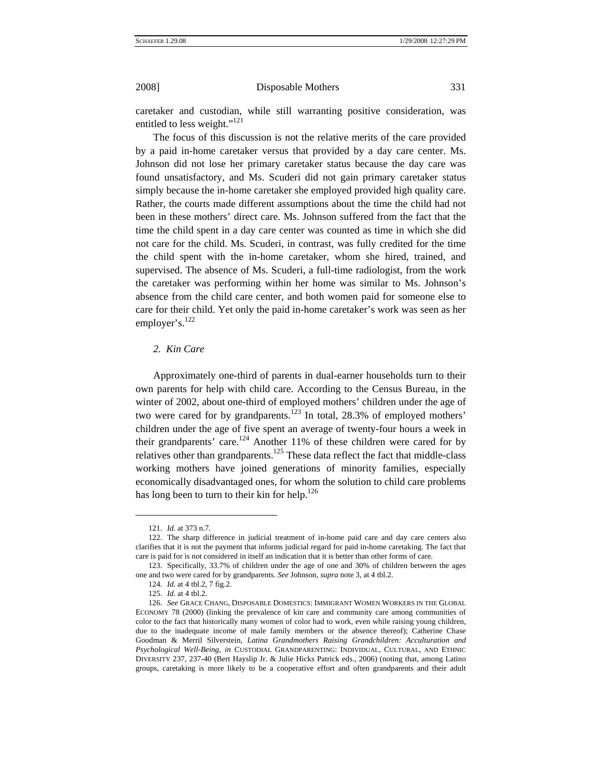caretaker and custodian, while still warranting positive consideration, was entitled to less weight."<sup>121</sup>

The focus of this discussion is not the relative merits of the care provided by a paid in-home caretaker versus that provided by a day care center. Ms. Johnson did not lose her primary caretaker status because the day care was found unsatisfactory, and Ms. Scuderi did not gain primary caretaker status simply because the in-home caretaker she employed provided high quality care. Rather, the courts made different assumptions about the time the child had not been in these mothers' direct care. Ms. Johnson suffered from the fact that the time the child spent in a day care center was counted as time in which she did not care for the child. Ms. Scuderi, in contrast, was fully credited for the time the child spent with the in-home caretaker, whom she hired, trained, and supervised. The absence of Ms. Scuderi, a full-time radiologist, from the work the caretaker was performing within her home was similar to Ms. Johnson's absence from the child care center, and both women paid for someone else to care for their child. Yet only the paid in-home caretaker's work was seen as her employer's.<sup>[122](#page-26-1)</sup>

## *2. Kin Care*

Approximately one-third of parents in dual-earner households turn to their own parents for help with child care. According to the Census Bureau, in the winter of 2002, about one-third of employed mothers' children under the age of two were cared for by grandparents. $123$  In total, 28.3% of employed mothers' children under the age of five spent an average of twenty-four hours a week in their grandparents' care.<sup>124</sup> Another 11% of these children were cared for by relatives other than grandparents.<sup>125</sup> These data reflect the fact that middle-class working mothers have joined generations of minority families, especially economically disadvantaged ones, for whom the solution to child care problems has long been to turn to their kin for help.<sup>[126](#page-26-5)</sup>

<sup>121.</sup> *Id.* at 373 n.7.

<span id="page-26-1"></span><span id="page-26-0"></span><sup>122.</sup> The sharp difference in judicial treatment of in-home paid care and day care centers also clarifies that it is not the payment that informs judicial regard for paid in-home caretaking. The fact that care is paid for is not considered in itself an indication that it is better than other forms of care.

<span id="page-26-2"></span><sup>123.</sup> Specifically, 33.7% of children under the age of one and 30% of children between the ages one and two were cared for by grandparents. *See* Johnson, *supra* note 3, at 4 tbl.2.

<span id="page-26-3"></span><sup>124.</sup> *Id.* at 4 tbl.2, 7 fig.2.

<sup>125.</sup> *Id.* at 4 tbl.2.

<span id="page-26-5"></span><span id="page-26-4"></span><sup>126.</sup> *See* GRACE CHANG, DISPOSABLE DOMESTICS: IMMIGRANT WOMEN WORKERS IN THE GLOBAL ECONOMY 78 (2000) (linking the prevalence of kin care and community care among communities of color to the fact that historically many women of color had to work, even while raising young children, due to the inadequate income of male family members or the absence thereof); Catherine Chase Goodman & Merril Silverstein, *Latina Grandmothers Raising Grandchildren: Acculturation and Psychological Well-Being*, *in* CUSTODIAL GRANDPARENTING: INDIVIDUAL, CULTURAL, AND ETHNIC DIVERSITY 237, 237-40 (Bert Hayslip Jr. & Julie Hicks Patrick eds., 2006) (noting that, among Latino groups, caretaking is more likely to be a cooperative effort and often grandparents and their adult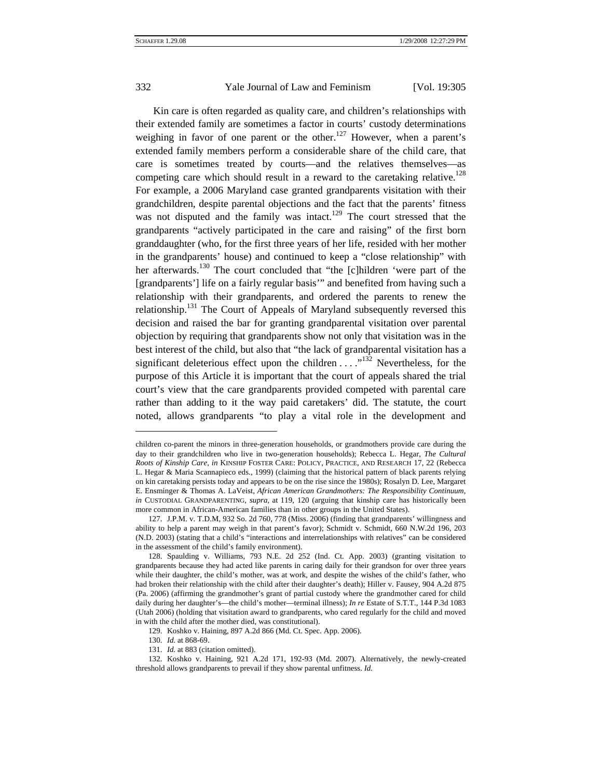Kin care is often regarded as quality care, and children's relationships with their extended family are sometimes a factor in courts' custody determinations weighing in favor of one parent or the other.<sup>127</sup> However, when a parent's extended family members perform a considerable share of the child care, that care is sometimes treated by courts—and the relatives themselves—as competing care which should result in a reward to the caretaking relative.<sup>128</sup> For example, a 2006 Maryland case granted grandparents visitation with their grandchildren, despite parental objections and the fact that the parents' fitness was not disputed and the family was intact.<sup>129</sup> The court stressed that the grandparents "actively participated in the care and raising" of the first born granddaughter (who, for the first three years of her life, resided with her mother in the grandparents' house) and continued to keep a "close relationship" with her afterwards.<sup>130</sup> The court concluded that "the [c]hildren 'were part of the [grandparents'] life on a fairly regular basis'" and benefited from having such a relationship with their grandparents, and ordered the parents to renew the relationship.<sup>131</sup> The Court of Appeals of Maryland subsequently reversed this decision and raised the bar for granting grandparental visitation over parental objection by requiring that grandparents show not only that visitation was in the best interest of the child, but also that "the lack of grandparental visitation has a significant deleterious effect upon the children  $\dots$ <sup>132</sup> Nevertheless, for the purpose of this Article it is important that the court of appeals shared the trial court's view that the care grandparents provided competed with parental care rather than adding to it the way paid caretakers' did. The statute, the court noted, allows grandparents "to play a vital role in the development and

children co-parent the minors in three-generation households, or grandmothers provide care during the day to their grandchildren who live in two-generation households); Rebecca L. Hegar, *The Cultural Roots of Kinship Care*, *in* KINSHIP FOSTER CARE: POLICY, PRACTICE, AND RESEARCH 17, 22 (Rebecca L. Hegar & Maria Scannapieco eds., 1999) (claiming that the historical pattern of black parents relying on kin caretaking persists today and appears to be on the rise since the 1980s); Rosalyn D. Lee, Margaret E. Ensminger & Thomas A. LaVeist, *African American Grandmothers: The Responsibility Continuum*, *in* CUSTODIAL GRANDPARENTING, *supra*, at 119, 120 (arguing that kinship care has historically been more common in African-American families than in other groups in the United States).

<span id="page-27-0"></span><sup>127.</sup> J.P.M. v. T.D.M, 932 So. 2d 760, 778 (Miss. 2006) (finding that grandparents' willingness and ability to help a parent may weigh in that parent's favor); Schmidt v. Schmidt, 660 N.W.2d 196, 203 (N.D. 2003) (stating that a child's "interactions and interrelationships with relatives" can be considered in the assessment of the child's family environment).

<span id="page-27-1"></span><sup>128.</sup> Spaulding v. Williams, 793 N.E. 2d 252 (Ind. Ct. App. 2003) (granting visitation to grandparents because they had acted like parents in caring daily for their grandson for over three years while their daughter, the child's mother, was at work, and despite the wishes of the child's father, who had broken their relationship with the child after their daughter's death); Hiller v. Fausey, 904 A.2d 875 (Pa. 2006) (affirming the grandmother's grant of partial custody where the grandmother cared for child daily during her daughter's—the child's mother—terminal illness); *In re* Estate of S.T.T., 144 P.3d 1083 (Utah 2006) (holding that visitation award to grandparents, who cared regularly for the child and moved in with the child after the mother died, was constitutional).

<span id="page-27-2"></span><sup>129.</sup> Koshko v. Haining, 897 A.2d 866 (Md. Ct. Spec. App. 2006).

<span id="page-27-3"></span><sup>130.</sup> *Id.* at 868-69.

<sup>131.</sup> *Id.* at 883 (citation omitted).

<span id="page-27-5"></span><span id="page-27-4"></span><sup>132.</sup> Koshko v. Haining, 921 A.2d 171, 192-93 (Md. 2007). Alternatively, the newly-created threshold allows grandparents to prevail if they show parental unfitness. *Id.*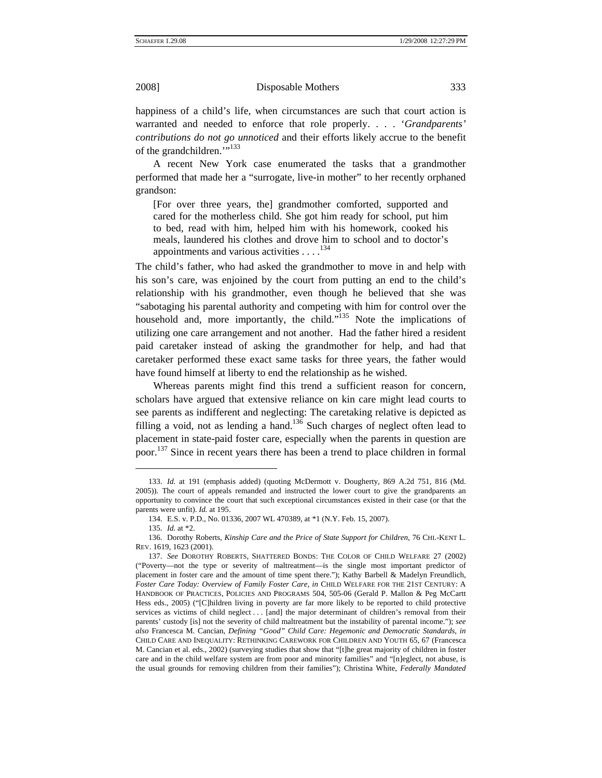happiness of a child's life, when circumstances are such that court action is warranted and needed to enforce that role properly. . . . '*Grandparents' contributions do not go unnoticed* and their efforts likely accrue to the benefit of the grandchildren."<sup>[133](#page-28-0)</sup>

A recent New York case enumerated the tasks that a grandmother performed that made her a "surrogate, live-in mother" to her recently orphaned grandson:

[For over three years, the] grandmother comforted, supported and cared for the motherless child. She got him ready for school, put him to bed, read with him, helped him with his homework, cooked his meals, laundered his clothes and drove him to school and to doctor's appointments and various activities  $\dots$ .<sup>134</sup>

The child's father, who had asked the grandmother to move in and help with his son's care, was enjoined by the court from putting an end to the child's relationship with his grandmother, even though he believed that she was "sabotaging his parental authority and competing with him for control over the household and, more importantly, the child."<sup>135</sup> Note the implications of utilizing one care arrangement and not another. Had the father hired a resident paid caretaker instead of asking the grandmother for help, and had that caretaker performed these exact same tasks for three years, the father would have found himself at liberty to end the relationship as he wished.

Whereas parents might find this trend a sufficient reason for concern, scholars have argued that extensive reliance on kin care might lead courts to see parents as indifferent and neglecting: The caretaking relative is depicted as filling a void, not as lending a hand.<sup>136</sup> Such charges of neglect often lead to placement in state-paid foster care, especially when the parents in question are poor.<sup>137</sup> Since in recent years there has been a trend to place children in formal

l

<span id="page-28-0"></span><sup>133.</sup> *Id.* at 191 (emphasis added) (quoting McDermott v. Dougherty, 869 A.2d 751, 816 (Md. 2005)). The court of appeals remanded and instructed the lower court to give the grandparents an opportunity to convince the court that such exceptional circumstances existed in their case (or that the parents were unfit). *Id.* at 195.

<span id="page-28-1"></span><sup>134.</sup> E.S. v. P.D., No. 01336, 2007 WL 470389, at \*1 (N.Y. Feb. 15, 2007).

<sup>135.</sup> *Id.* at \*2.

<span id="page-28-3"></span><span id="page-28-2"></span><sup>136.</sup> Dorothy Roberts, *Kinship Care and the Price of State Support for Children*, 76 CHI.-KENT L. REV. 1619, 1623 (2001).

<span id="page-28-4"></span><sup>137.</sup> *See* DOROTHY ROBERTS, SHATTERED BONDS: THE COLOR OF CHILD WELFARE 27 (2002) ("Poverty—not the type or severity of maltreatment—is the single most important predictor of placement in foster care and the amount of time spent there."); Kathy Barbell & Madelyn Freundlich, *Foster Care Today: Overview of Family Foster Care*, *in* CHILD WELFARE FOR THE 21ST CENTURY: A HANDBOOK OF PRACTICES, POLICIES AND PROGRAMS 504, 505-06 (Gerald P. Mallon & Peg McCartt Hess eds., 2005) ("[C]hildren living in poverty are far more likely to be reported to child protective services as victims of child neglect . . . [and] the major determinant of children's removal from their parents' custody [is] not the severity of child maltreatment but the instability of parental income."); *see also* Francesca M. Cancian, *Defining "Good" Child Care: Hegemonic and Democratic Standards*, *in*  CHILD CARE AND INEQUALITY: RETHINKING CAREWORK FOR CHILDREN AND YOUTH 65, 67 (Francesca M. Cancian et al. eds., 2002) (surveying studies that show that "[t]he great majority of children in foster care and in the child welfare system are from poor and minority families" and "[n]eglect, not abuse, is the usual grounds for removing children from their families"); Christina White, *Federally Mandated*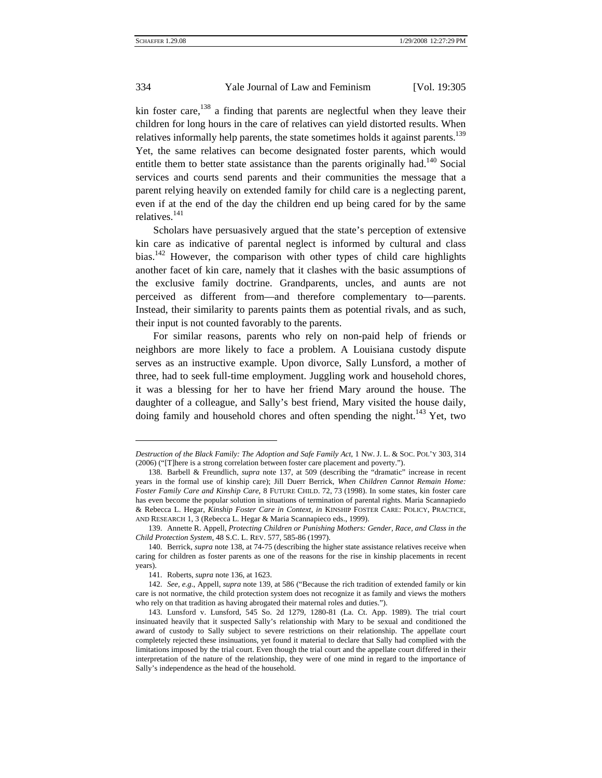kin foster care,  $138$  a finding that parents are neglectful when they leave their children for long hours in the care of relatives can yield distorted results. When relatives informally help parents, the state sometimes holds it against parents.<sup>139</sup> Yet, the same relatives can become designated foster parents, which would entitle them to better state assistance than the parents originally had.<sup>140</sup> Social services and courts send parents and their communities the message that a parent relying heavily on extended family for child care is a neglecting parent, even if at the end of the day the children end up being cared for by the same relatives.<sup>[141](#page-29-3)</sup>

Scholars have persuasively argued that the state's perception of extensive kin care as indicative of parental neglect is informed by cultural and class bias.<sup>[142](#page-29-4)</sup> However, the comparison with other types of child care highlights another facet of kin care, namely that it clashes with the basic assumptions of the exclusive family doctrine. Grandparents, uncles, and aunts are not perceived as different from—and therefore complementary to—parents. Instead, their similarity to parents paints them as potential rivals, and as such, their input is not counted favorably to the parents.

For similar reasons, parents who rely on non-paid help of friends or neighbors are more likely to face a problem. A Louisiana custody dispute serves as an instructive example. Upon divorce, Sally Lunsford, a mother of three, had to seek full-time employment. Juggling work and household chores, it was a blessing for her to have her friend Mary around the house. The daughter of a colleague, and Sally's best friend, Mary visited the house daily, doing family and household chores and often spending the night.<sup>[143](#page-29-5)</sup> Yet, two

l

*Destruction of the Black Family: The Adoption and Safe Family Act*, 1 NW. J. L. & SOC. POL'Y 303, 314 (2006) ("[T]here is a strong correlation between foster care placement and poverty.").

<span id="page-29-0"></span><sup>138.</sup> Barbell & Freundlich, *supra* note 137, at 509 (describing the "dramatic" increase in recent years in the formal use of kinship care); Jill Duerr Berrick, *When Children Cannot Remain Home: Foster Family Care and Kinship Care*, 8 FUTURE CHILD. 72, 73 (1998). In some states, kin foster care has even become the popular solution in situations of termination of parental rights. Maria Scannapiedo & Rebecca L. Hegar, *Kinship Foster Care in Context*, *in* KINSHIP FOSTER CARE: POLICY, PRACTICE, AND RESEARCH 1, 3 (Rebecca L. Hegar & Maria Scannapieco eds., 1999).

<span id="page-29-1"></span><sup>139.</sup> Annette R. Appell, *Protecting Children or Punishing Mothers: Gender, Race, and Class in the Child Protection System*, 48 S.C. L. REV. 577, 585-86 (1997).

<span id="page-29-2"></span><sup>140.</sup> Berrick, *supra* note 138, at 74-75 (describing the higher state assistance relatives receive when caring for children as foster parents as one of the reasons for the rise in kinship placements in recent years).

<span id="page-29-3"></span><sup>141.</sup> Roberts, *supra* note 136, at 1623.

<span id="page-29-4"></span><sup>142.</sup> *See, e.g.*, Appell, *supra* note 139, at 586 ("Because the rich tradition of extended family or kin care is not normative, the child protection system does not recognize it as family and views the mothers who rely on that tradition as having abrogated their maternal roles and duties.").

<span id="page-29-5"></span><sup>143.</sup> Lunsford v. Lunsford, 545 So. 2d 1279, 1280-81 (La. Ct. App. 1989). The trial court insinuated heavily that it suspected Sally's relationship with Mary to be sexual and conditioned the award of custody to Sally subject to severe restrictions on their relationship. The appellate court completely rejected these insinuations, yet found it material to declare that Sally had complied with the limitations imposed by the trial court. Even though the trial court and the appellate court differed in their interpretation of the nature of the relationship, they were of one mind in regard to the importance of Sally's independence as the head of the household.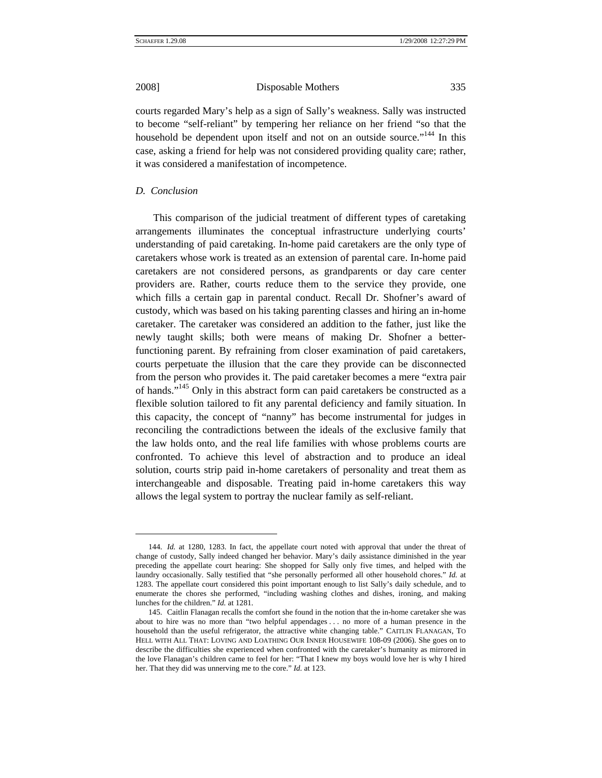courts regarded Mary's help as a sign of Sally's weakness. Sally was instructed to become "self-reliant" by tempering her reliance on her friend "so that the household be dependent upon itself and not on an outside source."<sup>144</sup> In this case, asking a friend for help was not considered providing quality care; rather, it was considered a manifestation of incompetence.

### *D. Conclusion*

 $\overline{a}$ 

This comparison of the judicial treatment of different types of caretaking arrangements illuminates the conceptual infrastructure underlying courts' understanding of paid caretaking. In-home paid caretakers are the only type of caretakers whose work is treated as an extension of parental care. In-home paid caretakers are not considered persons, as grandparents or day care center providers are. Rather, courts reduce them to the service they provide, one which fills a certain gap in parental conduct. Recall Dr. Shofner's award of custody, which was based on his taking parenting classes and hiring an in-home caretaker. The caretaker was considered an addition to the father, just like the newly taught skills; both were means of making Dr. Shofner a betterfunctioning parent. By refraining from closer examination of paid caretakers, courts perpetuate the illusion that the care they provide can be disconnected from the person who provides it. The paid caretaker becomes a mere "extra pair of hands."<sup>145</sup> Only in this abstract form can paid caretakers be constructed as a flexible solution tailored to fit any parental deficiency and family situation. In this capacity, the concept of "nanny" has become instrumental for judges in reconciling the contradictions between the ideals of the exclusive family that the law holds onto, and the real life families with whose problems courts are confronted. To achieve this level of abstraction and to produce an ideal solution, courts strip paid in-home caretakers of personality and treat them as interchangeable and disposable. Treating paid in-home caretakers this way allows the legal system to portray the nuclear family as self-reliant.

<span id="page-30-0"></span><sup>144.</sup> *Id.* at 1280, 1283. In fact, the appellate court noted with approval that under the threat of change of custody, Sally indeed changed her behavior. Mary's daily assistance diminished in the year preceding the appellate court hearing: She shopped for Sally only five times, and helped with the laundry occasionally. Sally testified that "she personally performed all other household chores." *Id.* at 1283. The appellate court considered this point important enough to list Sally's daily schedule, and to enumerate the chores she performed, "including washing clothes and dishes, ironing, and making lunches for the children." *Id.* at 1281.

<span id="page-30-1"></span><sup>145.</sup> Caitlin Flanagan recalls the comfort she found in the notion that the in-home caretaker she was about to hire was no more than "two helpful appendages . . . no more of a human presence in the household than the useful refrigerator, the attractive white changing table." CAITLIN FLANAGAN, TO HELL WITH ALL THAT: LOVING AND LOATHING OUR INNER HOUSEWIFE 108-09 (2006). She goes on to describe the difficulties she experienced when confronted with the caretaker's humanity as mirrored in the love Flanagan's children came to feel for her: "That I knew my boys would love her is why I hired her. That they did was unnerving me to the core." *Id.* at 123.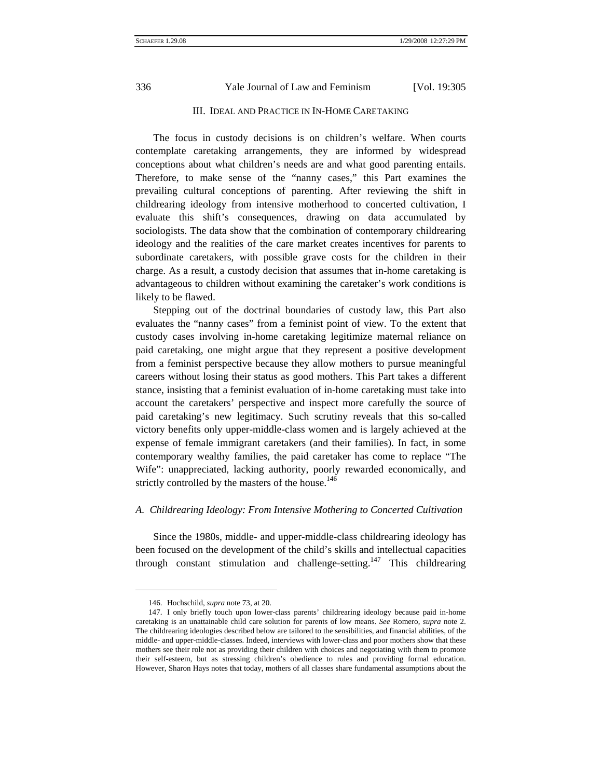## III. IDEAL AND PRACTICE IN IN-HOME CARETAKING

The focus in custody decisions is on children's welfare. When courts contemplate caretaking arrangements, they are informed by widespread conceptions about what children's needs are and what good parenting entails. Therefore, to make sense of the "nanny cases," this Part examines the prevailing cultural conceptions of parenting. After reviewing the shift in childrearing ideology from intensive motherhood to concerted cultivation, I evaluate this shift's consequences, drawing on data accumulated by sociologists. The data show that the combination of contemporary childrearing ideology and the realities of the care market creates incentives for parents to subordinate caretakers, with possible grave costs for the children in their charge. As a result, a custody decision that assumes that in-home caretaking is advantageous to children without examining the caretaker's work conditions is likely to be flawed.

Stepping out of the doctrinal boundaries of custody law, this Part also evaluates the "nanny cases" from a feminist point of view. To the extent that custody cases involving in-home caretaking legitimize maternal reliance on paid caretaking, one might argue that they represent a positive development from a feminist perspective because they allow mothers to pursue meaningful careers without losing their status as good mothers. This Part takes a different stance, insisting that a feminist evaluation of in-home caretaking must take into account the caretakers' perspective and inspect more carefully the source of paid caretaking's new legitimacy. Such scrutiny reveals that this so-called victory benefits only upper-middle-class women and is largely achieved at the expense of female immigrant caretakers (and their families). In fact, in some contemporary wealthy families, the paid caretaker has come to replace "The Wife": unappreciated, lacking authority, poorly rewarded economically, and strictly controlled by the masters of the house.<sup>146</sup>

#### *A. Childrearing Ideology: From Intensive Mothering to Concerted Cultivation*

Since the 1980s, middle- and upper-middle-class childrearing ideology has been focused on the development of the child's skills and intellectual capacities through constant stimulation and challenge-setting.<sup>147</sup> This childrearing

<sup>146.</sup> Hochschild, *supra* note 73, at 20.

<span id="page-31-1"></span><span id="page-31-0"></span><sup>147.</sup> I only briefly touch upon lower-class parents' childrearing ideology because paid in-home caretaking is an unattainable child care solution for parents of low means. *See* Romero, *supra* note 2. The childrearing ideologies described below are tailored to the sensibilities, and financial abilities, of the middle- and upper-middle-classes. Indeed, interviews with lower-class and poor mothers show that these mothers see their role not as providing their children with choices and negotiating with them to promote their self-esteem, but as stressing children's obedience to rules and providing formal education. However, Sharon Hays notes that today, mothers of all classes share fundamental assumptions about the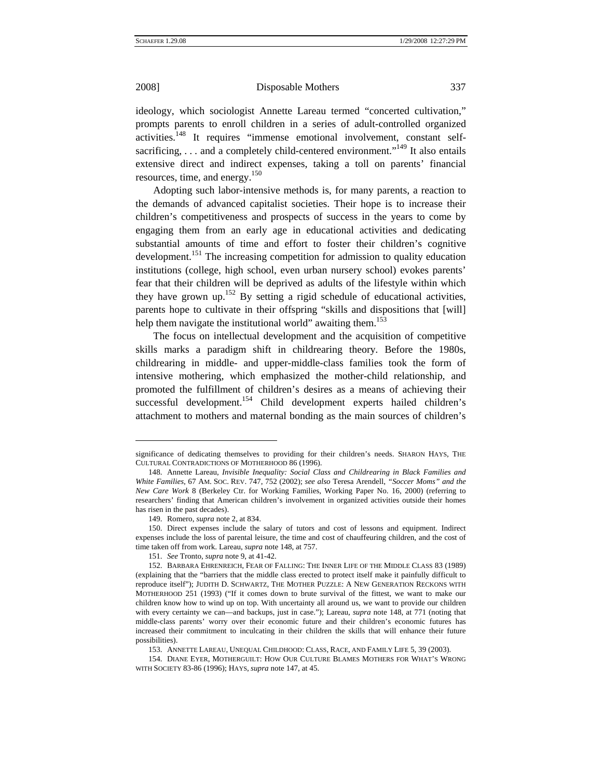l

2008] Disposable Mothers 337

ideology, which sociologist Annette Lareau termed "concerted cultivation," prompts parents to enroll children in a series of adult-controlled organized activities.[148](#page-32-0) It requires "immense emotional involvement, constant selfsacrificing, ... and a completely child-centered environment."<sup>149</sup> It also entails extensive direct and indirect expenses, taking a toll on parents' financial resources, time, and energy.<sup>[150](#page-32-2)</sup>

Adopting such labor-intensive methods is, for many parents, a reaction to the demands of advanced capitalist societies. Their hope is to increase their children's competitiveness and prospects of success in the years to come by engaging them from an early age in educational activities and dedicating substantial amounts of time and effort to foster their children's cognitive development.<sup>151</sup> The increasing competition for admission to quality education institutions (college, high school, even urban nursery school) evokes parents' fear that their children will be deprived as adults of the lifestyle within which they have grown up.<sup>152</sup> By setting a rigid schedule of educational activities, parents hope to cultivate in their offspring "skills and dispositions that [will] help them navigate the institutional world" awaiting them.<sup>[153](#page-32-5)</sup>

The focus on intellectual development and the acquisition of competitive skills marks a paradigm shift in childrearing theory. Before the 1980s, childrearing in middle- and upper-middle-class families took the form of intensive mothering, which emphasized the mother-child relationship, and promoted the fulfillment of children's desires as a means of achieving their successful development.<sup>154</sup> Child development experts hailed children's attachment to mothers and maternal bonding as the main sources of children's

significance of dedicating themselves to providing for their children's needs. SHARON HAYS, THE CULTURAL CONTRADICTIONS OF MOTHERHOOD 86 (1996).

<span id="page-32-0"></span><sup>148.</sup> Annette Lareau, *Invisible Inequality: Social Class and Childrearing in Black Families and White Families*, 67 AM. SOC. REV. 747, 752 (2002); *see also* Teresa Arendell, *"Soccer Moms" and the New Care Work* 8 (Berkeley Ctr. for Working Families, Working Paper No. 16, 2000) (referring to researchers' finding that American children's involvement in organized activities outside their homes has risen in the past decades).

<sup>149.</sup> Romero, *supra* note 2, at 834.

<span id="page-32-2"></span><span id="page-32-1"></span><sup>150.</sup> Direct expenses include the salary of tutors and cost of lessons and equipment. Indirect expenses include the loss of parental leisure, the time and cost of chauffeuring children, and the cost of time taken off from work. Lareau, *supra* note 148, at 757.

<sup>151.</sup> *See* Tronto, *supra* note 9, at 41-42.

<span id="page-32-4"></span><span id="page-32-3"></span><sup>152.</sup> BARBARA EHRENREICH, FEAR OF FALLING: THE INNER LIFE OF THE MIDDLE CLASS 83 (1989) (explaining that the "barriers that the middle class erected to protect itself make it painfully difficult to reproduce itself"); JUDITH D. SCHWARTZ, THE MOTHER PUZZLE: A NEW GENERATION RECKONS WITH MOTHERHOOD 251 (1993) ("If it comes down to brute survival of the fittest, we want to make our children know how to wind up on top. With uncertainty all around us, we want to provide our children with every certainty we can—and backups, just in case."); Lareau, *supra* note 148, at 771 (noting that middle-class parents' worry over their economic future and their children's economic futures has increased their commitment to inculcating in their children the skills that will enhance their future possibilities).

<sup>153.</sup> ANNETTE LAREAU, UNEQUAL CHILDHOOD: CLASS, RACE, AND FAMILY LIFE 5, 39 (2003).

<span id="page-32-6"></span><span id="page-32-5"></span><sup>154.</sup> DIANE EYER, MOTHERGUILT: HOW OUR CULTURE BLAMES MOTHERS FOR WHAT'S WRONG WITH SOCIETY 83-86 (1996); HAYS, *supra* note 147, at 45.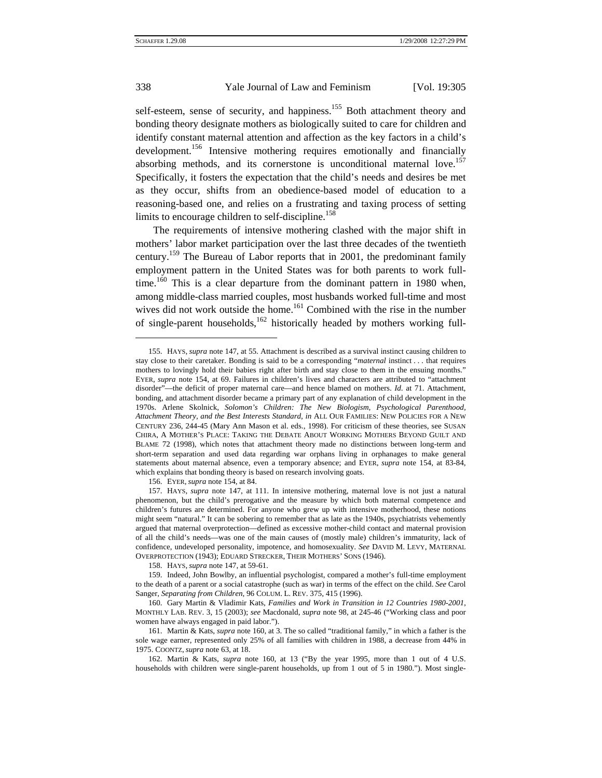$\overline{\phantom{a}}$ 

## 338 Yale Journal of Law and Feminism [Vol. 19:305]

self-esteem, sense of security, and happiness.<sup>155</sup> Both attachment theory and bonding theory designate mothers as biologically suited to care for children and identify constant maternal attention and affection as the key factors in a child's development.<sup>156</sup> Intensive mothering requires emotionally and financially absorbing methods, and its cornerstone is unconditional maternal love.<sup>157</sup> Specifically, it fosters the expectation that the child's needs and desires be met as they occur, shifts from an obedience-based model of education to a reasoning-based one, and relies on a frustrating and taxing process of setting limits to encourage children to self-discipline.<sup>158</sup>

The requirements of intensive mothering clashed with the major shift in mothers' labor market participation over the last three decades of the twentieth century[.159](#page-33-4) The Bureau of Labor reports that in 2001, the predominant family employment pattern in the United States was for both parents to work fulltime.<sup>160</sup> This is a clear departure from the dominant pattern in 1980 when, among middle-class married couples, most husbands worked full-time and most wives did not work outside the home.<sup>161</sup> Combined with the rise in the number of single-parent households, $162$  historically headed by mothers working full-

156. EYER, *supra* note 154, at 84.

158. HAYS, *supra* note 147, at 59-61.

<span id="page-33-0"></span><sup>155.</sup> HAYS, *supra* note 147, at 55. Attachment is described as a survival instinct causing children to stay close to their caretaker. Bonding is said to be a corresponding "*maternal* instinct . . . that requires mothers to lovingly hold their babies right after birth and stay close to them in the ensuing months." EYER, *supra* note 154, at 69. Failures in children's lives and characters are attributed to "attachment disorder"—the deficit of proper maternal care—and hence blamed on mothers. *Id*. at 71. Attachment, bonding, and attachment disorder became a primary part of any explanation of child development in the 1970s. Arlene Skolnick, *Solomon's Children: The New Biologism, Psychological Parenthood, Attachment Theory, and the Best Interests Standard*, *in* ALL OUR FAMILIES: NEW POLICIES FOR A NEW CENTURY 236, 244-45 (Mary Ann Mason et al. eds., 1998). For criticism of these theories, see SUSAN CHIRA, A MOTHER'S PLACE: TAKING THE DEBATE ABOUT WORKING MOTHERS BEYOND GUILT AND BLAME 72 (1998), which notes that attachment theory made no distinctions between long-term and short-term separation and used data regarding war orphans living in orphanages to make general statements about maternal absence, even a temporary absence; and EYER, *supra* note 154, at 83-84, which explains that bonding theory is based on research involving goats.

<span id="page-33-2"></span><span id="page-33-1"></span><sup>157.</sup> HAYS, *supra* note 147, at 111. In intensive mothering, maternal love is not just a natural phenomenon, but the child's prerogative and the measure by which both maternal competence and children's futures are determined. For anyone who grew up with intensive motherhood, these notions might seem "natural." It can be sobering to remember that as late as the 1940s, psychiatrists vehemently argued that maternal overprotection—defined as excessive mother-child contact and maternal provision of all the child's needs—was one of the main causes of (mostly male) children's immaturity, lack of confidence, undeveloped personality, impotence, and homosexuality. *See* DAVID M. LEVY, MATERNAL OVERPROTECTION (1943); EDUARD STRECKER, THEIR MOTHERS' SONS (1946).

<span id="page-33-4"></span><span id="page-33-3"></span><sup>159.</sup> Indeed, John Bowlby, an influential psychologist, compared a mother's full-time employment to the death of a parent or a social catastrophe (such as war) in terms of the effect on the child. *See* Carol Sanger, *Separating from Children*, 96 COLUM. L. REV. 375, 415 (1996).

<span id="page-33-5"></span><sup>160.</sup> Gary Martin & Vladimir Kats, *Families and Work in Transition in 12 Countries 1980-2001*, MONTHLY LAB. REV. 3, 15 (2003); *see* Macdonald, *supra* note 98, at 245-46 ("Working class and poor women have always engaged in paid labor.").

<span id="page-33-6"></span><sup>161.</sup> Martin & Kats, *supra* note 160, at 3. The so called "traditional family," in which a father is the sole wage earner, represented only 25% of all families with children in 1988, a decrease from 44% in 1975. COONTZ, *supra* note 63, at 18.

<span id="page-33-7"></span><sup>162.</sup> Martin & Kats, *supra* note 160, at 13 ("By the year 1995, more than 1 out of 4 U.S. households with children were single-parent households, up from 1 out of 5 in 1980."). Most single-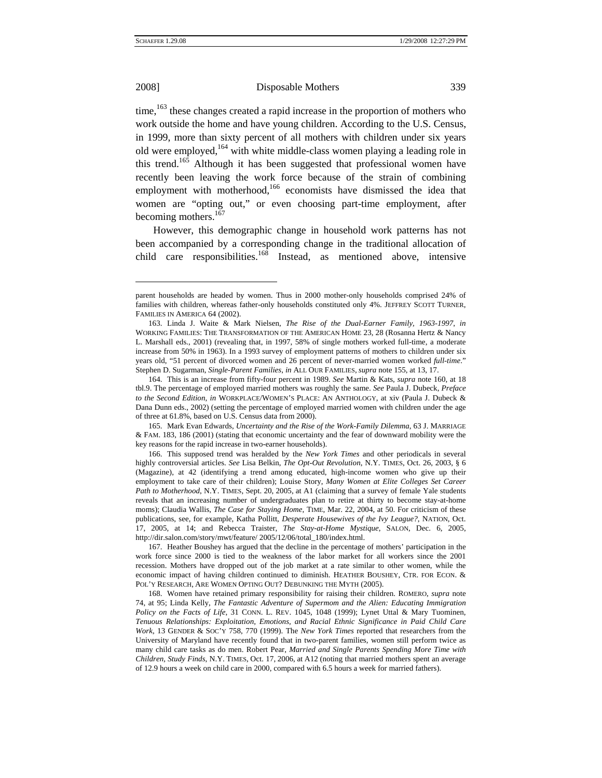$\overline{\phantom{a}}$ 

#### 2008] Disposable Mothers 339

time, $163$  these changes created a rapid increase in the proportion of mothers who work outside the home and have young children. According to the U.S. Census, in 1999, more than sixty percent of all mothers with children under six years old were employed,<sup>164</sup> with white middle-class women playing a leading role in this trend.<sup>165</sup> Although it has been suggested that professional women have recently been leaving the work force because of the strain of combining employment with motherhood,<sup>166</sup> economists have dismissed the idea that women are "opting out," or even choosing part-time employment, after becoming mothers.<sup>167</sup>

However, this demographic change in household work patterns has not been accompanied by a corresponding change in the traditional allocation of child care responsibilities.<sup>168</sup> Instead, as mentioned above, intensive

parent households are headed by women. Thus in 2000 mother-only households comprised 24% of families with children, whereas father-only households constituted only 4%. JEFFREY SCOTT TURNER, FAMILIES IN AMERICA 64 (2002).

<span id="page-34-0"></span><sup>163.</sup> Linda J. Waite & Mark Nielsen, *The Rise of the Dual-Earner Family, 1963-1997*, *in*  WORKING FAMILIES: THE TRANSFORMATION OF THE AMERICAN HOME 23, 28 (Rosanna Hertz & Nancy L. Marshall eds., 2001) (revealing that, in 1997, 58% of single mothers worked full-time, a moderate increase from 50% in 1963). In a 1993 survey of employment patterns of mothers to children under six years old, "51 percent of divorced women and 26 percent of never-married women worked *full-time*." Stephen D. Sugarman, *Single-Parent Families*, *in* ALL OUR FAMILIES, *supra* note 155, at 13, 17.

<span id="page-34-1"></span><sup>164.</sup> This is an increase from fifty-four percent in 1989. *See* Martin & Kats, *supra* note 160, at 18 tbl.9. The percentage of employed married mothers was roughly the same. *See* Paula J. Dubeck, *Preface to the Second Edition*, *in* WORKPLACE/WOMEN'S PLACE: AN ANTHOLOGY, at xiv (Paula J. Dubeck & Dana Dunn eds., 2002) (setting the percentage of employed married women with children under the age of three at 61.8%, based on U.S. Census data from 2000).

<span id="page-34-2"></span><sup>165.</sup> Mark Evan Edwards, *Uncertainty and the Rise of the Work-Family Dilemma*, 63 J. MARRIAGE & FAM. 183, 186 (2001) (stating that economic uncertainty and the fear of downward mobility were the key reasons for the rapid increase in two-earner households).

<span id="page-34-3"></span><sup>166.</sup> This supposed trend was heralded by the *New York Times* and other periodicals in several highly controversial articles. *See* Lisa Belkin, *The Opt-Out Revolution*, N.Y. TIMES, Oct. 26, 2003, § 6 (Magazine), at 42 (identifying a trend among educated, high-income women who give up their employment to take care of their children); Louise Story, *Many Women at Elite Colleges Set Career Path to Motherhood*, N.Y. TIMES, Sept. 20, 2005, at A1 (claiming that a survey of female Yale students reveals that an increasing number of undergraduates plan to retire at thirty to become stay-at-home moms); Claudia Wallis, *The Case for Staying Home*, TIME, Mar. 22, 2004, at 50. For criticism of these publications, see, for example, Katha Pollitt, *Desperate Housewives of the Ivy League?*, NATION, Oct. 17, 2005, at 14; and Rebecca Traister, *The Stay-at-Home Mystique*, SALON, Dec. 6, 2005, http://dir.salon.com/story/mwt/feature/ 2005/12/06/total\_180/index.html.

<span id="page-34-4"></span><sup>167.</sup> Heather Boushey has argued that the decline in the percentage of mothers' participation in the work force since 2000 is tied to the weakness of the labor market for all workers since the 2001 recession. Mothers have dropped out of the job market at a rate similar to other women, while the economic impact of having children continued to diminish. HEATHER BOUSHEY, CTR. FOR ECON. & POL'Y RESEARCH, ARE WOMEN OPTING OUT? DEBUNKING THE MYTH (2005).

<span id="page-34-5"></span><sup>168.</sup> Women have retained primary responsibility for raising their children. ROMERO, *supra* note 74, at 95; Linda Kelly, *The Fantastic Adventure of Supermom and the Alien: Educating Immigration Policy on the Facts of Life*, 31 CONN. L. REV. 1045, 1048 (1999); Lynet Uttal & Mary Tuominen, *Tenuous Relationships: Exploitation, Emotions, and Racial Ethnic Significance in Paid Child Care Work*, 13 GENDER & SOC'Y 758, 770 (1999). The *New York Times* reported that researchers from the University of Maryland have recently found that in two-parent families, women still perform twice as many child care tasks as do men. Robert Pear, *Married and Single Parents Spending More Time with Children, Study Finds*, N.Y. TIMES, Oct. 17, 2006, at A12 (noting that married mothers spent an average of 12.9 hours a week on child care in 2000, compared with 6.5 hours a week for married fathers).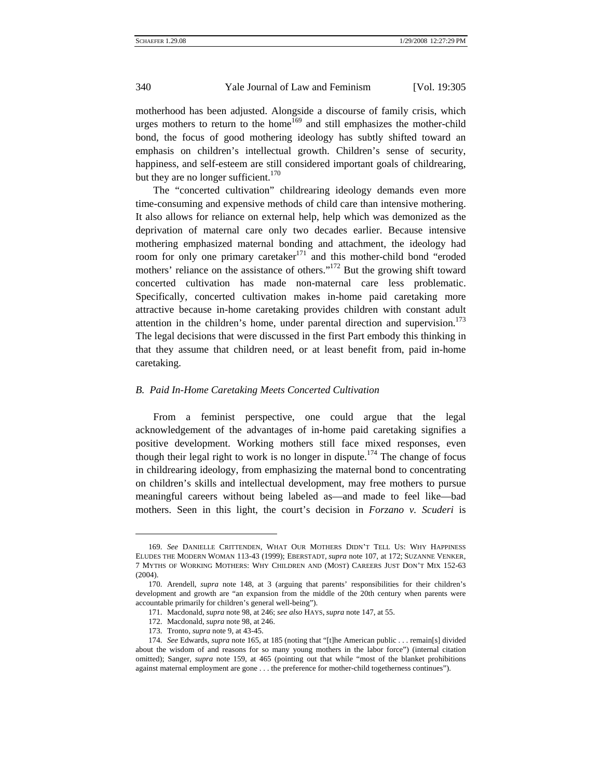motherhood has been adjusted. Alongside a discourse of family crisis, which urges mothers to return to the home<sup>169</sup> and still emphasizes the mother-child bond, the focus of good mothering ideology has subtly shifted toward an emphasis on children's intellectual growth. Children's sense of security, happiness, and self-esteem are still considered important goals of childrearing, but they are no longer sufficient. $170$ 

The "concerted cultivation" childrearing ideology demands even more time-consuming and expensive methods of child care than intensive mothering. It also allows for reliance on external help, help which was demonized as the deprivation of maternal care only two decades earlier. Because intensive mothering emphasized maternal bonding and attachment, the ideology had room for only one primary caretaker<sup>171</sup> and this mother-child bond "eroded" mothers' reliance on the assistance of others."<sup>172</sup> But the growing shift toward concerted cultivation has made non-maternal care less problematic. Specifically, concerted cultivation makes in-home paid caretaking more attractive because in-home caretaking provides children with constant adult attention in the children's home, under parental direction and supervision.<sup>173</sup> The legal decisions that were discussed in the first Part embody this thinking in that they assume that children need, or at least benefit from, paid in-home caretaking.

## *B. Paid In-Home Caretaking Meets Concerted Cultivation*

From a feminist perspective, one could argue that the legal acknowledgement of the advantages of in-home paid caretaking signifies a positive development. Working mothers still face mixed responses, even though their legal right to work is no longer in dispute.<sup>174</sup> The change of focus in childrearing ideology, from emphasizing the maternal bond to concentrating on children's skills and intellectual development, may free mothers to pursue meaningful careers without being labeled as—and made to feel like—bad mothers. Seen in this light, the court's decision in *Forzano v. Scuderi* is

 $\overline{\phantom{a}}$ 

<span id="page-35-0"></span><sup>169.</sup> *See* DANIELLE CRITTENDEN, WHAT OUR MOTHERS DIDN'T TELL US: WHY HAPPINESS ELUDES THE MODERN WOMAN 113-43 (1999); EBERSTADT, *supra* note 107, at 172; SUZANNE VENKER, 7 MYTHS OF WORKING MOTHERS: WHY CHILDREN AND (MOST) CAREERS JUST DON'T MIX 152-63 (2004).

<span id="page-35-1"></span><sup>170.</sup> Arendell, *supra* note 148, at 3 (arguing that parents' responsibilities for their children's development and growth are "an expansion from the middle of the 20th century when parents were accountable primarily for children's general well-being").

<span id="page-35-2"></span><sup>171.</sup> Macdonald, *supra* note 98, at 246; *see also* HAYS, *supra* note 147, at 55.

<span id="page-35-3"></span><sup>172.</sup> Macdonald, *supra* note 98, at 246.

<sup>173.</sup> Tronto, *supra* note 9, at 43-45.

<span id="page-35-5"></span><span id="page-35-4"></span><sup>174.</sup> *See* Edwards, *supra* note 165, at 185 (noting that "[t]he American public . . . remain[s] divided about the wisdom of and reasons for so many young mothers in the labor force") (internal citation omitted); Sanger, *supra* note 159, at 465 (pointing out that while "most of the blanket prohibitions against maternal employment are gone . . . the preference for mother-child togetherness continues").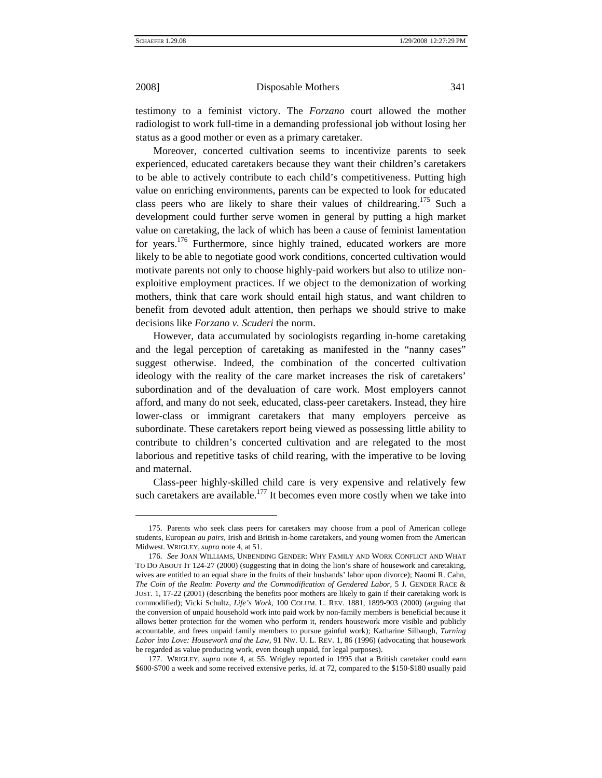$\overline{\phantom{a}}$ 

## 2008] Disposable Mothers 341

testimony to a feminist victory. The *Forzano* court allowed the mother radiologist to work full-time in a demanding professional job without losing her status as a good mother or even as a primary caretaker.

Moreover, concerted cultivation seems to incentivize parents to seek experienced, educated caretakers because they want their children's caretakers to be able to actively contribute to each child's competitiveness. Putting high value on enriching environments, parents can be expected to look for educated class peers who are likely to share their values of childrearing.<sup>175</sup> Such a development could further serve women in general by putting a high market value on caretaking, the lack of which has been a cause of feminist lamentation for years.<sup>176</sup> Furthermore, since highly trained, educated workers are more likely to be able to negotiate good work conditions, concerted cultivation would motivate parents not only to choose highly-paid workers but also to utilize nonexploitive employment practices. If we object to the demonization of working mothers, think that care work should entail high status, and want children to benefit from devoted adult attention, then perhaps we should strive to make decisions like *Forzano v. Scuderi* the norm.

However, data accumulated by sociologists regarding in-home caretaking and the legal perception of caretaking as manifested in the "nanny cases" suggest otherwise. Indeed, the combination of the concerted cultivation ideology with the reality of the care market increases the risk of caretakers' subordination and of the devaluation of care work. Most employers cannot afford, and many do not seek, educated, class-peer caretakers. Instead, they hire lower-class or immigrant caretakers that many employers perceive as subordinate. These caretakers report being viewed as possessing little ability to contribute to children's concerted cultivation and are relegated to the most laborious and repetitive tasks of child rearing, with the imperative to be loving and maternal.

Class-peer highly-skilled child care is very expensive and relatively few such caretakers are available.<sup>177</sup> It becomes even more costly when we take into

<span id="page-36-0"></span><sup>175.</sup> Parents who seek class peers for caretakers may choose from a pool of American college students, European *au pairs*, Irish and British in-home caretakers, and young women from the American Midwest. WRIGLEY, *supra* note 4, at 51.

<span id="page-36-1"></span><sup>176.</sup> *See* JOAN WILLIAMS, UNBENDING GENDER: WHY FAMILY AND WORK CONFLICT AND WHAT TO DO ABOUT IT 124-27 (2000) (suggesting that in doing the lion's share of housework and caretaking, wives are entitled to an equal share in the fruits of their husbands' labor upon divorce); Naomi R. Cahn, *The Coin of the Realm: Poverty and the Commodification of Gendered Labor*, 5 J. GENDER RACE & JUST. 1, 17-22 (2001) (describing the benefits poor mothers are likely to gain if their caretaking work is commodified); Vicki Schultz, *Life's Work*, 100 COLUM. L. REV. 1881, 1899-903 (2000) (arguing that the conversion of unpaid household work into paid work by non-family members is beneficial because it allows better protection for the women who perform it, renders housework more visible and publicly accountable, and frees unpaid family members to pursue gainful work); Katharine Silbaugh, *Turning Labor into Love: Housework and the Law*, 91 NW. U. L. REV. 1, 86 (1996) (advocating that housework be regarded as value producing work, even though unpaid, for legal purposes).

<span id="page-36-2"></span><sup>177.</sup> WRIGLEY, *supra* note 4, at 55. Wrigley reported in 1995 that a British caretaker could earn \$600-\$700 a week and some received extensive perks, *id.* at 72, compared to the \$150-\$180 usually paid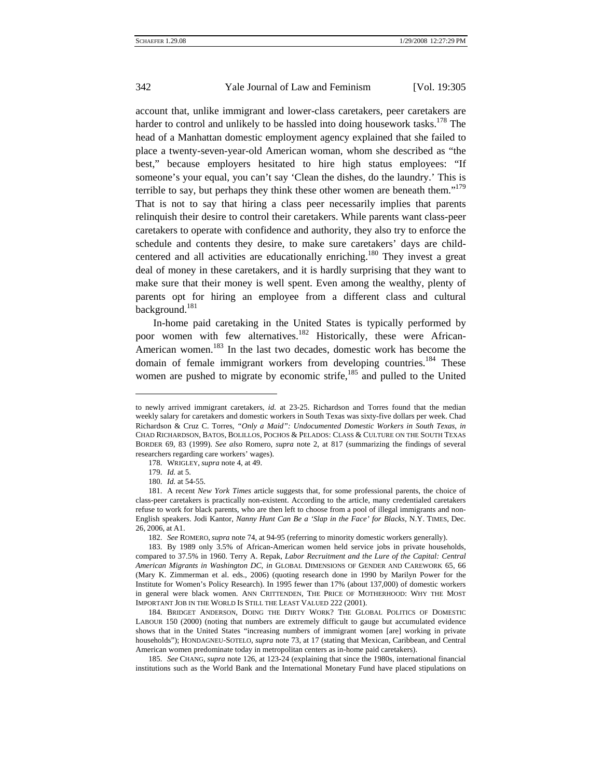account that, unlike immigrant and lower-class caretakers, peer caretakers are harder to control and unlikely to be hassled into doing housework tasks.<sup>178</sup> The head of a Manhattan domestic employment agency explained that she failed to place a twenty-seven-year-old American woman, whom she described as "the best," because employers hesitated to hire high status employees: "If someone's your equal, you can't say 'Clean the dishes, do the laundry.' This is terrible to say, but perhaps they think these other women are beneath them."<sup>179</sup> That is not to say that hiring a class peer necessarily implies that parents relinquish their desire to control their caretakers. While parents want class-peer caretakers to operate with confidence and authority, they also try to enforce the schedule and contents they desire, to make sure caretakers' days are childcentered and all activities are educationally enriching.<sup>180</sup> They invest a great deal of money in these caretakers, and it is hardly surprising that they want to make sure that their money is well spent. Even among the wealthy, plenty of parents opt for hiring an employee from a different class and cultural background.<sup>181</sup>

In-home paid caretaking in the United States is typically performed by poor women with few alternatives.<sup>182</sup> Historically, these were African-American women.<sup>183</sup> In the last two decades, domestic work has become the domain of female immigrant workers from developing countries.<sup>184</sup> These women are pushed to migrate by economic strife, $185$  and pulled to the United

 $\overline{\phantom{a}}$ 

to newly arrived immigrant caretakers, *id.* at 23-25. Richardson and Torres found that the median weekly salary for caretakers and domestic workers in South Texas was sixty-five dollars per week. Chad Richardson & Cruz C. Torres, *"Only a Maid": Undocumented Domestic Workers in South Texas*, *in* CHAD RICHARDSON, BATOS, BOLILLOS, POCHOS & PELADOS: CLASS & CULTURE ON THE SOUTH TEXAS BORDER 69, 83 (1999). *See also* Romero, *supra* note 2, at 817 (summarizing the findings of several researchers regarding care workers' wages).

<span id="page-37-1"></span><span id="page-37-0"></span><sup>178.</sup> WRIGLEY, *supra* note 4, at 49.

<sup>179.</sup> *Id.* at 5.

<sup>180.</sup> *Id.* at 54-55.

<span id="page-37-3"></span><span id="page-37-2"></span><sup>181.</sup> A recent *New York Times* article suggests that, for some professional parents, the choice of class-peer caretakers is practically non-existent. According to the article, many credentialed caretakers refuse to work for black parents, who are then left to choose from a pool of illegal immigrants and non-English speakers. Jodi Kantor, *Nanny Hunt Can Be a 'Slap in the Face' for Blacks*, N.Y. TIMES, Dec. 26, 2006, at A1.

<sup>182.</sup> *See* ROMERO, *supra* note 74, at 94-95 (referring to minority domestic workers generally).

<span id="page-37-5"></span><span id="page-37-4"></span><sup>183.</sup> By 1989 only 3.5% of African-American women held service jobs in private households, compared to 37.5% in 1960. Terry A. Repak, *Labor Recruitment and the Lure of the Capital: Central American Migrants in Washington DC*, *in* GLOBAL DIMENSIONS OF GENDER AND CAREWORK 65, 66 (Mary K. Zimmerman et al. eds., 2006) (quoting research done in 1990 by Marilyn Power for the Institute for Women's Policy Research). In 1995 fewer than 17% (about 137,000) of domestic workers in general were black women. ANN CRITTENDEN, THE PRICE OF MOTHERHOOD: WHY THE MOST IMPORTANT JOB IN THE WORLD IS STILL THE LEAST VALUED 222 (2001).

<span id="page-37-6"></span><sup>184.</sup> BRIDGET ANDERSON, DOING THE DIRTY WORK? THE GLOBAL POLITICS OF DOMESTIC LABOUR 150 (2000) (noting that numbers are extremely difficult to gauge but accumulated evidence shows that in the United States "increasing numbers of immigrant women [are] working in private households"); HONDAGNEU-SOTELO, *supra* note 73, at 17 (stating that Mexican, Caribbean, and Central American women predominate today in metropolitan centers as in-home paid caretakers).

<span id="page-37-7"></span><sup>185.</sup> *See* CHANG, *supra* note 126, at 123-24 (explaining that since the 1980s, international financial institutions such as the World Bank and the International Monetary Fund have placed stipulations on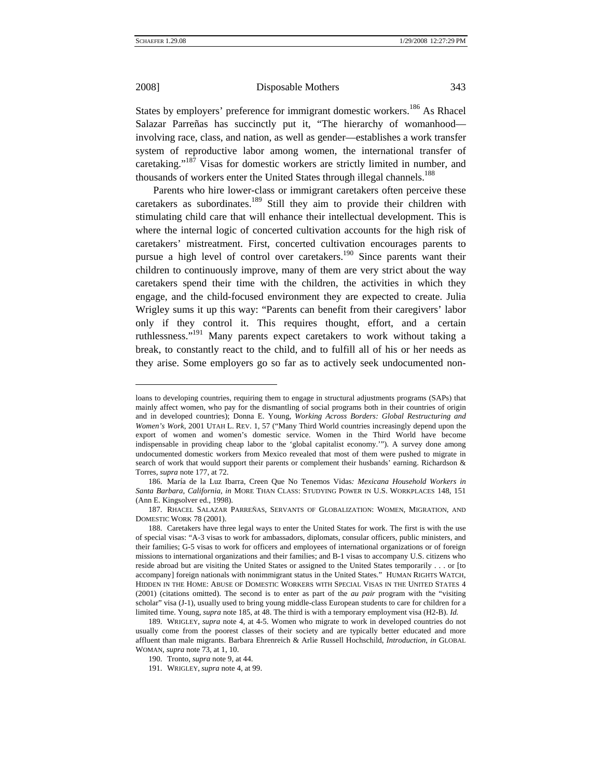l

### 2008] Disposable Mothers 343

States by employers' preference for immigrant domestic workers.<sup>186</sup> As Rhacel Salazar Parreñas has succinctly put it, "The hierarchy of womanhood involving race, class, and nation, as well as gender—establishes a work transfer system of reproductive labor among women, the international transfer of caretaking."<sup>187</sup> Visas for domestic workers are strictly limited in number, and thousands of workers enter the United States through illegal channels.<sup>[188](#page-38-2)</sup>

Parents who hire lower-class or immigrant caretakers often perceive these caretakers as subordinates.<sup>189</sup> Still they aim to provide their children with stimulating child care that will enhance their intellectual development. This is where the internal logic of concerted cultivation accounts for the high risk of caretakers' mistreatment. First, concerted cultivation encourages parents to pursue a high level of control over caretakers.<sup>190</sup> Since parents want their children to continuously improve, many of them are very strict about the way caretakers spend their time with the children, the activities in which they engage, and the child-focused environment they are expected to create. Julia Wrigley sums it up this way: "Parents can benefit from their caregivers' labor only if they control it. This requires thought, effort, and a certain ruthlessness."<sup>191</sup> Many parents expect caretakers to work without taking a break, to constantly react to the child, and to fulfill all of his or her needs as they arise. Some employers go so far as to actively seek undocumented non-

loans to developing countries, requiring them to engage in structural adjustments programs (SAPs) that mainly affect women, who pay for the dismantling of social programs both in their countries of origin and in developed countries); Donna E. Young, *Working Across Borders: Global Restructuring and Women's Work*, 2001 UTAH L. REV. 1, 57 ("Many Third World countries increasingly depend upon the export of women and women's domestic service. Women in the Third World have become indispensable in providing cheap labor to the 'global capitalist economy.'"). A survey done among undocumented domestic workers from Mexico revealed that most of them were pushed to migrate in search of work that would support their parents or complement their husbands' earning. Richardson & Torres, *supra* note 177, at 72.

<span id="page-38-0"></span><sup>186.</sup> María de la Luz Ibarra, Creen Que No Tenemos Vidas*: Mexicana Household Workers in Santa Barbara, California*, *in* MORE THAN CLASS: STUDYING POWER IN U.S. WORKPLACES 148, 151 (Ann E. Kingsolver ed., 1998).

<span id="page-38-1"></span><sup>187.</sup> RHACEL SALAZAR PARREÑAS, SERVANTS OF GLOBALIZATION: WOMEN, MIGRATION, AND DOMESTIC WORK 78 (2001).

<span id="page-38-2"></span><sup>188.</sup> Caretakers have three legal ways to enter the United States for work. The first is with the use of special visas: "A-3 visas to work for ambassadors, diplomats, consular officers, public ministers, and their families; G-5 visas to work for officers and employees of international organizations or of foreign missions to international organizations and their families; and B-1 visas to accompany U.S. citizens who reside abroad but are visiting the United States or assigned to the United States temporarily . . . or [to accompany] foreign nationals with nonimmigrant status in the United States." HUMAN RIGHTS WATCH, HIDDEN IN THE HOME: ABUSE OF DOMESTIC WORKERS WITH SPECIAL VISAS IN THE UNITED STATES 4 (2001) (citations omitted). The second is to enter as part of the *au pair* program with the "visiting scholar" visa (J-1), usually used to bring young middle-class European students to care for children for a limited time. Young, *supra* note 185, at 48. The third is with a temporary employment visa (H2-B). *Id.* 

<span id="page-38-3"></span><sup>189.</sup> WRIGLEY, *supra* note 4, at 4-5. Women who migrate to work in developed countries do not usually come from the poorest classes of their society and are typically better educated and more affluent than male migrants. Barbara Ehrenreich & Arlie Russell Hochschild, *Introduction*, *in* GLOBAL WOMAN, *supra* note 73, at 1, 10.

<span id="page-38-4"></span><sup>190.</sup> Tronto, *supra* note 9, at 44.

<span id="page-38-5"></span><sup>191.</sup> WRIGLEY, *supra* note 4, at 99.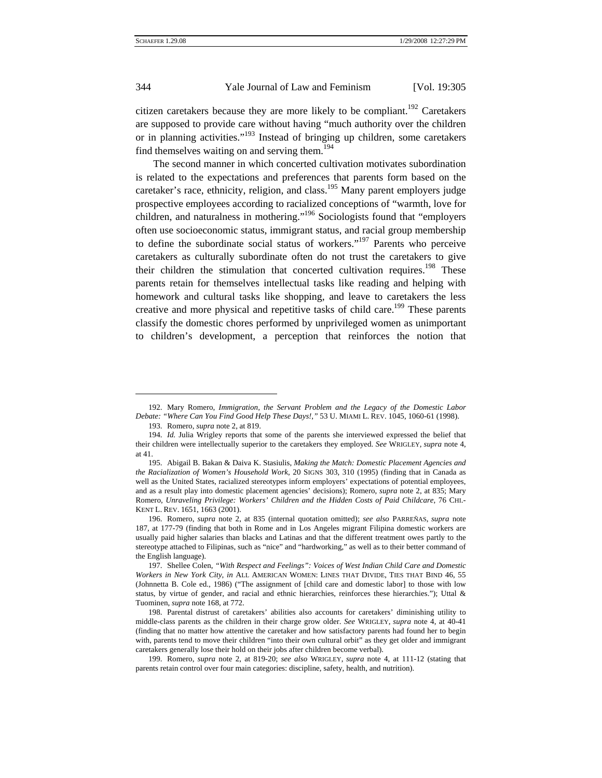citizen caretakers because they are more likely to be compliant.<sup>192</sup> Caretakers are supposed to provide care without having "much authority over the children or in planning activities."[193](#page-39-1) Instead of bringing up children, some caretakers find themselves waiting on and serving them.<sup>[194](#page-39-2)</sup>

The second manner in which concerted cultivation motivates subordination is related to the expectations and preferences that parents form based on the caretaker's race, ethnicity, religion, and class.<sup>195</sup> Many parent employers judge prospective employees according to racialized conceptions of "warmth, love for children, and naturalness in mothering."[196](#page-39-4) Sociologists found that "employers often use socioeconomic status, immigrant status, and racial group membership to define the subordinate social status of workers."[197](#page-39-5) Parents who perceive caretakers as culturally subordinate often do not trust the caretakers to give their children the stimulation that concerted cultivation requires.<sup>198</sup> These parents retain for themselves intellectual tasks like reading and helping with homework and cultural tasks like shopping, and leave to caretakers the less creative and more physical and repetitive tasks of child care.<sup>199</sup> These parents classify the domestic chores performed by unprivileged women as unimportant to children's development, a perception that reinforces the notion that

 $\overline{\phantom{a}}$ 

<span id="page-39-0"></span><sup>192.</sup> Mary Romero, *Immigration, the Servant Problem and the Legacy of the Domestic Labor Debate: "Where Can You Find Good Help These Days!*,*"* 53 U. MIAMI L. REV. 1045, 1060-61 (1998).

<span id="page-39-1"></span><sup>193.</sup> Romero, *supra* note 2, at 819.

<span id="page-39-2"></span><sup>194.</sup> *Id.* Julia Wrigley reports that some of the parents she interviewed expressed the belief that their children were intellectually superior to the caretakers they employed. *See* WRIGLEY, *supra* note 4, at 41.

<span id="page-39-3"></span><sup>195.</sup> Abigail B. Bakan & Daiva K. Stasiulis, *Making the Match: Domestic Placement Agencies and the Racialization of Women's Household Work*, 20 SIGNS 303, 310 (1995) (finding that in Canada as well as the United States, racialized stereotypes inform employers' expectations of potential employees, and as a result play into domestic placement agencies' decisions); Romero, *supra* note 2, at 835; Mary Romero, *Unraveling Privilege: Workers' Children and the Hidden Costs of Paid Childcare*, 76 CHI.- KENT L. REV. 1651, 1663 (2001).

<span id="page-39-4"></span><sup>196.</sup> Romero, *supra* note 2, at 835 (internal quotation omitted); *see also* PARREÑAS, *supra* note 187, at 177-79 (finding that both in Rome and in Los Angeles migrant Filipina domestic workers are usually paid higher salaries than blacks and Latinas and that the different treatment owes partly to the stereotype attached to Filipinas, such as "nice" and "hardworking," as well as to their better command of the English language).

<span id="page-39-5"></span><sup>197.</sup> Shellee Colen, *"With Respect and Feelings": Voices of West Indian Child Care and Domestic Workers in New York City*, *in* ALL AMERICAN WOMEN: LINES THAT DIVIDE, TIES THAT BIND 46, 55 (Johnnetta B. Cole ed., 1986) ("The assignment of [child care and domestic labor] to those with low status, by virtue of gender, and racial and ethnic hierarchies, reinforces these hierarchies."); Uttal & Tuominen, *supra* note 168, at 772.

<span id="page-39-6"></span><sup>198.</sup> Parental distrust of caretakers' abilities also accounts for caretakers' diminishing utility to middle-class parents as the children in their charge grow older. *See* WRIGLEY, *supra* note 4, at 40-41 (finding that no matter how attentive the caretaker and how satisfactory parents had found her to begin with, parents tend to move their children "into their own cultural orbit" as they get older and immigrant caretakers generally lose their hold on their jobs after children become verbal).

<span id="page-39-7"></span><sup>199.</sup> Romero, *supra* note 2, at 819-20; *see also* WRIGLEY, *supra* note 4, at 111-12 (stating that parents retain control over four main categories: discipline, safety, health, and nutrition).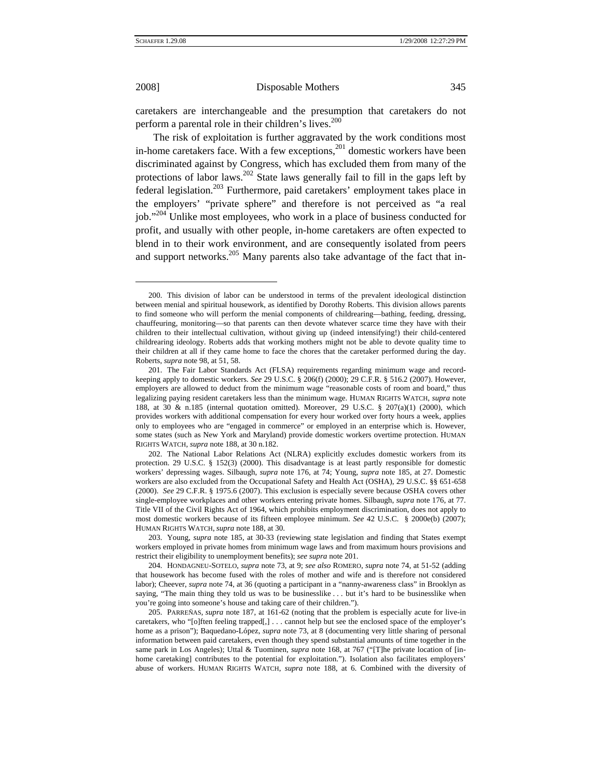$\overline{\phantom{a}}$ 

## 2008] Disposable Mothers 345

caretakers are interchangeable and the presumption that caretakers do not perform a parental role in their children's lives.<sup>[200](#page-40-0)</sup>

The risk of exploitation is further aggravated by the work conditions most in-home caretakers face. With a few exceptions, $^{201}$  domestic workers have been discriminated against by Congress, which has excluded them from many of the protections of labor laws[.202](#page-40-2) State laws generally fail to fill in the gaps left by federal legislation.[203](#page-40-3) Furthermore, paid caretakers' employment takes place in the employers' "private sphere" and therefore is not perceived as "a real job.["204](#page-40-4) Unlike most employees, who work in a place of business conducted for profit, and usually with other people, in-home caretakers are often expected to blend in to their work environment, and are consequently isolated from peers and support networks.<sup>205</sup> Many parents also take advantage of the fact that in-

<span id="page-40-0"></span><sup>200.</sup> This division of labor can be understood in terms of the prevalent ideological distinction between menial and spiritual housework, as identified by Dorothy Roberts. This division allows parents to find someone who will perform the menial components of childrearing—bathing, feeding, dressing, chauffeuring, monitoring—so that parents can then devote whatever scarce time they have with their children to their intellectual cultivation, without giving up (indeed intensifying!) their child-centered childrearing ideology. Roberts adds that working mothers might not be able to devote quality time to their children at all if they came home to face the chores that the caretaker performed during the day. Roberts, *supra* note 98, at 51, 58.

<span id="page-40-1"></span><sup>201.</sup> The Fair Labor Standards Act (FLSA) requirements regarding minimum wage and recordkeeping apply to domestic workers. *See* 29 U.S.C. § 206(f) (2000); 29 C.F.R. § 516.2 (2007). However, employers are allowed to deduct from the minimum wage "reasonable costs of room and board," thus legalizing paying resident caretakers less than the minimum wage. HUMAN RIGHTS WATCH, *supra* note 188, at 30 & n.185 (internal quotation omitted). Moreover, 29 U.S.C. § 207(a)(1) (2000), which provides workers with additional compensation for every hour worked over forty hours a week, applies only to employees who are "engaged in commerce" or employed in an enterprise which is. However, some states (such as New York and Maryland) provide domestic workers overtime protection. HUMAN RIGHTS WATCH, *supra* note 188, at 30 n.182.

<span id="page-40-2"></span><sup>202.</sup> The National Labor Relations Act (NLRA) explicitly excludes domestic workers from its protection. 29 U.S.C. § 152(3) (2000). This disadvantage is at least partly responsible for domestic workers' depressing wages. Silbaugh, *supra* note 176, at 74; Young, *supra* note 185, at 27. Domestic workers are also excluded from the Occupational Safety and Health Act (OSHA), 29 U.S.C. §§ 651-658 (2000). *See* 29 C.F.R. § 1975.6 (2007). This exclusion is especially severe because OSHA covers other single-employee workplaces and other workers entering private homes. Silbaugh, *supra* note 176, at 77. Title VII of the Civil Rights Act of 1964, which prohibits employment discrimination, does not apply to most domestic workers because of its fifteen employee minimum. *See* 42 U.S.C. § 2000e(b) (2007); HUMAN RIGHTS WATCH, *supra* note 188, at 30.

<span id="page-40-3"></span><sup>203.</sup> Young, *supra* note 185, at 30-33 (reviewing state legislation and finding that States exempt workers employed in private homes from minimum wage laws and from maximum hours provisions and restrict their eligibility to unemployment benefits); *see supra* note 201.

<span id="page-40-4"></span><sup>204.</sup> HONDAGNEU-SOTELO, *supra* note 73, at 9; *see also* ROMERO, *supra* note 74, at 51-52 (adding that housework has become fused with the roles of mother and wife and is therefore not considered labor); Cheever, *supra* note 74, at 36 (quoting a participant in a "nanny-awareness class" in Brooklyn as saying, "The main thing they told us was to be businesslike . . . but it's hard to be businesslike when you're going into someone's house and taking care of their children.").

<span id="page-40-5"></span><sup>205.</sup> PARREÑAS, *supra* note 187, at 161-62 (noting that the problem is especially acute for live-in caretakers, who "[o]ften feeling trapped[,] . . . cannot help but see the enclosed space of the employer's home as a prison"); Baquedano-López, *supra* note 73, at 8 (documenting very little sharing of personal information between paid caretakers, even though they spend substantial amounts of time together in the same park in Los Angeles); Uttal & Tuominen, *supra* note 168, at 767 ("[T]he private location of [inhome caretaking] contributes to the potential for exploitation."). Isolation also facilitates employers' abuse of workers. HUMAN RIGHTS WATCH, *supra* note 188, at 6. Combined with the diversity of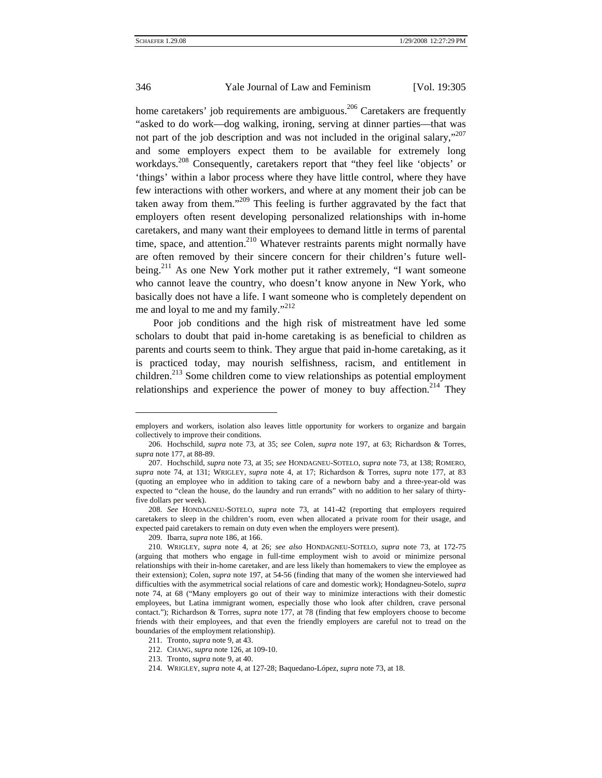home caretakers' job requirements are ambiguous.<sup>206</sup> Caretakers are frequently "asked to do work—dog walking, ironing, serving at dinner parties—that was not part of the job description and was not included in the original salary,"<sup>207</sup> and some employers expect them to be available for extremely long workdays.<sup>208</sup> Consequently, caretakers report that "they feel like 'objects' or 'things' within a labor process where they have little control, where they have few interactions with other workers, and where at any moment their job can be taken away from them."<sup>209</sup> This feeling is further aggravated by the fact that employers often resent developing personalized relationships with in-home caretakers, and many want their employees to demand little in terms of parental time, space, and attention.<sup>210</sup> Whatever restraints parents might normally have are often removed by their sincere concern for their children's future wellbeing.<sup>211</sup> As one New York mother put it rather extremely, "I want someone who cannot leave the country, who doesn't know anyone in New York, who basically does not have a life. I want someone who is completely dependent on me and loyal to me and my family."<sup>[212](#page-41-6)</sup>

Poor job conditions and the high risk of mistreatment have led some scholars to doubt that paid in-home caretaking is as beneficial to children as parents and courts seem to think. They argue that paid in-home caretaking, as it is practiced today, may nourish selfishness, racism, and entitlement in children.<sup>213</sup> Some children come to view relationships as potential employment relationships and experience the power of money to buy affection.<sup>214</sup> They

l

employers and workers, isolation also leaves little opportunity for workers to organize and bargain collectively to improve their conditions.

<span id="page-41-0"></span><sup>206.</sup> Hochschild, *supra* note 73, at 35; *see* Colen, *supra* note 197, at 63; Richardson & Torres, *supra* note 177, at 88-89.

<span id="page-41-1"></span><sup>207.</sup> Hochschild, *supra* note 73, at 35; *see* HONDAGNEU-SOTELO, *supra* note 73, at 138; ROMERO, *supra* note 74, at 131; WRIGLEY, *supra* note 4, at 17; Richardson & Torres, *supra* note 177, at 83 (quoting an employee who in addition to taking care of a newborn baby and a three-year-old was expected to "clean the house, do the laundry and run errands" with no addition to her salary of thirtyfive dollars per week).

<span id="page-41-2"></span><sup>208.</sup> *See* HONDAGNEU-SOTELO, *supra* note 73, at 141-42 (reporting that employers required caretakers to sleep in the children's room, even when allocated a private room for their usage, and expected paid caretakers to remain on duty even when the employers were present).

<sup>209.</sup> Ibarra, *supra* note 186, at 166.

<span id="page-41-4"></span><span id="page-41-3"></span><sup>210.</sup> WRIGLEY, *supra* note 4, at 26; *see also* HONDAGNEU-SOTELO, *supra* note 73, at 172-75 (arguing that mothers who engage in full-time employment wish to avoid or minimize personal relationships with their in-home caretaker, and are less likely than homemakers to view the employee as their extension); Colen, *supra* note 197, at 54-56 (finding that many of the women she interviewed had difficulties with the asymmetrical social relations of care and domestic work); Hondagneu-Sotelo, *supra*  note 74, at 68 ("Many employers go out of their way to minimize interactions with their domestic employees, but Latina immigrant women, especially those who look after children, crave personal contact."); Richardson & Torres, *supra* note 177, at 78 (finding that few employers choose to become friends with their employees, and that even the friendly employers are careful not to tread on the boundaries of the employment relationship).

<span id="page-41-5"></span><sup>211.</sup> Tronto, *supra* note 9, at 43.

<span id="page-41-6"></span><sup>212.</sup> CHANG, *supra* note 126, at 109-10.

<span id="page-41-7"></span><sup>213.</sup> Tronto, *supra* note 9, at 40.

<span id="page-41-8"></span><sup>214.</sup> WRIGLEY, *supra* note 4, at 127-28; Baquedano-López, *supra* note 73, at 18.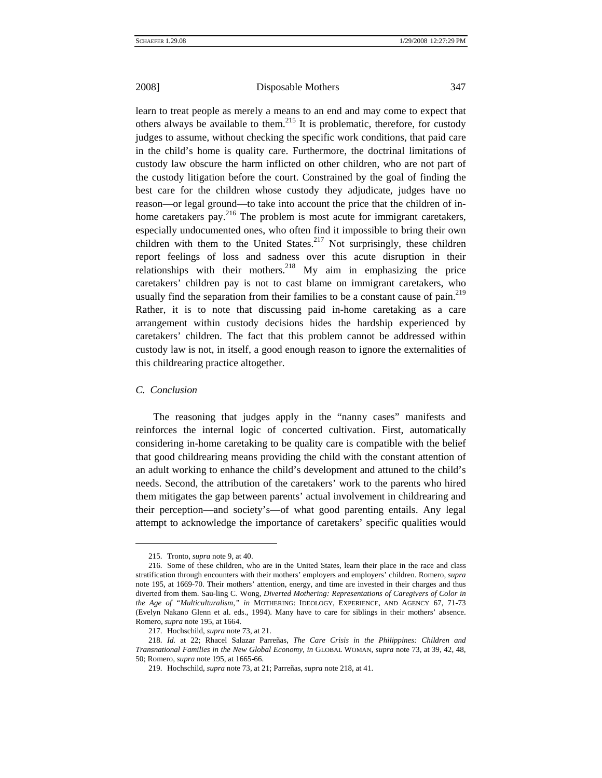learn to treat people as merely a means to an end and may come to expect that others always be available to them.<sup>215</sup> It is problematic, therefore, for custody judges to assume, without checking the specific work conditions, that paid care in the child's home is quality care. Furthermore, the doctrinal limitations of custody law obscure the harm inflicted on other children, who are not part of the custody litigation before the court. Constrained by the goal of finding the best care for the children whose custody they adjudicate, judges have no reason—or legal ground—to take into account the price that the children of inhome caretakers pay.<sup>216</sup> The problem is most acute for immigrant caretakers, especially undocumented ones, who often find it impossible to bring their own children with them to the United States. $217$  Not surprisingly, these children report feelings of loss and sadness over this acute disruption in their relationships with their mothers.<sup>218</sup> My aim in emphasizing the price caretakers' children pay is not to cast blame on immigrant caretakers, who usually find the separation from their families to be a constant cause of pain. $^{219}$ Rather, it is to note that discussing paid in-home caretaking as a care arrangement within custody decisions hides the hardship experienced by caretakers' children. The fact that this problem cannot be addressed within custody law is not, in itself, a good enough reason to ignore the externalities of this childrearing practice altogether.

### *C. Conclusion*

 $\overline{\phantom{a}}$ 

The reasoning that judges apply in the "nanny cases" manifests and reinforces the internal logic of concerted cultivation. First, automatically considering in-home caretaking to be quality care is compatible with the belief that good childrearing means providing the child with the constant attention of an adult working to enhance the child's development and attuned to the child's needs. Second, the attribution of the caretakers' work to the parents who hired them mitigates the gap between parents' actual involvement in childrearing and their perception—and society's—of what good parenting entails. Any legal attempt to acknowledge the importance of caretakers' specific qualities would

<sup>215.</sup> Tronto, *supra* note 9, at 40.

<span id="page-42-1"></span><span id="page-42-0"></span><sup>216.</sup> Some of these children, who are in the United States, learn their place in the race and class stratification through encounters with their mothers' employers and employers' children. Romero, *supra*  note 195, at 1669-70. Their mothers' attention, energy, and time are invested in their charges and thus diverted from them. Sau-ling C. Wong, *Diverted Mothering: Representations of Caregivers of Color in the Age of "Multiculturalism*,*" in* MOTHERING: IDEOLOGY, EXPERIENCE, AND AGENCY 67, 71-73 (Evelyn Nakano Glenn et al. eds., 1994). Many have to care for siblings in their mothers' absence. Romero, *supra* note 195, at 1664.

<span id="page-42-2"></span><sup>217.</sup> Hochschild, *supra* note 73, at 21.

<span id="page-42-3"></span><sup>218.</sup> *Id.* at 22; Rhacel Salazar Parreñas, *The Care Crisis in the Philippines: Children and Transnational Families in the New Global Economy*, *in* GLOBAL WOMAN, *supra* note 73, at 39, 42, 48, 50; Romero, *supra* note 195, at 1665-66.

<span id="page-42-4"></span><sup>219.</sup> Hochschild, *supra* note 73, at 21; Parreñas, *supra* note 218, at 41.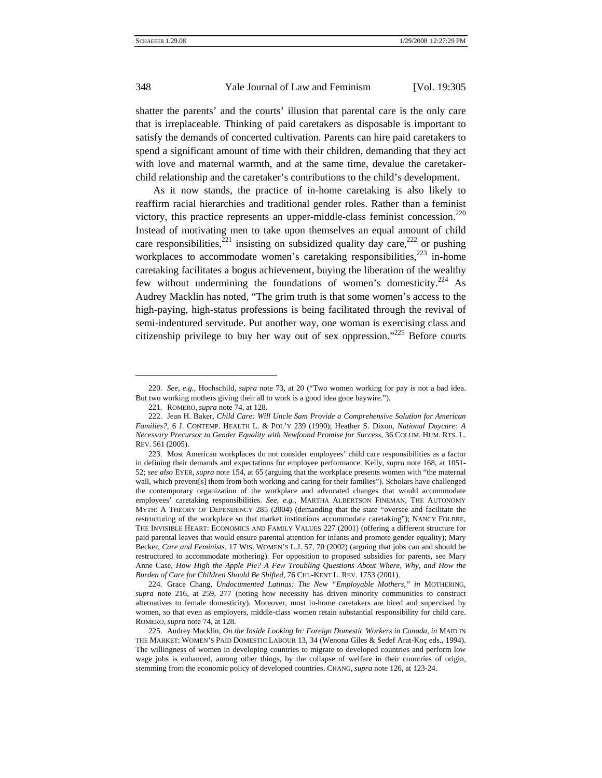shatter the parents' and the courts' illusion that parental care is the only care that is irreplaceable. Thinking of paid caretakers as disposable is important to satisfy the demands of concerted cultivation. Parents can hire paid caretakers to spend a significant amount of time with their children, demanding that they act with love and maternal warmth, and at the same time, devalue the caretakerchild relationship and the caretaker's contributions to the child's development.

As it now stands, the practice of in-home caretaking is also likely to reaffirm racial hierarchies and traditional gender roles. Rather than a feminist victory, this practice represents an upper-middle-class feminist concession.<sup>220</sup> Instead of motivating men to take upon themselves an equal amount of child care responsibilities,<sup>221</sup> insisting on subsidized quality day care,<sup>222</sup> or pushing workplaces to accommodate women's caretaking responsibilities, $^{223}$  in-home caretaking facilitates a bogus achievement, buying the liberation of the wealthy few without undermining the foundations of women's domesticity.<sup>224</sup> As Audrey Macklin has noted, "The grim truth is that some women's access to the high-paying, high-status professions is being facilitated through the revival of semi-indentured servitude. Put another way, one woman is exercising class and citizenship privilege to buy her way out of sex oppression.["225](#page-43-5) Before courts

 $\overline{\phantom{a}}$ 

<span id="page-43-0"></span><sup>220.</sup> *See, e.g.*, Hochschild, *supra* note 73, at 20 ("Two women working for pay is not a bad idea. But two working mothers giving their all to work is a good idea gone haywire.").

<span id="page-43-1"></span><sup>221.</sup> ROMERO, *supra* note 74, at 128.

<span id="page-43-2"></span><sup>222.</sup> Jean H. Baker, *Child Care: Will Uncle Sam Provide a Comprehensive Solution for American Families?*, 6 J. CONTEMP. HEALTH L. & POL'Y 239 (1990); Heather S. Dixon, *National Daycare: A Necessary Precursor to Gender Equality with Newfound Promise for Success*, 36 COLUM. HUM. RTS. L. REV. 561 (2005).

<span id="page-43-3"></span><sup>223.</sup> Most American workplaces do not consider employees' child care responsibilities as a factor in defining their demands and expectations for employee performance. Kelly, *supra* note 168, at 1051- 52; *see also* EYER, *supra* note 154, at 65 (arguing that the workplace presents women with "the maternal wall, which prevent[s] them from both working and caring for their families"). Scholars have challenged the contemporary organization of the workplace and advocated changes that would accommodate employees' caretaking responsibilities. *See, e.g.*, MARTHA ALBERTSON FINEMAN, THE AUTONOMY MYTH: A THEORY OF DEPENDENCY 285 (2004) (demanding that the state "oversee and facilitate the restructuring of the workplace so that market institutions accommodate caretaking"); NANCY FOLBRE, THE INVISIBLE HEART: ECONOMICS AND FAMILY VALUES 227 (2001) (offering a different structure for paid parental leaves that would ensure parental attention for infants and promote gender equality); Mary Becker, *Care and Feminists*, 17 WIS. WOMEN'S L.J. 57, 70 (2002) (arguing that jobs can and should be restructured to accommodate mothering). For opposition to proposed subsidies for parents, see Mary Anne Case, *How High the Apple Pie? A Few Troubling Questions About Where, Why, and How the Burden of Care for Children Should Be Shifted*, 76 CHI.-KENT L. REV. 1753 (2001).

<span id="page-43-4"></span><sup>224.</sup> Grace Chang, *Undocumented Latinas: The New "Employable Mothers*,*" in* MOTHERING, *supra* note 216, at 259, 277 (noting how necessity has driven minority communities to construct alternatives to female domesticity). Moreover, most in-home caretakers are hired and supervised by women, so that even as employers, middle-class women retain substantial responsibility for child care. ROMERO, *supra* note 74, at 128.

<span id="page-43-5"></span><sup>225.</sup> Audrey Macklin, *On the Inside Looking In: Foreign Domestic Workers in Canada*, *in* MAID IN THE MARKET: WOMEN'S PAID DOMESTIC LABOUR 13, 34 (Wenona Giles & Sedef Arat-Koç eds., 1994). The willingness of women in developing countries to migrate to developed countries and perform low wage jobs is enhanced, among other things, by the collapse of welfare in their countries of origin, stemming from the economic policy of developed countries. CHANG, *supra* note 126, at 123-24.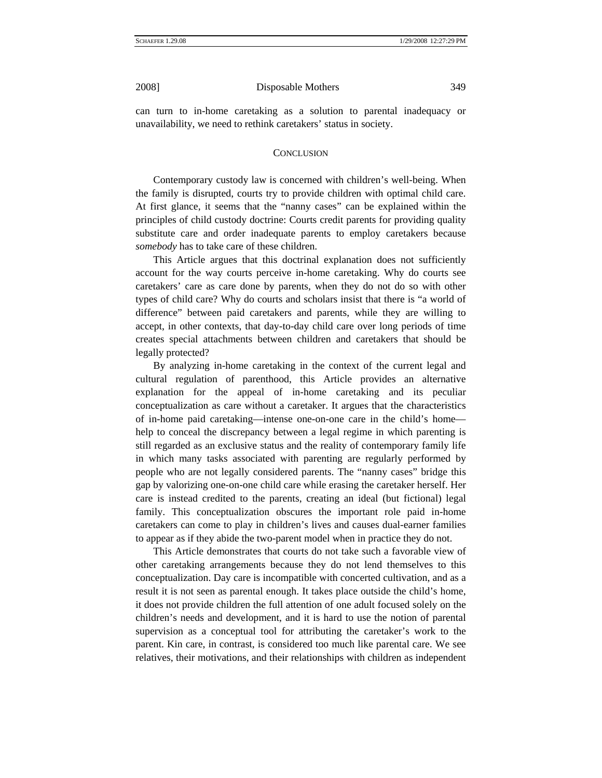can turn to in-home caretaking as a solution to parental inadequacy or unavailability, we need to rethink caretakers' status in society.

### **CONCLUSION**

Contemporary custody law is concerned with children's well-being. When the family is disrupted, courts try to provide children with optimal child care. At first glance, it seems that the "nanny cases" can be explained within the principles of child custody doctrine: Courts credit parents for providing quality substitute care and order inadequate parents to employ caretakers because *somebody* has to take care of these children.

This Article argues that this doctrinal explanation does not sufficiently account for the way courts perceive in-home caretaking. Why do courts see caretakers' care as care done by parents, when they do not do so with other types of child care? Why do courts and scholars insist that there is "a world of difference" between paid caretakers and parents, while they are willing to accept, in other contexts, that day-to-day child care over long periods of time creates special attachments between children and caretakers that should be legally protected?

By analyzing in-home caretaking in the context of the current legal and cultural regulation of parenthood, this Article provides an alternative explanation for the appeal of in-home caretaking and its peculiar conceptualization as care without a caretaker. It argues that the characteristics of in-home paid caretaking—intense one-on-one care in the child's home help to conceal the discrepancy between a legal regime in which parenting is still regarded as an exclusive status and the reality of contemporary family life in which many tasks associated with parenting are regularly performed by people who are not legally considered parents. The "nanny cases" bridge this gap by valorizing one-on-one child care while erasing the caretaker herself. Her care is instead credited to the parents, creating an ideal (but fictional) legal family. This conceptualization obscures the important role paid in-home caretakers can come to play in children's lives and causes dual-earner families to appear as if they abide the two-parent model when in practice they do not.

This Article demonstrates that courts do not take such a favorable view of other caretaking arrangements because they do not lend themselves to this conceptualization. Day care is incompatible with concerted cultivation, and as a result it is not seen as parental enough. It takes place outside the child's home, it does not provide children the full attention of one adult focused solely on the children's needs and development, and it is hard to use the notion of parental supervision as a conceptual tool for attributing the caretaker's work to the parent. Kin care, in contrast, is considered too much like parental care. We see relatives, their motivations, and their relationships with children as independent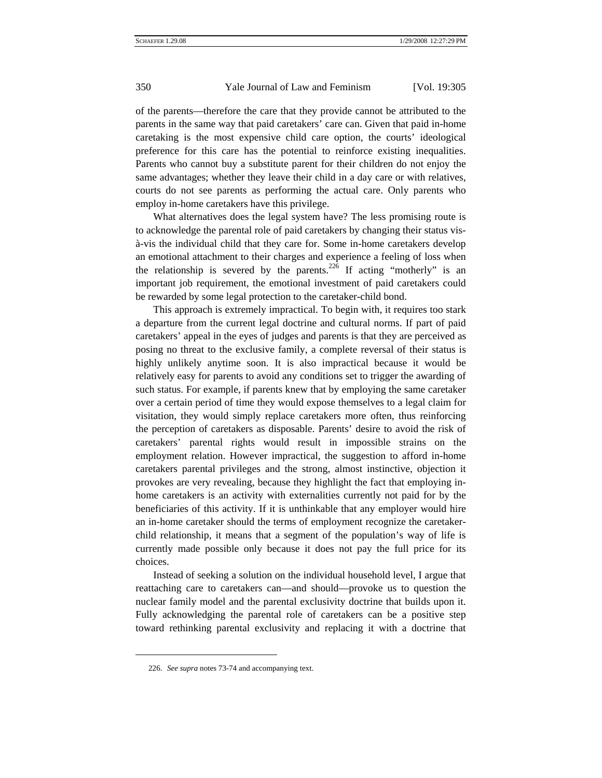of the parents—therefore the care that they provide cannot be attributed to the parents in the same way that paid caretakers' care can. Given that paid in-home caretaking is the most expensive child care option, the courts' ideological preference for this care has the potential to reinforce existing inequalities. Parents who cannot buy a substitute parent for their children do not enjoy the same advantages; whether they leave their child in a day care or with relatives, courts do not see parents as performing the actual care. Only parents who employ in-home caretakers have this privilege.

What alternatives does the legal system have? The less promising route is to acknowledge the parental role of paid caretakers by changing their status visà-vis the individual child that they care for. Some in-home caretakers develop an emotional attachment to their charges and experience a feeling of loss when the relationship is severed by the parents.<sup>226</sup> If acting "motherly" is an important job requirement, the emotional investment of paid caretakers could be rewarded by some legal protection to the caretaker-child bond.

This approach is extremely impractical. To begin with, it requires too stark a departure from the current legal doctrine and cultural norms. If part of paid caretakers' appeal in the eyes of judges and parents is that they are perceived as posing no threat to the exclusive family, a complete reversal of their status is highly unlikely anytime soon. It is also impractical because it would be relatively easy for parents to avoid any conditions set to trigger the awarding of such status. For example, if parents knew that by employing the same caretaker over a certain period of time they would expose themselves to a legal claim for visitation, they would simply replace caretakers more often, thus reinforcing the perception of caretakers as disposable. Parents' desire to avoid the risk of caretakers' parental rights would result in impossible strains on the employment relation. However impractical, the suggestion to afford in-home caretakers parental privileges and the strong, almost instinctive, objection it provokes are very revealing, because they highlight the fact that employing inhome caretakers is an activity with externalities currently not paid for by the beneficiaries of this activity. If it is unthinkable that any employer would hire an in-home caretaker should the terms of employment recognize the caretakerchild relationship, it means that a segment of the population's way of life is currently made possible only because it does not pay the full price for its choices.

Instead of seeking a solution on the individual household level, I argue that reattaching care to caretakers can—and should—provoke us to question the nuclear family model and the parental exclusivity doctrine that builds upon it. Fully acknowledging the parental role of caretakers can be a positive step toward rethinking parental exclusivity and replacing it with a doctrine that

 $\overline{\phantom{a}}$ 

<span id="page-45-0"></span><sup>226.</sup> *See supra* notes 73-74 and accompanying text.